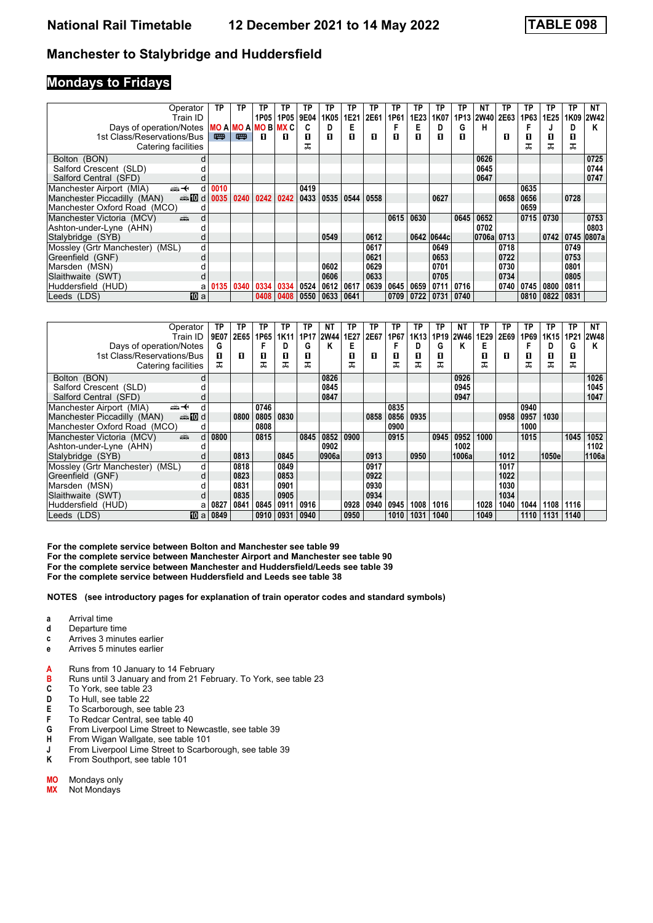### **Mondays to Fridays**

| Operator                                       | ТP          | TP                  | ΤР   | TP   | TP   | ΤP   | TP   | ТP   | ТP   | ТP   | TP         | ТP   | ΝT          | ТP   | ТP   | ΤP   | ТP   | NΤ    |
|------------------------------------------------|-------------|---------------------|------|------|------|------|------|------|------|------|------------|------|-------------|------|------|------|------|-------|
| Train ID                                       |             |                     | 1P05 | 1P05 | 9E04 | 1K05 | 1E21 | 2E61 | 1P61 | 1E23 | 1K07       | 1P13 | <b>2W40</b> | 2E63 | 1P63 | 1E25 | 1K09 | 2W42  |
| Days of operation/Notes                        |             | MO A MO A MO B MX C |      |      |      |      | E    |      |      | Е    | D          | G    | н           |      |      |      | D    | Κ     |
| 1st Class/Reservations/Bus                     | 四           | 嘌                   | п    | П    | п    | п    | п    | П    | п    | п    | п          | П    |             | п    | O    | П    | 0    |       |
| Catering facilities                            |             |                     |      |      | ᠼ    |      |      |      |      |      |            |      |             |      | ᅚ    | ᅚ    | ᠼ    |       |
| Bolton (BON)                                   | d           |                     |      |      |      |      |      |      |      |      |            |      | 0626        |      |      |      |      | 0725  |
| Salford Crescent (SLD)                         |             |                     |      |      |      |      |      |      |      |      |            |      | 0645        |      |      |      |      | 0744  |
| Salford Central (SFD)                          |             |                     |      |      |      |      |      |      |      |      |            |      | 0647        |      |      |      |      | 0747  |
| Manchester Airport (MIA)<br><del>∰ ≮</del>     | 0010<br>d   |                     |      |      | 0419 |      |      |      |      |      |            |      |             |      | 0635 |      |      |       |
| Manchester Piccadilly (MAN)<br>den <b>in</b> d | 0035        | 0240                | 0242 | 0242 | 0433 | 0535 | 0544 | 0558 |      |      | 0627       |      |             | 0658 | 0656 |      | 0728 |       |
| Manchester Oxford Road (MCO)                   | d           |                     |      |      |      |      |      |      |      |      |            |      |             |      | 0659 |      |      |       |
| Manchester Victoria (MCV)<br>dia 1             | d           |                     |      |      |      |      |      |      | 0615 | 0630 |            | 0645 | 0652        |      | 0715 | 0730 |      | 0753  |
| Ashton-under-Lyne (AHN)                        |             |                     |      |      |      |      |      |      |      |      |            |      | 0702        |      |      |      |      | 0803  |
| Stalybridge (SYB)                              | d           |                     |      |      |      | 0549 |      | 0612 |      |      | 0642 0644c |      | 0706a 0713  |      |      | 0742 | 0745 | 0807a |
| Mossley (Grtr Manchester) (MSL)                | d           |                     |      |      |      |      |      | 0617 |      |      | 0649       |      |             | 0718 |      |      | 0749 |       |
| Greenfield (GNF)                               | d           |                     |      |      |      |      |      | 0621 |      |      | 0653       |      |             | 0722 |      |      | 0753 |       |
| Marsden (MSN)                                  |             |                     |      |      |      | 0602 |      | 0629 |      |      | 0701       |      |             | 0730 |      |      | 0801 |       |
| Slaithwaite (SWT)                              |             |                     |      |      |      | 0606 |      | 0633 |      |      | 0705       |      |             | 0734 |      |      | 0805 |       |
| Huddersfield (HUD)                             | 0135<br>a   | 0340                | 0334 | 0334 | 0524 | 0612 | 0617 | 0639 | 0645 | 0659 | 0711       | 0716 |             | 0740 | 0745 | 0800 | 0811 |       |
| Leeds (LDS)                                    | <b>TO</b> a |                     | 0408 | 0408 | 0550 | 0633 | 0641 |      | 0709 | 0722 | 0731 0740  |      |             |      | 0810 | 0822 | 0831 |       |

| Operator                                          | TP        | ΤP          | ГР   | TP          | ΤP   | NT          | ΤP   | ТP   | TP   | ТP               | ТP   | <b>NT</b>   | ТP   | ТP   | ТP   | ТР    | ТP   | NT    |
|---------------------------------------------------|-----------|-------------|------|-------------|------|-------------|------|------|------|------------------|------|-------------|------|------|------|-------|------|-------|
| Train ID                                          | 9E07      | <b>2E65</b> | 1P65 | <b>1K11</b> | 1P17 | <b>2W44</b> | 1E27 | 2E67 | 1P67 | 1K <sub>13</sub> | 1P19 | <b>2W46</b> | 1E29 | 2E69 | 1P69 | 1K15  | 1P21 | 2W48  |
| Days of operation/Notes                           | G         |             |      | D           | G    | Κ           | E    |      |      | D                | G    | Κ           | Е    |      |      |       | G    | Κ     |
| 1st Class/Reservations/Bus                        | п         | п           | 0    | 0           | п    |             | п    | п    | п    | п                | 0    |             | п    | п    | О    | П     | O    |       |
| Catering facilities                               | ᠼ         |             | ᠼ    | ᠼ           | ᠼ    |             | ᠼ    |      | ᠼ    |                  | ᠼ    |             | ᠼ    |      | ᠼ    | ᠼ     | ᠼ    |       |
| Bolton (BON)<br>d                                 |           |             |      |             |      | 0826        |      |      |      |                  |      | 0926        |      |      |      |       |      | 1026  |
| Salford Crescent (SLD)                            |           |             |      |             |      | 0845        |      |      |      |                  |      | 0945        |      |      |      |       |      | 1045  |
| Salford Central (SFD)                             |           |             |      |             |      | 0847        |      |      |      |                  |      | 0947        |      |      |      |       |      | 1047  |
| Manchester Airport (MIA)<br><del>∰ ≮</del>        |           |             | 0746 |             |      |             |      |      | 0835 |                  |      |             |      |      | 0940 |       |      |       |
| Manchester Piccadilly (MAN)<br><b>ente</b> die di |           | 0800        | 0805 | 0830        |      |             |      | 0858 | 0856 | 0935             |      |             |      | 0958 | 0957 | 1030  |      |       |
| Manchester Oxford Road (MCO)<br>d                 |           |             | 0808 |             |      |             |      |      | 0900 |                  |      |             |      |      | 1000 |       |      |       |
| dia 1<br>Manchester Victoria (MCV)<br>d           | 0800      |             | 0815 |             | 0845 | 0852        | 0900 |      | 0915 |                  | 0945 | 0952        | 1000 |      | 1015 |       | 1045 | 1052  |
| Ashton-under-Lyne (AHN)                           |           |             |      |             |      | 0902        |      |      |      |                  |      | 1002        |      |      |      |       |      | 1102  |
| Stalybridge (SYB)<br>d                            |           | 0813        |      | 0845        |      | 0906a       |      | 0913 |      | 0950             |      | 1006a       |      | 1012 |      | 1050e |      | 1106a |
| Mossley (Grtr Manchester) (MSL)<br>d              |           | 0818        |      | 0849        |      |             |      | 0917 |      |                  |      |             |      | 1017 |      |       |      |       |
| Greenfield (GNF)<br>d                             |           | 0823        |      | 0853        |      |             |      | 0922 |      |                  |      |             |      | 1022 |      |       |      |       |
| Marsden (MSN)                                     |           | 0831        |      | 0901        |      |             |      | 0930 |      |                  |      |             |      | 1030 |      |       |      |       |
| Slaithwaite (SWT)                                 |           | 0835        |      | 0905        |      |             |      | 0934 |      |                  |      |             |      | 1034 |      |       |      |       |
| Huddersfield (HUD)                                | 0827<br>a | 0841        | 0845 | 0911        | 0916 |             | 0928 | 0940 | 0945 | 1008             | 1016 |             | 1028 | 1040 | 1044 | 1108  | 1116 |       |
| Leeds (LDS)<br><b>TO</b> a                        | 0849      |             | 0910 | 0931        | 0940 |             | 0950 |      | 1010 | 1031             | 1040 |             | 1049 |      | 1110 | 1131  | 1140 |       |

**For the complete service between Bolton and Manchester see table** 

**For the complete service between Manchester Airport and Manchester see table 0**

For the complete service between Manchester and Huddersfield/Leeds see table 39

**For the complete service between Huddersfield and Leeds see table 3**

- **a** Arrival time
- 
- **d** Departure time<br>**c** Arrives 3 minut **c** Arrives 3 minutes earlier
- **e** Arrives 5 minutes earlier
- **A** Runs from 10 January to 14 February<br>**B** Runs until 3 January and from 21 Feb
- **B** Runs until 3 January and from 21 February. To York, see table 23 **C** To York, see table 23
- **C** To York, see table 23<br>**D** To Hull, see table 22
- To Hull, see table 22
- **E** To Scarborough, see table 23<br>**F** To Redcar Central, see table 4
- **F** To Redcar Central, see table 40<br>**G** From Liverpool Lime Street to N
- **G** From Liverpool Lime Street to Newcastle see table 39
- **H** From Wigan Wallgate, see table 101<br>**J** From Liverpool Lime Street to Scarbo
- **J** From Liverpool Lime Street to Scarborough, see table 39<br>**K** From Southport, see table 101
- From Southport, see table 101
- **MO** Mondays only<br>**MX** Not Mondays
- **0;** Not Mondays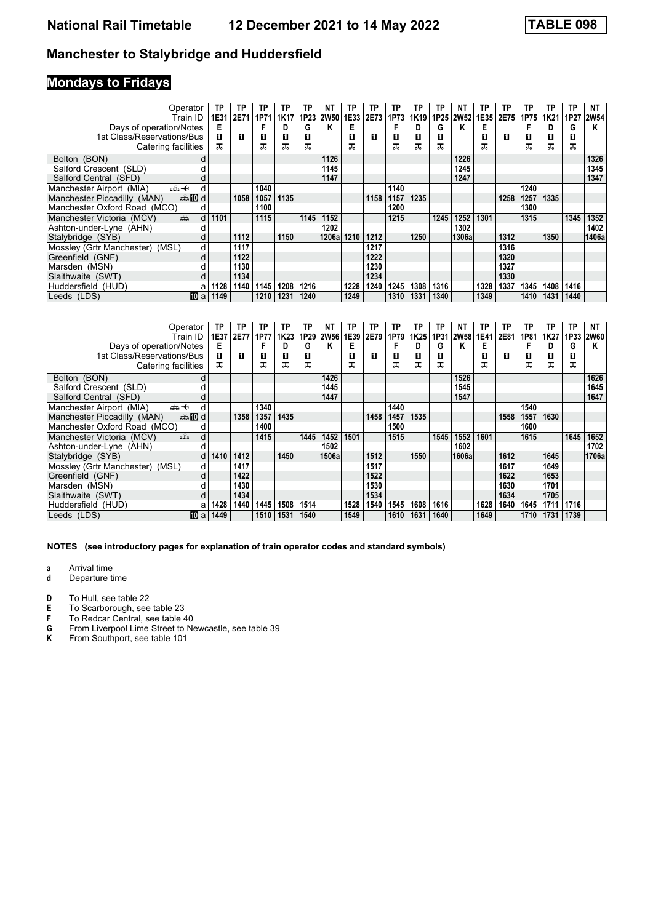# **Mondays to Fridays**

| Operator                                                                                                                                                                                                                                                   | TP        | TP   | ΤP   | TP   | TP   | NΤ          | TP   | TP   | ТP   | ТP   | ΤР   | ΝT        | ТP   | ТP   | ТP   | TP               | ТP   | NΤ          |
|------------------------------------------------------------------------------------------------------------------------------------------------------------------------------------------------------------------------------------------------------------|-----------|------|------|------|------|-------------|------|------|------|------|------|-----------|------|------|------|------------------|------|-------------|
| Train ID                                                                                                                                                                                                                                                   | 1E31      | 2E71 | 1P71 | 1K17 | 1P23 | <b>2W50</b> | 1E33 | 2E73 | 1P73 | 1K19 |      | 1P25 2W52 | 1E35 | 2E75 | 1P75 | 1K <sub>21</sub> | 1P27 | <b>2W54</b> |
| Days of operation/Notes                                                                                                                                                                                                                                    | Е         |      |      | D    | G    | κ           | Е    |      |      | D    | G    | κ         | E    |      |      | D                | G    | Κ           |
| 1st Class/Reservations/Bus                                                                                                                                                                                                                                 | п         | п    | 0    | П    | п    |             | п    | п    | п    | п    | п    |           | п    | п    | п    | П                | 0    |             |
| Catering facilities                                                                                                                                                                                                                                        | ᅚ         |      | ᅚ    | ᅚ    | ᅚ    |             |      |      |      |      | ᠼ    |           | ㅈ    |      | ᠼ    | ᅚ                | ᅚ    |             |
| Bolton (BON)                                                                                                                                                                                                                                               |           |      |      |      |      | 1126        |      |      |      |      |      | 1226      |      |      |      |                  |      | 1326        |
| Salford Crescent (SLD)                                                                                                                                                                                                                                     |           |      |      |      |      | 1145        |      |      |      |      |      | 1245      |      |      |      |                  |      | 1345        |
| Salford Central (SFD)                                                                                                                                                                                                                                      |           |      |      |      |      | 1147        |      |      |      |      |      | 1247      |      |      |      |                  |      | 1347        |
| Manchester Airport (MIA)<br><del>∰ ≮</del>                                                                                                                                                                                                                 |           |      | 1040 |      |      |             |      |      | 1140 |      |      |           |      |      | 1240 |                  |      |             |
| Manchester Piccadilly (MAN)<br>d <b>n</b> and                                                                                                                                                                                                              |           | 1058 | 1057 | 1135 |      |             |      | 1158 | 1157 | 1235 |      |           |      | 1258 | 1257 | 1335             |      |             |
| Manchester Oxford Road (MCO)                                                                                                                                                                                                                               | d         |      | 1100 |      |      |             |      |      | 1200 |      |      |           |      |      | 1300 |                  |      |             |
| Manchester Victoria (MCV)<br>and the second second second second the second second second second second second second second second second second second second second second second second second second second second second second second second second | 1101<br>d |      | 1115 |      | 1145 | 1152        |      |      | 1215 |      | 1245 | 1252      | 1301 |      | 1315 |                  | 1345 | 1352        |
| Ashton-under-Lyne (AHN)                                                                                                                                                                                                                                    |           |      |      |      |      | 1202        |      |      |      |      |      | 1302      |      |      |      |                  |      | 1402        |
| Stalybridge (SYB)                                                                                                                                                                                                                                          |           | 1112 |      | 1150 |      | 1206a       | 1210 | 1212 |      | 1250 |      | 1306a     |      | 1312 |      | 1350             |      | 1406a       |
| Mossley (Grtr Manchester) (MSL)                                                                                                                                                                                                                            | d         | 1117 |      |      |      |             |      | 1217 |      |      |      |           |      | 1316 |      |                  |      |             |
| Greenfield (GNF)                                                                                                                                                                                                                                           | d         | 1122 |      |      |      |             |      | 1222 |      |      |      |           |      | 1320 |      |                  |      |             |
| Marsden (MSN)                                                                                                                                                                                                                                              |           | 1130 |      |      |      |             |      | 1230 |      |      |      |           |      | 1327 |      |                  |      |             |
| Slaithwaite (SWT)                                                                                                                                                                                                                                          |           | 1134 |      |      |      |             |      | 1234 |      |      |      |           |      | 1330 |      |                  |      |             |
| Huddersfield (HUD)                                                                                                                                                                                                                                         | 1128<br>а | 1140 | 1145 | 1208 | 1216 |             | 1228 | 1240 | 1245 | 1308 | 1316 |           | 1328 | 1337 | 1345 | 1408             | 1416 |             |
| 10 a<br>Leeds (LDS)                                                                                                                                                                                                                                        | 1149      |      | 1210 | 1231 | 1240 |             | 1249 |      | 1310 | 1331 | 1340 |           | 1349 |      | 1410 | 1431             | 1440 |             |

| Operator                                       | TP   | ТP   | ТР   | ТP               | TP   | NT          | ТP   | ТP   | ТP   | ТP               | ΤP   | NΤ        | ТP   | ΤP   | ΤР   | TP   | ТP   | NΤ          |
|------------------------------------------------|------|------|------|------------------|------|-------------|------|------|------|------------------|------|-----------|------|------|------|------|------|-------------|
| Train ID                                       | 1E37 | 2E77 | 1P77 | 1K <sub>23</sub> | 1P29 | <b>2W56</b> | 1E39 | 2E79 | 1P79 | 1K <sub>25</sub> |      | 1P31 2W58 | 1E41 | 2E81 | 1P81 | 1K27 | 1P33 | <b>2W60</b> |
| Days of operation/Notes                        | Е    |      |      |                  | G    | Κ           | E    |      |      | D                | G    | Κ         | E    |      |      | D    | G    | Κ           |
| 1st Class/Reservations/Bus                     | п    | п    | П    | П                | п    |             | п    | п    | п    | п                | п    |           | п    | л    | п    | п    | 0    |             |
| Catering facilities                            | ᠼ    |      | ᅚ    | ᅚ                | ᅚ    |             |      |      |      | ᠼ                | ᠼ    |           | ᠼ    |      | ᠼ    | ᅚ    | ᅚ    |             |
| Bolton (BON)<br>d                              |      |      |      |                  |      | 1426        |      |      |      |                  |      | 1526      |      |      |      |      |      | 1626        |
| Salford Crescent (SLD)                         |      |      |      |                  |      | 1445        |      |      |      |                  |      | 1545      |      |      |      |      |      | 1645        |
| Salford Central (SFD)                          |      |      |      |                  |      | 1447        |      |      |      |                  |      | 1547      |      |      |      |      |      | 1647        |
| Manchester Airport (MIA)<br>←∰                 |      |      | 1340 |                  |      |             |      |      | 1440 |                  |      |           |      |      | 1540 |      |      |             |
| Manchester Piccadilly (MAN)<br><b>enting</b> d |      | 1358 | 1357 | 1435             |      |             |      | 1458 | 1457 | 1535             |      |           |      | 1558 | 1557 | 1630 |      |             |
| Manchester Oxford Road (MCO)<br>d              |      |      | 1400 |                  |      |             |      |      | 1500 |                  |      |           |      |      | 1600 |      |      |             |
| ain<br>d<br>Manchester Victoria (MCV)          |      |      | 1415 |                  | 1445 | 1452        | 1501 |      | 1515 |                  | 1545 | 1552      | 1601 |      | 1615 |      | 1645 | 1652        |
| Ashton-under-Lyne (AHN)                        |      |      |      |                  |      | 1502        |      |      |      |                  |      | 1602      |      |      |      |      |      | 1702        |
| Stalybridge (SYB)                              | 1410 | 1412 |      | 1450             |      | 1506a       |      | 1512 |      | 1550             |      | 1606al    |      | 1612 |      | 1645 |      | 1706a       |
| Mossley (Grtr Manchester) (MSL)<br>d           |      | 1417 |      |                  |      |             |      | 1517 |      |                  |      |           |      | 1617 |      | 1649 |      |             |
| Greenfield (GNF)<br>d                          |      | 1422 |      |                  |      |             |      | 1522 |      |                  |      |           |      | 1622 |      | 1653 |      |             |
| Marsden (MSN)                                  |      | 1430 |      |                  |      |             |      | 1530 |      |                  |      |           |      | 1630 |      | 1701 |      |             |
| Slaithwaite (SWT)                              |      | 1434 |      |                  |      |             |      | 1534 |      |                  |      |           |      | 1634 |      | 1705 |      |             |
| Huddersfield (HUD)                             | 1428 | 1440 | 1445 | 1508             | 1514 |             | 1528 | 1540 | 1545 | 1608             | 1616 |           | 1628 | 1640 | 1645 | 1711 | 1716 |             |
| Leeds (LDS)<br>110 a                           | 1449 |      | 1510 | 1531             | 1540 |             | 1549 |      | 1610 | 1631             | 1640 |           | 1649 |      | 1710 | 1731 | 1739 |             |

**NOTES (see introductory pages for explanation of train operator codes and standard symbols)**

**a** Arrival time<br>**d** Departure t

- **d** Departure time
- **D** To Hull, see table 22<br>**E** To Scarborough, see
- **E** To Scarborough, see table 23<br>**F** To Redcar Central, see table 4
- 
- **F** To Redcar Central, see table 40<br>**G** From Liverpool Lime Street to Ne<br>**K** From Southport, see table 101 From Liverpool Lime Street to Newcastle, see table 39
- From Southport, see table 101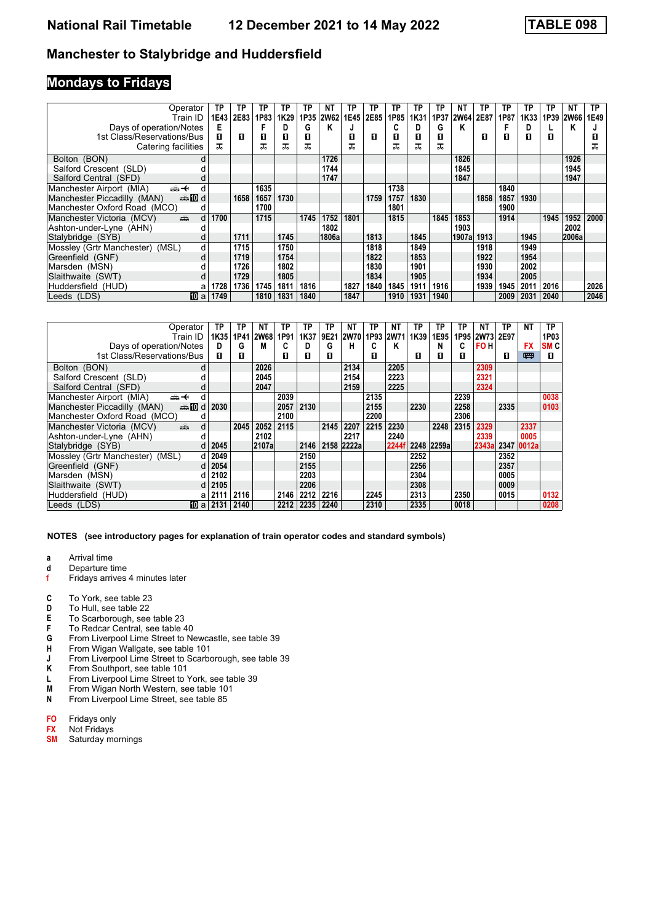### **Mondays to Fridays**

| Operator                                       | TP            | TP   | TP   | TP   | ТP   | ΝT          | ТP   | TP   | ТP   | ΤP   | TP   | ΝT     | ТP   | ΤP   | ТP   | ТP   | NΤ          | ТP   |
|------------------------------------------------|---------------|------|------|------|------|-------------|------|------|------|------|------|--------|------|------|------|------|-------------|------|
| Train ID                                       | 1E43          | 2E83 | 1P83 | 1K29 | 1P35 | <b>2W62</b> | 1E45 | 2E85 | 1P85 | 1K31 | 1P37 | 2W64   | 2E87 | 1P87 | 1K33 | 1P39 | <b>2W66</b> | 1E49 |
| Days of operation/Notes                        | Е             |      |      | D    | G    | Κ           |      |      | C    | D    | G    | Κ      |      |      | D    |      | Κ           |      |
| 1st Class/Reservations/Bus                     | п             | п    | п    | 0    | п    |             | п    | п    | п    | п    | п    |        | п    | п    | 0    | п    |             | п    |
| Catering facilities                            | ᇁ             |      | ᠼ    | ᅚ    | ᠼ    |             | ᇁ    |      |      | ᠼ    | ᠼ    |        |      |      |      |      |             | ᠼ    |
| Bolton (BON)                                   |               |      |      |      |      | 1726        |      |      |      |      |      | 1826   |      |      |      |      | 1926        |      |
| Salford Crescent (SLD)                         |               |      |      |      |      | 1744        |      |      |      |      |      | 1845   |      |      |      |      | 1945        |      |
| Salford Central (SFD)                          |               |      |      |      |      | 1747        |      |      |      |      |      | 1847   |      |      |      |      | 1947        |      |
| Manchester Airport (MIA)<br>安                  | d             |      | 1635 |      |      |             |      |      | 1738 |      |      |        |      | 1840 |      |      |             |      |
| Manchester Piccadilly (MAN)<br><b>enting</b> d |               | 1658 | 1657 | 1730 |      |             |      | 1759 | 1757 | 1830 |      |        | 1858 | 1857 | 1930 |      |             |      |
| Manchester Oxford Road (MCO)                   | d             |      | 1700 |      |      |             |      |      | 1801 |      |      |        |      | 1900 |      |      |             |      |
| Manchester Victoria (MCV)<br>پیش               | 1700<br>d     |      | 1715 |      | 1745 | 1752        | 1801 |      | 1815 |      | 1845 | 1853   |      | 1914 |      | 1945 | 1952        | 2000 |
| Ashton-under-Lyne (AHN)                        |               |      |      |      |      | 1802        |      |      |      |      |      | 1903   |      |      |      |      | 2002        |      |
| Stalybridge (SYB)                              |               | 1711 |      | 1745 |      | 1806a       |      | 1813 |      | 1845 |      | 1907al | 1913 |      | 1945 |      | 2006a       |      |
| Mossley (Grtr Manchester) (MSL)                | d             | 1715 |      | 1750 |      |             |      | 1818 |      | 1849 |      |        | 1918 |      | 1949 |      |             |      |
| Greenfield (GNF)                               | d             | 1719 |      | 1754 |      |             |      | 1822 |      | 1853 |      |        | 1922 |      | 1954 |      |             |      |
| Marsden (MSN)                                  |               | 1726 |      | 1802 |      |             |      | 1830 |      | 1901 |      |        | 1930 |      | 2002 |      |             |      |
| Slaithwaite (SWT)                              |               | 1729 |      | 1805 |      |             |      | 1834 |      | 1905 |      |        | 1934 |      | 2005 |      |             |      |
| Huddersfield (HUD)                             | 1728<br>a     | 1736 | 1745 | 1811 | 1816 |             | 1827 | 1840 | 1845 | 1911 | 1916 |        | 1939 | 1945 | 2011 | 2016 |             | 2026 |
| Leeds (LDS)                                    | 10 al<br>1749 |      | 1810 | 1831 | 1840 |             | 1847 |      | 1910 | 1931 | 1940 |        |      | 2009 | 2031 | 2040 |             | 2046 |

| Operator                                 | TP                    | TP   | ΝT          | ΤP   | ΤP   | ТР   | NΤ          | ТР   | ΝT        | TP   | ΤР         | ТР   | NΤ         | ТP   | ΝT         | ТP              |
|------------------------------------------|-----------------------|------|-------------|------|------|------|-------------|------|-----------|------|------------|------|------------|------|------------|-----------------|
| Train ID                                 | 1K35                  | 1P41 | <b>2W68</b> | 1P91 | 1K37 | 9E21 | <b>2W70</b> |      | 1P93 2W71 | 1K39 | 1E95       | 1P95 | 2W73       | 2E97 |            | 1P03            |
| Days of operation/Notes                  | D                     | G    | M           | C    | D    | G    | н           | C    | Κ         |      | N          | C    | <b>FOH</b> |      | <b>FX</b>  | SM <sub>C</sub> |
| 1st Class/Reservations/Bus               | п                     | п    |             | п    | п    | п    |             | п    |           | п    | п          | п    |            | п    | 四          | п               |
| Bolton (BON)                             | d                     |      | 2026        |      |      |      | 2134        |      | 2205      |      |            |      | 2309       |      |            |                 |
| Salford Crescent (SLD)                   |                       |      | 2045        |      |      |      | 2154        |      | 2223      |      |            |      | 2321       |      |            |                 |
| Salford Central (SFD)                    | d                     |      | 2047        |      |      |      | 2159        |      | 2225      |      |            |      | 2324       |      |            |                 |
| Manchester Airport (MIA)<br>←∰           | d                     |      |             | 2039 |      |      |             | 2135 |           |      |            | 2239 |            |      |            | 0038            |
| Manchester Piccadilly (MAN)<br>d lomanan | 2030                  |      |             | 2057 | 2130 |      |             | 2155 |           | 2230 |            | 2258 |            | 2335 |            | 0103            |
| Manchester Oxford Road (MCO)             | d                     |      |             | 2100 |      |      |             | 2200 |           |      |            | 2306 |            |      |            |                 |
| Manchester Victoria (MCV)<br>dia 1       | d                     | 2045 | 2052        | 2115 |      | 2145 | 2207        | 2215 | 2230      |      | 2248       | 2315 | 2329       |      | 2337       |                 |
| Ashton-under-Lyne (AHN)                  |                       |      | 2102        |      |      |      | 2217        |      | 2240      |      |            |      | 2339       |      | 0005       |                 |
| Stalybridge (SYB)                        | 2045<br>d             |      | 2107al      |      | 2146 |      | 2158 2222a  |      | 2244f     |      | 2248 2259a |      | 2343a      |      | 2347 0012a |                 |
| Mossley (Grtr Manchester) (MSL)          | 2049                  |      |             |      | 2150 |      |             |      |           | 2252 |            |      |            | 2352 |            |                 |
| Greenfield (GNF)                         | 2054                  |      |             |      | 2155 |      |             |      |           | 2256 |            |      |            | 2357 |            |                 |
| Marsden (MSN)                            | 2102                  |      |             |      | 2203 |      |             |      |           | 2304 |            |      |            | 0005 |            |                 |
| Slaithwaite (SWT)                        | 2105<br>d             |      |             |      | 2206 |      |             |      |           | 2308 |            |      |            | 0009 |            |                 |
| Huddersfield (HUD)                       | 2111<br>a             | 2116 |             | 2146 | 2212 | 2216 |             | 2245 |           | 2313 |            | 2350 |            | 0015 |            | 0132            |
| Leeds (LDS)                              | $\textbf{10}$ al 2131 | 2140 |             | 2212 | 2235 | 2240 |             | 2310 |           | 2335 |            | 0018 |            |      |            | 0208            |

#### **NOTES (see introductory pages for explanation of train operator codes and standard symbols)**

**a** Arrival time<br>**d** Departure ti

- **d** Departure time
- f Fridays arrives 4 minutes later
- **C** To York, see table 23<br>**D** To Hull, see table 22
- **D** To Hull, see table 22<br>**E** To Scarborough, see
- **E** To Scarborough, see table 23<br>**F** To Redcar Central, see table 4
- To Redcar Central, see table 40
- **G** From Liverpool Lime Street to Newcastle, see table 39<br>**H** From Wigan Wallgate, see table 101
- **H** From Wigan Wallgate, see table 101<br>**J** From Liverpool Lime Street to Scarbo
- **J** From Liverpool Lime Street to Scarborough, see table 39<br>**K** From Southport, see table 101
- From Southport, see table 101
- **L** From Liverpool Lime Street to York, see table 39<br>**M** From Wigan North Western, see table 101
- **M** From Wigan North Western, see table 101<br>**N** From Liverpool Lime Street, see table 85
- From Liverpool Lime Street, see table 85
- **FO** Fridays only<br>**FX** Not Fridays
- **FX** Not Fridays<br>**SM** Saturday me
- **Saturday mornings**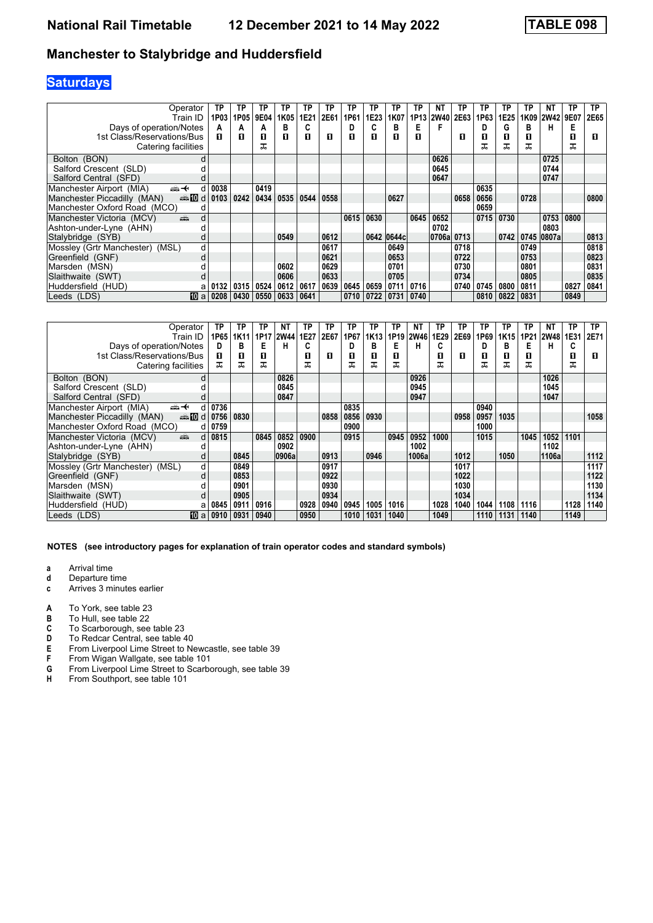# **Saturdays**

| Operator                                                                                                                                                                                                                                                   |                | ΤP   | TP   | ΤP   | ТP   | TP   | TP   | TP   | ТP   | ТP         | ТP   | NΤ          | ТP   | ТP   | ТP   | ТP   | ΝT                 | ТP   | ТP   |
|------------------------------------------------------------------------------------------------------------------------------------------------------------------------------------------------------------------------------------------------------------|----------------|------|------|------|------|------|------|------|------|------------|------|-------------|------|------|------|------|--------------------|------|------|
|                                                                                                                                                                                                                                                            | Train ID       | 1P03 | 1P05 | 9E04 | 1K05 | 1E21 | 2E61 | 1P61 | 1E23 | 1K07       | 1P13 | <b>2W40</b> | 2E63 | 1P63 | 1E25 | 1K09 | <b>2W42</b>        | 9E07 | 2E65 |
| Days of operation/Notes                                                                                                                                                                                                                                    |                | А    | А    | А    | в    |      |      | D    |      | в          | Е    | F           |      | D    | G    | в    | н                  | Е    |      |
| 1st Class/Reservations/Bus                                                                                                                                                                                                                                 |                | п    | П    | 0    | п    | п    | п    | п    | П    | п          | п    |             | п    | О    | п    | O    |                    | 0    | 0    |
| Catering facilities                                                                                                                                                                                                                                        |                |      |      | ᅚ    |      |      |      |      |      |            |      |             |      | ᠼ    | ᠼ    | ᠼ    |                    | ᅚ    |      |
| Bolton (BON)                                                                                                                                                                                                                                               |                |      |      |      |      |      |      |      |      |            |      | 0626        |      |      |      |      | 0725               |      |      |
| Salford Crescent (SLD)                                                                                                                                                                                                                                     |                |      |      |      |      |      |      |      |      |            |      | 0645        |      |      |      |      | 0744               |      |      |
| Salford Central (SFD)                                                                                                                                                                                                                                      |                |      |      |      |      |      |      |      |      |            |      | 0647        |      |      |      |      | 0747               |      |      |
| Manchester Airport (MIA)<br>⇜✦                                                                                                                                                                                                                             |                | 0038 |      | 0419 |      |      |      |      |      |            |      |             |      | 0635 |      |      |                    |      |      |
| Manchester Piccadilly (MAN)                                                                                                                                                                                                                                | d <b>n</b> and | 0103 | 0242 | 0434 | 0535 | 0544 | 0558 |      |      | 0627       |      |             | 0658 | 0656 |      | 0728 |                    |      | 0800 |
| Manchester Oxford Road (MCO)                                                                                                                                                                                                                               |                |      |      |      |      |      |      |      |      |            |      |             |      | 0659 |      |      |                    |      |      |
| Manchester Victoria (MCV)<br>and the second second second second the second second second second second second second second second second second second second second second second second second second second second second second second second second | d              |      |      |      |      |      |      | 0615 | 0630 |            | 0645 | 0652        |      | 0715 | 0730 |      | 0753               | 0800 |      |
| Ashton-under-Lyne (AHN)                                                                                                                                                                                                                                    |                |      |      |      |      |      |      |      |      |            |      | 0702        |      |      |      |      | 0803               |      |      |
| Stalybridge (SYB)                                                                                                                                                                                                                                          |                |      |      |      | 0549 |      | 0612 |      |      | 0642 0644c |      | 0706a       | 0713 |      |      |      | 0742   0745  0807a |      | 0813 |
| Mossley (Grtr Manchester) (MSL)                                                                                                                                                                                                                            | d              |      |      |      |      |      | 0617 |      |      | 0649       |      |             | 0718 |      |      | 0749 |                    |      | 0818 |
| Greenfield (GNF)                                                                                                                                                                                                                                           | d              |      |      |      |      |      | 0621 |      |      | 0653       |      |             | 0722 |      |      | 0753 |                    |      | 0823 |
| Marsden (MSN)                                                                                                                                                                                                                                              |                |      |      |      | 0602 |      | 0629 |      |      | 0701       |      |             | 0730 |      |      | 0801 |                    |      | 0831 |
| Slaithwaite (SWT)                                                                                                                                                                                                                                          |                |      |      |      | 0606 |      | 0633 |      |      | 0705       |      |             | 0734 |      |      | 0805 |                    |      | 0835 |
| Huddersfield (HUD)                                                                                                                                                                                                                                         |                | 0132 | 0315 | 0524 | 0612 | 0617 | 0639 | 0645 | 0659 | 0711       | 0716 |             | 0740 | 0745 | 0800 | 0811 |                    | 0827 | 0841 |
| Leeds (LDS)                                                                                                                                                                                                                                                | $10a$   0208   |      | 0430 | 0550 | 0633 | 0641 |      | 0710 | 0722 | 0731       | 0740 |             |      | 0810 | 0822 | 0831 |                    | 0849 |      |

| Operator                                  | TP   | ТP   | ΤP   | NΤ          | ΤP   | ΤP   | TP   | ТP               | TP   | ΝT          | ΤР   | ТP   | ТP   | ТP   | ΤP   | NΤ          | ТP   | TP   |
|-------------------------------------------|------|------|------|-------------|------|------|------|------------------|------|-------------|------|------|------|------|------|-------------|------|------|
| Train ID                                  | 1P65 | 1K11 | 1P17 | <b>2W44</b> | 1E27 | 2E67 | 1P67 | 1K <sub>13</sub> | 1P19 | <b>2W46</b> | 1E29 | 2E69 | 1P69 | 1K15 | 1P21 | <b>2W48</b> | 1E31 | 2E71 |
| Days of operation/Notes                   | D    | в    | E    | н           | c    |      |      | в                | Е    | н           | C    |      | D    | в    | Е    | н           | C    |      |
| 1st Class/Reservations/Bus                | п    | 0    | П    |             | п    | п    | п    | п                | п    |             | п    | П    | п    | п    | п    |             | 0    | п    |
| Catering facilities                       | ᠼ    | ᅚ    | ᠼ    |             | ᠼ    |      | ᠼ    | ᅚ                |      |             | ᠼ    |      | ᅚ    | ᠼ    | ᅚ    |             | ᅚ    |      |
| Bolton (BON)<br>d                         |      |      |      | 0826        |      |      |      |                  |      | 0926        |      |      |      |      |      | 1026        |      |      |
| Salford Crescent (SLD)                    |      |      |      | 0845        |      |      |      |                  |      | 0945        |      |      |      |      |      | 1045        |      |      |
| Salford Central (SFD)                     |      |      |      | 0847        |      |      |      |                  |      | 0947        |      |      |      |      |      | 1047        |      |      |
| Manchester Airport (MIA)<br>←∰            | 0736 |      |      |             |      |      | 0835 |                  |      |             |      |      | 0940 |      |      |             |      |      |
| Manchester Piccadilly (MAN)<br>d <b>n</b> | 0756 | 0830 |      |             |      | 0858 | 0856 | 0930             |      |             |      | 0958 | 0957 | 1035 |      |             |      | 1058 |
| Manchester Oxford Road (MCO)<br>d         | 0759 |      |      |             |      |      | 0900 |                  |      |             |      |      | 1000 |      |      |             |      |      |
| Manchester Victoria (MCV)<br>añ,<br>d     | 0815 |      | 0845 | 0852        | 0900 |      | 0915 |                  | 0945 | 0952        | 1000 |      | 1015 |      | 1045 | 1052        | 1101 |      |
| Ashton-under-Lyne (AHN)                   |      |      |      | 0902        |      |      |      |                  |      | 1002        |      |      |      |      |      | 1102        |      |      |
| Stalybridge (SYB)<br>d                    |      | 0845 |      | 0906a       |      | 0913 |      | 0946             |      | 1006a       |      | 1012 |      | 1050 |      | 1106a       |      | 1112 |
| Mossley (Grtr Manchester) (MSL)<br>d      |      | 0849 |      |             |      | 0917 |      |                  |      |             |      | 1017 |      |      |      |             |      | 1117 |
| Greenfield (GNF)<br>d                     |      | 0853 |      |             |      | 0922 |      |                  |      |             |      | 1022 |      |      |      |             |      | 1122 |
| Marsden (MSN)                             |      | 0901 |      |             |      | 0930 |      |                  |      |             |      | 1030 |      |      |      |             |      | 1130 |
| Slaithwaite (SWT)                         |      | 0905 |      |             |      | 0934 |      |                  |      |             |      | 1034 |      |      |      |             |      | 1134 |
| Huddersfield (HUD)<br>a                   | 0845 | 0911 | 0916 |             | 0928 | 0940 | 0945 | 1005             | 1016 |             | 1028 | 1040 | 1044 | 1108 | 1116 |             | 1128 | 1140 |
| Leeds (LDS)<br>10 a                       | 0910 | 0931 | 0940 |             | 0950 |      | 1010 | 1031             | 1040 |             | 1049 |      | 1110 | 1131 | 1140 |             | 1149 |      |

- **a** Arrival time<br>**d** Departure t
- **d** Departure time
- **c** Arrives 3 minutes earlier
- **A** To York, see table 23<br>**B** To Hull, see table 22
- **B** To Hull, see table 22<br>**C** To Scarborough, see
- **C** To Scarborough, see table 23<br>**D** To Redcar Central, see table 4
- **D** To Redcar Central, see table 40<br>**E** From Liverpool Lime Street to Ne<br>**F** From Wigan Wallgate, see table
- From Liverpool Lime Street to Newcastle, see table 39
- **F** From Wigan Wallgate, see table 101<br>**G** From Liverpool Lime Street to Scarbo
- **G** From Liverpool Lime Street to Scarborough, see table 39<br>**H** From Southport, see table 101
- From Southport, see table 101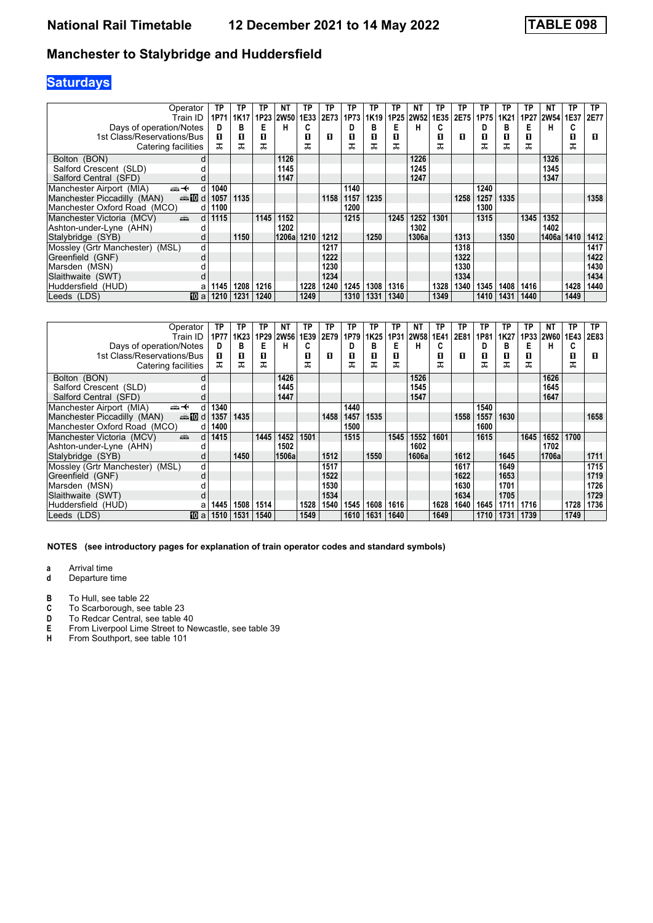# **Saturdays**

| Operator                                                                                                                                                                                                                                                        | TP   | TP          | ΤP               | NT.         | TP   | TP   | TP   | ТP   | ТP   | ΝT          | ΤР   | TP   | ТP   | ТP   | ΤP   | ΝT          | ТP   | TP   |
|-----------------------------------------------------------------------------------------------------------------------------------------------------------------------------------------------------------------------------------------------------------------|------|-------------|------------------|-------------|------|------|------|------|------|-------------|------|------|------|------|------|-------------|------|------|
| Train ID                                                                                                                                                                                                                                                        | 1P71 | <b>1K17</b> | 1P <sub>23</sub> | <b>2W50</b> | 1E33 | 2E73 | 1P73 | 1K19 | 1P25 | <b>2W52</b> | 1E35 | 2E75 | 1P75 | 1K21 |      | 1P27   2W54 | 1E37 | 2E77 |
| Days of operation/Notes                                                                                                                                                                                                                                         | D    | в           | Е                | н           | c.   |      | D    | в    | Е    | н           | C    |      | D    | в    | E    | н           | C    |      |
| 1st Class/Reservations/Bus                                                                                                                                                                                                                                      | п    | 0           | П                |             | п    | п    | п    | п    | п    |             | П    | п    | О    | п    | O    |             | П    | 0    |
| Catering facilities                                                                                                                                                                                                                                             | ᠼ    | ᅚ           | ᅚ                |             | ᠼ    |      | ᅚ    |      | ᠼ    |             | ᠼ    |      | ᠼ    | ᠼ    | ᠼ    |             | ᅚ    |      |
| Bolton (BON)                                                                                                                                                                                                                                                    | d    |             |                  | 1126        |      |      |      |      |      | 1226        |      |      |      |      |      | 1326        |      |      |
| Salford Crescent (SLD)                                                                                                                                                                                                                                          |      |             |                  | 1145        |      |      |      |      |      | 1245        |      |      |      |      |      | 1345        |      |      |
| Salford Central (SFD)                                                                                                                                                                                                                                           |      |             |                  | 1147        |      |      |      |      |      | 1247        |      |      |      |      |      | 1347        |      |      |
| Manchester Airport (MIA)<br>←<br>d                                                                                                                                                                                                                              | 1040 |             |                  |             |      |      | 1140 |      |      |             |      |      | 1240 |      |      |             |      |      |
| Manchester Piccadilly (MAN)<br>dannam di                                                                                                                                                                                                                        | 1057 | 1135        |                  |             |      | 1158 | 1157 | 1235 |      |             |      | 1258 | 1257 | 1335 |      |             |      | 1358 |
| Manchester Oxford Road (MCO)<br>d                                                                                                                                                                                                                               | 1100 |             |                  |             |      |      | 1200 |      |      |             |      |      | 1300 |      |      |             |      |      |
| Manchester Victoria (MCV)<br>and the second second second second the second second second second second second second second second second second second second second second second second second second second second second second second second second<br>d | 1115 |             | 1145             | 1152        |      |      | 1215 |      | 1245 | 1252        | 1301 |      | 1315 |      | 1345 | 1352        |      |      |
| Ashton-under-Lyne (AHN)                                                                                                                                                                                                                                         |      |             |                  | 1202        |      |      |      |      |      | 1302        |      |      |      |      |      | 1402        |      |      |
| Stalybridge (SYB)                                                                                                                                                                                                                                               |      | 1150        |                  | 1206al      | 1210 | 1212 |      | 1250 |      | 1306a       |      | 1313 |      | 1350 |      | 1406al      | 1410 | 1412 |
| Mossley (Grtr Manchester) (MSL)<br>d                                                                                                                                                                                                                            |      |             |                  |             |      | 1217 |      |      |      |             |      | 1318 |      |      |      |             |      | 1417 |
| Greenfield (GNF)<br>d                                                                                                                                                                                                                                           |      |             |                  |             |      | 1222 |      |      |      |             |      | 1322 |      |      |      |             |      | 1422 |
| Marsden (MSN)                                                                                                                                                                                                                                                   |      |             |                  |             |      | 1230 |      |      |      |             |      | 1330 |      |      |      |             |      | 1430 |
| Slaithwaite (SWT)                                                                                                                                                                                                                                               |      |             |                  |             |      | 1234 |      |      |      |             |      | 1334 |      |      |      |             |      | 1434 |
| Huddersfield (HUD)<br>а                                                                                                                                                                                                                                         | 1145 | 1208        | 1216             |             | 1228 | 1240 | 1245 | 1308 | 1316 |             | 1328 | 1340 | 1345 | 1408 | 1416 |             | 1428 | 1440 |
| 10 a<br>Leeds (LDS)                                                                                                                                                                                                                                             | 1210 | 1231        | 1240             |             | 1249 |      | 1310 | 1331 | 1340 |             | 1349 |      | 1410 | 1431 | 1440 |             | 1449 |      |

| Operator                                                    | ΤP   | ТP               | ΤР   | NΤ          | ΤP   | TP   | TP   | ТP               | TP   | ΝT          | TP   | ТP   | ТP   | ТP   | ТP   | NΤ          | ТP   | TP   |
|-------------------------------------------------------------|------|------------------|------|-------------|------|------|------|------------------|------|-------------|------|------|------|------|------|-------------|------|------|
| Train ID                                                    | 1P77 | 1K <sub>23</sub> | 1P29 | <b>2W56</b> | 1E39 | 2E79 | 1P79 | 1K <sub>25</sub> | 1P31 | <b>2W58</b> | 1E41 | 2E81 | 1P81 | 1K27 | 1P33 | <b>2W60</b> | 1E43 | 2E83 |
| Days of operation/Notes                                     | D    | в                | Е    | н           | c    |      |      | в                | Е    | н           | C    |      | D    | в    | Е    | н           | C    |      |
| 1st Class/Reservations/Bus                                  | п    | 0                | П    |             | п    | п    | п    | п                | п    |             | п    | П    | п    | п    | п    |             | 0    | п    |
| Catering facilities                                         | ᠼ    | ᅚ                | ᅚ    |             | ㅈ    |      | ᅚ    | ᅚ                | ᅚ    |             | ᅚ    |      | ᅚ    | ᠼ    | ᅚ    |             | ᅚ    |      |
| Bolton (BON)<br>d                                           |      |                  |      | 1426        |      |      |      |                  |      | 1526        |      |      |      |      |      | 1626        |      |      |
| Salford Crescent (SLD)                                      |      |                  |      | 1445        |      |      |      |                  |      | 1545        |      |      |      |      |      | 1645        |      |      |
| Salford Central (SFD)                                       |      |                  |      | 1447        |      |      |      |                  |      | 1547        |      |      |      |      |      | 1647        |      |      |
| Manchester Airport (MIA)<br>←∰<br>d                         | 1340 |                  |      |             |      |      | 1440 |                  |      |             |      |      | 1540 |      |      |             |      |      |
| Manchester Piccadilly (MAN)<br>annon diaman'ny diaman'ny de | 1357 | 1435             |      |             |      | 1458 | 1457 | 1535             |      |             |      | 1558 | 1557 | 1630 |      |             |      | 1658 |
| Manchester Oxford Road (MCO)<br>d                           | 1400 |                  |      |             |      |      | 1500 |                  |      |             |      |      | 1600 |      |      |             |      |      |
| añ,<br>Manchester Victoria (MCV)<br>d                       | 1415 |                  | 1445 | 1452        | 1501 |      | 1515 |                  | 1545 | 1552        | 1601 |      | 1615 |      | 1645 | 1652        | 1700 |      |
| Ashton-under-Lyne (AHN)                                     |      |                  |      | 1502        |      |      |      |                  |      | 1602        |      |      |      |      |      | 1702        |      |      |
| Stalybridge (SYB)                                           |      | 1450             |      | 1506a       |      | 1512 |      | 1550             |      | 1606a       |      | 1612 |      | 1645 |      | 1706a       |      | 1711 |
| Mossley (Grtr Manchester) (MSL)<br>d                        |      |                  |      |             |      | 1517 |      |                  |      |             |      | 1617 |      | 1649 |      |             |      | 1715 |
| Greenfield (GNF)<br>d                                       |      |                  |      |             |      | 1522 |      |                  |      |             |      | 1622 |      | 1653 |      |             |      | 1719 |
| Marsden (MSN)                                               |      |                  |      |             |      | 1530 |      |                  |      |             |      | 1630 |      | 1701 |      |             |      | 1726 |
| Slaithwaite (SWT)                                           |      |                  |      |             |      | 1534 |      |                  |      |             |      | 1634 |      | 1705 |      |             |      | 1729 |
| Huddersfield (HUD)<br>a                                     | 1445 | 1508             | 1514 |             | 1528 | 1540 | 1545 | 1608             | 1616 |             | 1628 | 1640 | 1645 | 1711 | 1716 |             | 1728 | 1736 |
| Leeds (LDS)<br>10 a                                         | 1510 | 1531             | 1540 |             | 1549 |      | 1610 | 1631             | 1640 |             | 1649 |      | 1710 | 1731 | 1739 |             | 1749 |      |

**NOTES (see introductory pages for explanation of train operator codes and standard symbols)**

**a** Arrival time<br>**d** Departure t

- **d** Departure time
- **B** To Hull, see table 22<br>**C** To Scarborough, see
- **C** To Scarborough, see table 23<br>**D** To Redcar Central, see table 4
- **D** To Redcar Central, see table 40<br>**E** From Liverpool Lime Street to Ne
- **E** From Liverpool Lime Street to Newcastle, see table 39<br>**H** From Southport, see table 101
- From Southport, see table 101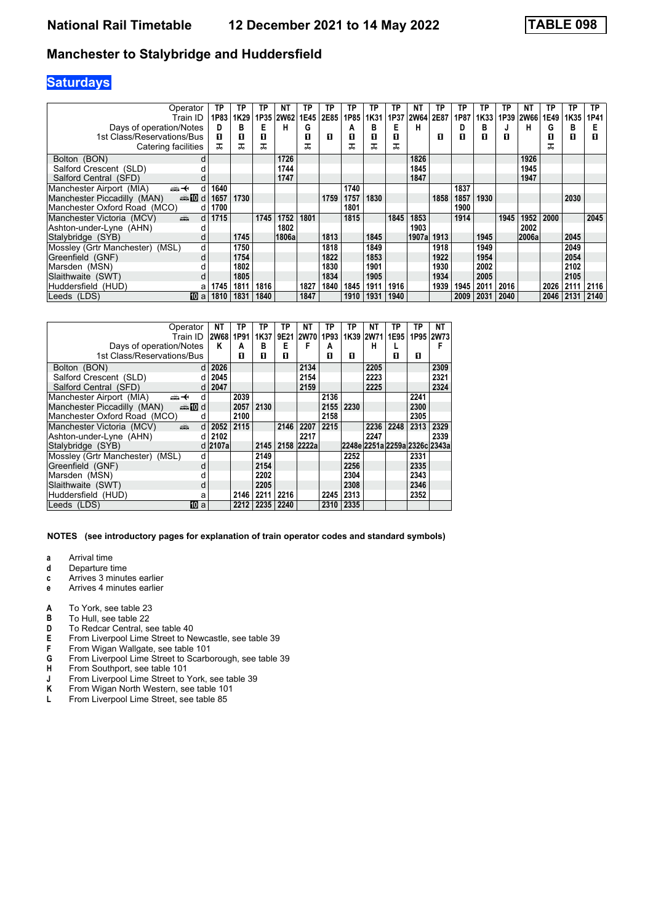# **Saturdays**

| Operator                                        | ТP        | ТP   | TP   | <b>NT</b>   | ТP   | ТР   | TP   | ТP   | TP   | <b>NT</b>   | ТP   | ТP   | ТP   | ТP   | ΝT          | TP   | ТP   | ТP   |
|-------------------------------------------------|-----------|------|------|-------------|------|------|------|------|------|-------------|------|------|------|------|-------------|------|------|------|
| Train ID                                        | 1P83      | 1K29 | 1P35 | <b>2W62</b> | 1E45 | 2E85 | 1P85 | 1K31 | 1P37 | <b>2W64</b> | 2E87 | 1P87 | 1K33 | 1P39 | <b>2W66</b> | 1E49 | 1K35 | 1P41 |
| Days of operation/Notes                         | D         | в    | Е    | н           | G    |      | А    | в    | Е    | н           |      | D    | в    |      | н           | G    | в    | Е    |
| 1st Class/Reservations/Bus                      | п         | 0    | п    |             | п    | п    | п    | п    | п    |             | п    | п    | п    | п    |             | п    | П    | 0    |
| Catering facilities                             | ᠼ         | ᅚ    | ᅚ    |             |      |      |      | ᠼ    | ᠼ    |             |      |      |      |      |             |      |      |      |
| Bolton (BON)                                    | d         |      |      | 1726        |      |      |      |      |      | 1826        |      |      |      |      | 1926        |      |      |      |
| Salford Crescent (SLD)                          |           |      |      | 1744        |      |      |      |      |      | 1845        |      |      |      |      | 1945        |      |      |      |
| Salford Central (SFD)                           |           |      |      | 1747        |      |      |      |      |      | 1847        |      |      |      |      | 1947        |      |      |      |
| Manchester Airport (MIA)<br><del>∰ ≮</del><br>d | 1640      |      |      |             |      |      | 1740 |      |      |             |      | 1837 |      |      |             |      |      |      |
| Manchester Piccadilly (MAN)<br>den <b>i</b> nd  | 1657      | 1730 |      |             |      | 1759 | 1757 | 1830 |      |             | 1858 | 1857 | 1930 |      |             |      | 2030 |      |
| Manchester Oxford Road (MCO)                    | 1700<br>d |      |      |             |      |      | 1801 |      |      |             |      | 1900 |      |      |             |      |      |      |
| Manchester Victoria (MCV)<br>پیش                | 1715<br>d |      | 1745 | 1752        | 1801 |      | 1815 |      | 1845 | 1853        |      | 1914 |      | 1945 | 1952        | 2000 |      | 2045 |
| Ashton-under-Lyne (AHN)                         |           |      |      | 1802        |      |      |      |      |      | 1903        |      |      |      |      | 2002        |      |      |      |
| Stalybridge (SYB)                               | d         | 1745 |      | 1806a       |      | 1813 |      | 1845 |      | 1907a       | 1913 |      | 1945 |      | 2006a       |      | 2045 |      |
| Mossley (Grtr Manchester) (MSL)                 | d         | 1750 |      |             |      | 1818 |      | 1849 |      |             | 1918 |      | 1949 |      |             |      | 2049 |      |
| Greenfield (GNF)<br>d                           |           | 1754 |      |             |      | 1822 |      | 1853 |      |             | 1922 |      | 1954 |      |             |      | 2054 |      |
| Marsden (MSN)                                   |           | 1802 |      |             |      | 1830 |      | 1901 |      |             | 1930 |      | 2002 |      |             |      | 2102 |      |
| Slaithwaite (SWT)                               |           | 1805 |      |             |      | 1834 |      | 1905 |      |             | 1934 |      | 2005 |      |             |      | 2105 |      |
| Huddersfield (HUD)<br>а                         | 1745      | 1811 | 1816 |             | 1827 | 1840 | 1845 | 1911 | 1916 |             | 1939 | 1945 | 2011 | 2016 |             | 2026 | 2111 | 2116 |
| 10 a<br>Leeds (LDS)                             | 1810      | 1831 | 1840 |             | 1847 |      | 1910 | 1931 | 1940 |             |      | 2009 | 2031 | 2040 |             | 2046 | 2131 | 2140 |

| Operator                                                                                                                                                                                                                                                               | NΤ      | ΤP   | ΤP   | ТР   | <b>NT</b>   | ΤP   | ТP   | NΤ          | TP   | ТP   | NΤ                            |
|------------------------------------------------------------------------------------------------------------------------------------------------------------------------------------------------------------------------------------------------------------------------|---------|------|------|------|-------------|------|------|-------------|------|------|-------------------------------|
| Train ID                                                                                                                                                                                                                                                               | 2W68    | 1P91 | 1K37 | 9E21 | <b>2W70</b> | 1P93 | 1K39 | <b>2W71</b> | 1E95 | 1P95 | <b>2W73</b>                   |
| Days of operation/Notes                                                                                                                                                                                                                                                | Κ       | A    | в    | Е    | F           | A    |      | н           |      |      | F                             |
| 1st Class/Reservations/Bus                                                                                                                                                                                                                                             |         | п    | п    | п    |             | п    | п    |             | п    | п    |                               |
|                                                                                                                                                                                                                                                                        |         |      |      |      |             |      |      |             |      |      |                               |
| Bolton (BON)<br><sub>d</sub>                                                                                                                                                                                                                                           | 2026    |      |      |      | 2134        |      |      | 2205        |      |      | 2309                          |
| Salford Crescent (SLD)<br>d.                                                                                                                                                                                                                                           | 2045    |      |      |      | 2154        |      |      | 2223        |      |      | 2321                          |
| Salford Central (SFD)<br>d                                                                                                                                                                                                                                             | 2047    |      |      |      | 2159        |      |      | 2225        |      |      | 2324                          |
| Manchester Airport (MIA)<br>←∰<br>d                                                                                                                                                                                                                                    |         | 2039 |      |      |             | 2136 |      |             |      | 2241 |                               |
| Manchester Piccadilly (MAN)<br><b>enting</b> d                                                                                                                                                                                                                         |         | 2057 | 2130 |      |             | 2155 | 2230 |             |      | 2300 |                               |
| Manchester Oxford Road (MCO)<br>d                                                                                                                                                                                                                                      |         | 2100 |      |      |             | 2158 |      |             |      | 2305 |                               |
| and the second second second second the second second second second second second second second second second second second second second second second second second second second second second second second second second<br>Manchester Victoria (MCV)<br>$d \mid$ | 2052    | 2115 |      | 2146 | 2207        | 2215 |      | 2236        | 2248 | 2313 | 2329                          |
| Ashton-under-Lyne (AHN)<br>d                                                                                                                                                                                                                                           | 2102    |      |      |      | 2217        |      |      | 2247        |      |      | 2339                          |
| Stalybridge (SYB)                                                                                                                                                                                                                                                      | d 2107a |      | 2145 |      | 2158 2222a  |      |      |             |      |      | 2248e 2251a 2259a 2326c 2343a |
| Mossley (Grtr Manchester) (MSL)<br>d                                                                                                                                                                                                                                   |         |      | 2149 |      |             |      | 2252 |             |      | 2331 |                               |
| Greenfield (GNF)<br>d                                                                                                                                                                                                                                                  |         |      | 2154 |      |             |      | 2256 |             |      | 2335 |                               |
| Marsden (MSN)                                                                                                                                                                                                                                                          |         |      | 2202 |      |             |      | 2304 |             |      | 2343 |                               |
| Slaithwaite (SWT)<br>d                                                                                                                                                                                                                                                 |         |      | 2205 |      |             |      | 2308 |             |      | 2346 |                               |
| Huddersfield (HUD)<br>a                                                                                                                                                                                                                                                |         | 2146 | 2211 | 2216 |             | 2245 | 2313 |             |      | 2352 |                               |
| 10<br>Leeds (LDS)<br>a                                                                                                                                                                                                                                                 |         | 2212 | 2235 | 2240 |             | 2310 | 2335 |             |      |      |                               |

- **a** Arrival time<br>**d** Departure ti
- **d** Departure time
- **c** Arrives 3 minutes earlier
- **e** Arrives 4 minutes earlier
- **A** To York, see table 23<br>**B** To Hull, see table 22
- **B** To Hull, see table 22<br>**D** To Redcar Central. s
- To Redcar Central, see table 40
- **E** From Liverpool Lime Street to Newcastle, see table 39<br>**F** From Wigan Wallgate, see table 101
- **F** From Wigan Wallgate, see table 101<br>**G** From Liverpool Lime Street to Scarbo From Liverpool Lime Street to Scarborough, see table 39
- 
- **H** From Southport, see table 101
- **J** From Liverpool Lime Street to York, see table 39 **K** From Wigan North Western, see table 101
- **K** From Wigan North Western, see table 101<br>**L** From Liverpool Lime Street, see table 85 From Liverpool Lime Street, see table 85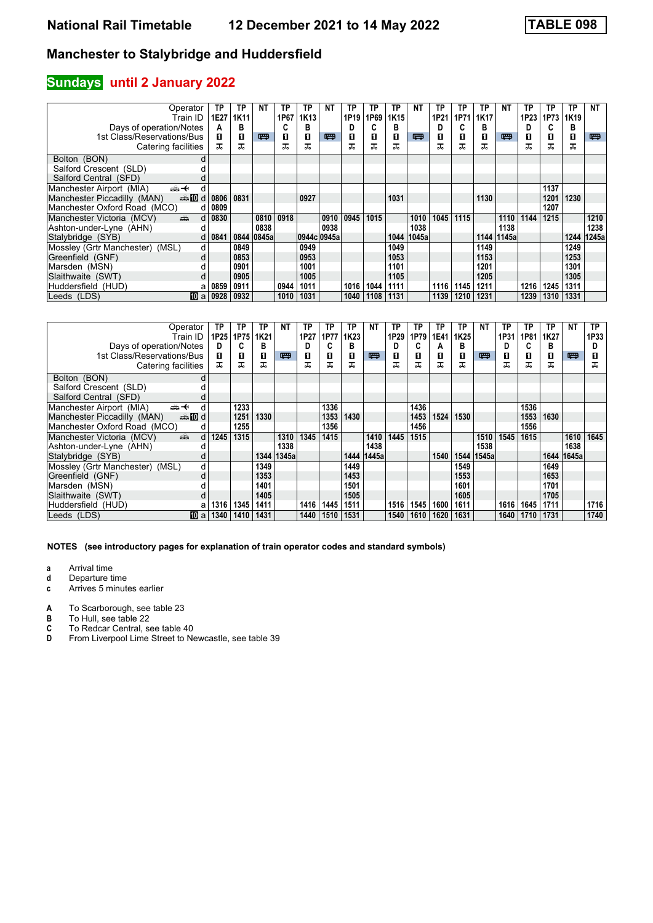### **Sundays** until 2 January 2022

| Operator                                                                                                                                                                                                                                                         | ТP   | TP   | NΤ         | ТP   | ТP          | <b>NT</b> | TP   | ТP   | ТP   | ΝT    | ТP   | ТP   | ТP   | <b>NT</b> | ТP   | ТP   | ТP   | <b>NT</b> |
|------------------------------------------------------------------------------------------------------------------------------------------------------------------------------------------------------------------------------------------------------------------|------|------|------------|------|-------------|-----------|------|------|------|-------|------|------|------|-----------|------|------|------|-----------|
| Train ID                                                                                                                                                                                                                                                         | 1E27 | 1K11 |            | 1P67 | 1K13        |           | 1P19 | 1P69 | 1K15 |       | 1P21 | 1P71 | 1K17 |           | 1P23 | 1P73 | 1K19 |           |
| Days of operation/Notes                                                                                                                                                                                                                                          | А    | в    |            | C    | в           |           |      |      | в    |       | D    | C    | в    |           | D    |      | в    |           |
| 1st Class/Reservations/Bus                                                                                                                                                                                                                                       | п    | п    | 四          | 0    | п           | 罒         | п    | п    | п    | 四     | п    | П    | О    | 四         | O    | П    | П    | 粤         |
| Catering facilities                                                                                                                                                                                                                                              | ᠼ    | ᅚ    |            | ᠼ    | ᅚ           |           | ᠼ    |      | ㅈ    |       | ᠼ    | ᠼ    | ᠼ    |           | ᅚ    | ᅚ    | ᠼ    |           |
| Bolton (BON)<br>d                                                                                                                                                                                                                                                |      |      |            |      |             |           |      |      |      |       |      |      |      |           |      |      |      |           |
| Salford Crescent (SLD)                                                                                                                                                                                                                                           |      |      |            |      |             |           |      |      |      |       |      |      |      |           |      |      |      |           |
| Salford Central (SFD)                                                                                                                                                                                                                                            |      |      |            |      |             |           |      |      |      |       |      |      |      |           |      |      |      |           |
| Manchester Airport (MIA)<br>安<br>d                                                                                                                                                                                                                               |      |      |            |      |             |           |      |      |      |       |      |      |      |           |      | 1137 |      |           |
| Manchester Piccadilly (MAN)<br>dannam di                                                                                                                                                                                                                         | 0806 | 0831 |            |      | 0927        |           |      |      | 1031 |       |      |      | 1130 |           |      | 1201 | 1230 |           |
| Manchester Oxford Road (MCO)<br>d                                                                                                                                                                                                                                | 0809 |      |            |      |             |           |      |      |      |       |      |      |      |           |      | 1207 |      |           |
| Manchester Victoria (MCV)<br>and the second second second second second second second second second second second second second second second second second second second second second second second second second second second second second second seco<br>d | 0830 |      | 0810       | 0918 |             | 0910      | 0945 | 1015 |      | 1010  | 1045 | 1115 |      | 1110      | 1144 | 1215 |      | 1210      |
| Ashton-under-Lyne (AHN)                                                                                                                                                                                                                                          |      |      | 0838       |      |             | 0938      |      |      |      | 1038  |      |      |      | 1138      |      |      |      | 1238      |
| Stalybridge (SYB)<br>d                                                                                                                                                                                                                                           | 0841 |      | 0844 0845a |      | 0944c 0945a |           |      |      | 1044 | 1045a |      |      | 1144 | 1145a     |      |      | 1244 | 1245a     |
| Mossley (Grtr Manchester) (MSL)<br>d                                                                                                                                                                                                                             |      | 0849 |            |      | 0949        |           |      |      | 1049 |       |      |      | 1149 |           |      |      | 1249 |           |
| Greenfield (GNF)<br>d                                                                                                                                                                                                                                            |      | 0853 |            |      | 0953        |           |      |      | 1053 |       |      |      | 1153 |           |      |      | 1253 |           |
| Marsden (MSN)                                                                                                                                                                                                                                                    |      | 0901 |            |      | 1001        |           |      |      | 1101 |       |      |      | 1201 |           |      |      | 1301 |           |
| Slaithwaite (SWT)<br>d                                                                                                                                                                                                                                           |      | 0905 |            |      | 1005        |           |      |      | 1105 |       |      |      | 1205 |           |      |      | 1305 |           |
| Huddersfield (HUD)<br>а                                                                                                                                                                                                                                          | 0859 | 0911 |            | 0944 | 1011        |           | 1016 | 1044 | 1111 |       | 1116 | 1145 | 1211 |           | 1216 | 1245 | 1311 |           |
| 100 a<br>Leeds (LDS)                                                                                                                                                                                                                                             | 0928 | 0932 |            | 1010 | 1031        |           | 1040 | 1108 | 1131 |       | 1139 | 1210 | 1231 |           | 1239 | 1310 | 1331 |           |

|                                                                                                                                                                                                                                                            | ΤP        | ТP        | TP   | <b>NT</b> | ТP   | TP   | ТP   | NΤ    | ТP   | ТP   | ΤP   | ТP               | <b>NT</b>    | ТP   | ΤP   | ΤP   | NΤ         | TP.  |
|------------------------------------------------------------------------------------------------------------------------------------------------------------------------------------------------------------------------------------------------------------|-----------|-----------|------|-----------|------|------|------|-------|------|------|------|------------------|--------------|------|------|------|------------|------|
| Operator                                                                                                                                                                                                                                                   |           |           |      |           |      |      |      |       |      |      |      |                  |              |      |      |      |            |      |
| Train ID                                                                                                                                                                                                                                                   |           | 1P25 1P75 | 1K21 |           | 1P27 | 1P77 | 1K23 |       | 1P29 | 1P79 | 1E41 | 1K <sub>25</sub> |              | 1P31 | 1P81 | 1K27 |            | 1P33 |
| Days of operation/Notes                                                                                                                                                                                                                                    | D         | C         | в    |           | D    |      | в    |       | D    | C    | A    | В                |              | D    | C    | в    |            | D    |
| 1st Class/Reservations/Bus                                                                                                                                                                                                                                 | п         | 0         | 0    | 四         | П    | п    | п    | 罒     | п    | п    | п    | п                | 四            | п    | O    | п    | 四          | П    |
| Catering facilities                                                                                                                                                                                                                                        | ᠼ         | ᅚ         | ㅈ    |           | ᅚ    | ᅚ    | ᅚ    |       |      | ᠼ    |      | ᠼ                |              | ᅚ    | ᠼ    | ᅚ    |            | ᅚ    |
| Bolton (BON)                                                                                                                                                                                                                                               | d         |           |      |           |      |      |      |       |      |      |      |                  |              |      |      |      |            |      |
| Salford Crescent (SLD)                                                                                                                                                                                                                                     |           |           |      |           |      |      |      |       |      |      |      |                  |              |      |      |      |            |      |
| Salford Central (SFD)                                                                                                                                                                                                                                      |           |           |      |           |      |      |      |       |      |      |      |                  |              |      |      |      |            |      |
| Manchester Airport (MIA)<br>♣✦<br>d                                                                                                                                                                                                                        |           | 1233      |      |           |      | 1336 |      |       |      | 1436 |      |                  |              |      | 1536 |      |            |      |
| annon diaman'ny diaman'ny de<br>Manchester Piccadilly (MAN)                                                                                                                                                                                                |           | 1251      | 1330 |           |      | 1353 | 1430 |       |      | 1453 | 1524 | 1530             |              |      | 1553 | 1630 |            |      |
| Manchester Oxford Road (MCO)                                                                                                                                                                                                                               | d         | 1255      |      |           |      | 1356 |      |       |      | 1456 |      |                  |              |      | 1556 |      |            |      |
| and the second second second second the second second second second second second second second second second second second second second second second second second second second second second second second second second<br>Manchester Victoria (MCV) | 1245<br>d | 1315      |      | 1310      | 1345 | 1415 |      | 1410  | 1445 | 1515 |      |                  | 1510         | 1545 | 1615 |      | 1610       | 1645 |
| Ashton-under-Lyne (AHN)                                                                                                                                                                                                                                    |           |           |      | 1338      |      |      |      | 1438  |      |      |      |                  | 1538         |      |      |      | 1638       |      |
| Stalybridge (SYB)                                                                                                                                                                                                                                          |           |           | 1344 | 1345a     |      |      | 1444 | 1445a |      |      | 1540 |                  | 1544   1545a |      |      |      | 1644 1645a |      |
| Mossley (Grtr Manchester) (MSL)                                                                                                                                                                                                                            | d         |           | 1349 |           |      |      | 1449 |       |      |      |      | 1549             |              |      |      | 1649 |            |      |
| Greenfield (GNF)                                                                                                                                                                                                                                           | d         |           | 1353 |           |      |      | 1453 |       |      |      |      | 1553             |              |      |      | 1653 |            |      |
| Marsden (MSN)                                                                                                                                                                                                                                              |           |           | 1401 |           |      |      | 1501 |       |      |      |      | 1601             |              |      |      | 1701 |            |      |
| Slaithwaite (SWT)                                                                                                                                                                                                                                          | d         |           | 1405 |           |      |      | 1505 |       |      |      |      | 1605             |              |      |      | 1705 |            |      |
| Huddersfield (HUD)                                                                                                                                                                                                                                         | 1316<br>a | 1345      | 1411 |           | 1416 | 1445 | 1511 |       | 1516 | 1545 | 1600 | 1611             |              | 1616 | 1645 | 1711 |            | 1716 |
| Leeds (LDS)<br><b>TO</b> a                                                                                                                                                                                                                                 | 1340      | 1410      | 1431 |           | 1440 | 1510 | 1531 |       | 1540 | 1610 | 1620 | 1631             |              | 1640 | 1710 | 1731 |            | 1740 |

- **a** Arrival time<br>**d** Departure t
- **d** Departure time
- **c** Arrives 5 minutes earlier
- **A** To Scarborough, see table 23<br>**B** To Hull, see table 22
- 
- **B** To Hull, see table 22<br>**C** To Redcar Central, s<br>**D** From Liverpool Lime To Redcar Central, see table 40
- From Liverpool Lime Street to Newcastle, see table 39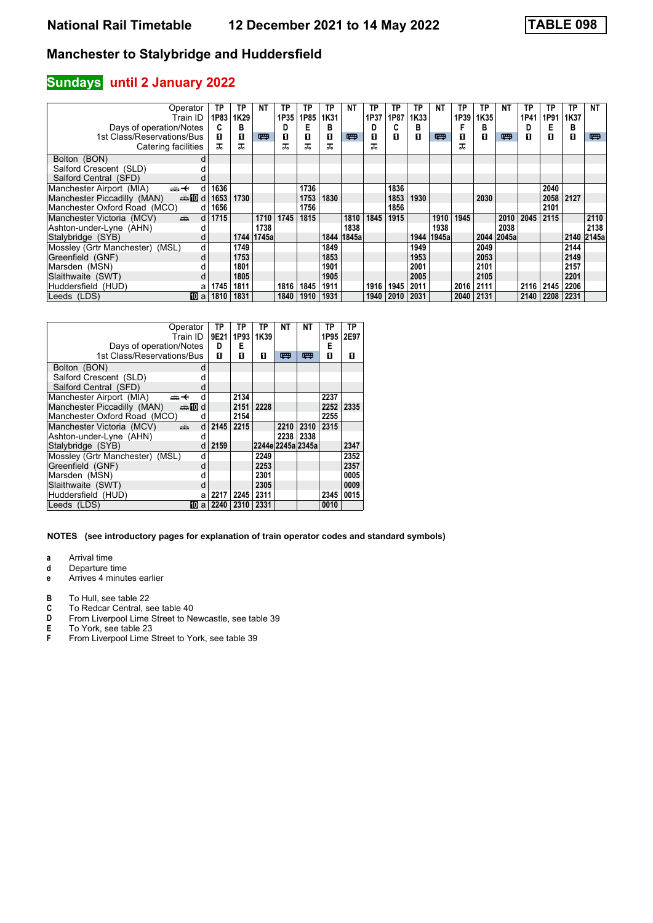### **Sundays** until 2 January 2022

| Operator                                                                                                                                                                                                                                                   | TP        | ТP   | NΤ    | ТP   | ΤP   | ТP   | ΝT    | ТP   | ТP   | TP   | ΝT    | ТP        | ТP   | <b>NT</b> | ТP   | ТP   | TP         | <b>NT</b> |
|------------------------------------------------------------------------------------------------------------------------------------------------------------------------------------------------------------------------------------------------------------|-----------|------|-------|------|------|------|-------|------|------|------|-------|-----------|------|-----------|------|------|------------|-----------|
| Train ID                                                                                                                                                                                                                                                   | 1P83      | 1K29 |       | 1P35 | 1P85 | 1K31 |       | 1P37 | 1P87 | 1K33 |       | 1P39      | 1K35 |           | 1P41 | 1P91 | 1K37       |           |
| Days of operation/Notes                                                                                                                                                                                                                                    | C         | в    |       | D    | E    | в    |       | D    | C    | в    |       | F         | в    |           | D    | Е    | в          |           |
| 1st Class/Reservations/Bus                                                                                                                                                                                                                                 | п         | 0    | 四     | П    | п    | п    | 罒     | П    | п    | п    | 四     | п         | п    | 四         | п    | п    | 0          | 粤         |
| Catering facilities                                                                                                                                                                                                                                        | ᠼ         | ᅚ    |       | ᅚ    | ᅚ    | ᅚ    |       |      |      |      |       | ᇁ         |      |           |      |      |            |           |
| Bolton (BON)                                                                                                                                                                                                                                               |           |      |       |      |      |      |       |      |      |      |       |           |      |           |      |      |            |           |
| Salford Crescent (SLD)                                                                                                                                                                                                                                     |           |      |       |      |      |      |       |      |      |      |       |           |      |           |      |      |            |           |
| Salford Central (SFD)                                                                                                                                                                                                                                      |           |      |       |      |      |      |       |      |      |      |       |           |      |           |      |      |            |           |
| Manchester Airport (MIA)<br><del>∰ ≮</del><br>d                                                                                                                                                                                                            | 1636      |      |       |      | 1736 |      |       |      | 1836 |      |       |           |      |           |      | 2040 |            |           |
| Manchester Piccadilly (MAN)<br>dan <b>in</b> d                                                                                                                                                                                                             | 1653      | 1730 |       |      | 1753 | 1830 |       |      | 1853 | 1930 |       |           | 2030 |           |      | 2058 | 2127       |           |
| Manchester Oxford Road (MCO)                                                                                                                                                                                                                               | 1656<br>d |      |       |      | 1756 |      |       |      | 1856 |      |       |           |      |           |      | 2101 |            |           |
| Manchester Victoria (MCV)<br>and the second second second second the second second second second second second second second second second second second second second second second second second second second second second second second second second | 1715<br>d |      | 1710  | 1745 | 1815 |      | 1810  | 1845 | 1915 |      | 1910  | 1945      |      | 2010      | 2045 | 2115 |            | 2110      |
| Ashton-under-Lyne (AHN)                                                                                                                                                                                                                                    |           |      | 1738  |      |      |      | 1838  |      |      |      | 1938  |           |      | 2038      |      |      |            | 2138      |
| Stalybridge (SYB)                                                                                                                                                                                                                                          | d         | 1744 | 1745a |      |      | 1844 | 1845a |      |      | 1944 | 1945a |           | 2044 | 2045a     |      |      | 2140 2145a |           |
| Mossley (Grtr Manchester) (MSL)                                                                                                                                                                                                                            | d         | 1749 |       |      |      | 1849 |       |      |      | 1949 |       |           | 2049 |           |      |      | 2144       |           |
| Greenfield (GNF)                                                                                                                                                                                                                                           | d         | 1753 |       |      |      | 1853 |       |      |      | 1953 |       |           | 2053 |           |      |      | 2149       |           |
| Marsden (MSN)                                                                                                                                                                                                                                              |           | 1801 |       |      |      | 1901 |       |      |      | 2001 |       |           | 2101 |           |      |      | 2157       |           |
| Slaithwaite (SWT)                                                                                                                                                                                                                                          |           | 1805 |       |      |      | 1905 |       |      |      | 2005 |       |           | 2105 |           |      |      | 2201       |           |
| Huddersfield (HUD)                                                                                                                                                                                                                                         | 1745<br>а | 1811 |       | 1816 | 1845 | 1911 |       | 1916 | 1945 | 2011 |       | 2016      | 2111 |           | 2116 | 2145 | 2206       |           |
| 10 a<br>Leeds (LDS)                                                                                                                                                                                                                                        | 1810      | 1831 |       | 1840 | 1910 | 1931 |       | 1940 | 2010 | 2031 |       | 2040 2131 |      |           | 2140 | 2208 | 2231       |           |

|                                 | Operator        | TP   | ТP   | ΤP   | NΤ                | NΤ        | TP   | ΤP   |
|---------------------------------|-----------------|------|------|------|-------------------|-----------|------|------|
|                                 | Train ID        | 9E21 | 1P93 | 1K39 |                   |           | 1P95 | 2E97 |
| Days of operation/Notes         |                 | D    | Е    |      |                   |           | Е    |      |
| 1st Class/Reservations/Bus      |                 | п    | п    | п    | 罒                 | ▥         | п    | п    |
| Bolton (BON)                    | d               |      |      |      |                   |           |      |      |
| Salford Crescent (SLD)          |                 |      |      |      |                   |           |      |      |
| Salford Central (SFD)           | d               |      |      |      |                   |           |      |      |
| Manchester Airport (MIA)<br>    | d               |      | 2134 |      |                   |           | 2237 |      |
| Manchester Piccadilly (MAN)     | dan <b>i</b> nd |      | 2151 | 2228 |                   |           | 2252 | 2335 |
| Manchester Oxford Road (MCO)    | d               |      | 2154 |      |                   |           | 2255 |      |
| Manchester Victoria (MCV)       | æ<br>d          | 2145 | 2215 |      | 2210              | 2310      | 2315 |      |
| Ashton-under-Lyne (AHN)         | d               |      |      |      |                   | 2238 2338 |      |      |
| Stalybridge (SYB)               | d               | 2159 |      |      | 2244e 2245a 2345a |           |      | 2347 |
| Mossley (Grtr Manchester) (MSL) | d               |      |      | 2249 |                   |           |      | 2352 |
| Greenfield (GNF)                | d               |      |      | 2253 |                   |           |      | 2357 |
| Marsden (MSN)                   | d               |      |      | 2301 |                   |           |      | 0005 |
| Slaithwaite (SWT)               | d               |      |      | 2305 |                   |           |      | 0009 |
| Huddersfield (HUD)              | a               | 2217 | 2245 | 2311 |                   |           | 2345 | 0015 |
| Leeds (LDS)                     | 10.<br>a        | 2240 | 2310 | 2331 |                   |           | 0010 |      |

#### **NOTES (see introductory pages for explanation of train operator codes and standard symbols)**

**a** Arrival time<br>**d** Departure ti

**d** Departure time<br>**e** Arrives 4 minute

**e** Arrives 4 minutes earlier

**B** To Hull, see table 22<br>**C** To Redcar Central, see

**C** To Redcar Central, see table 40<br>**D** From Liverpool Lime Street to Ne

**D** From Liverpool Lime Street to Newcastle, see table 39<br>**E** To York, see table 23

**E** To York, see table 23<br>**F** From Liverpool Lime 3

From Liverpool Lime Street to York, see table 39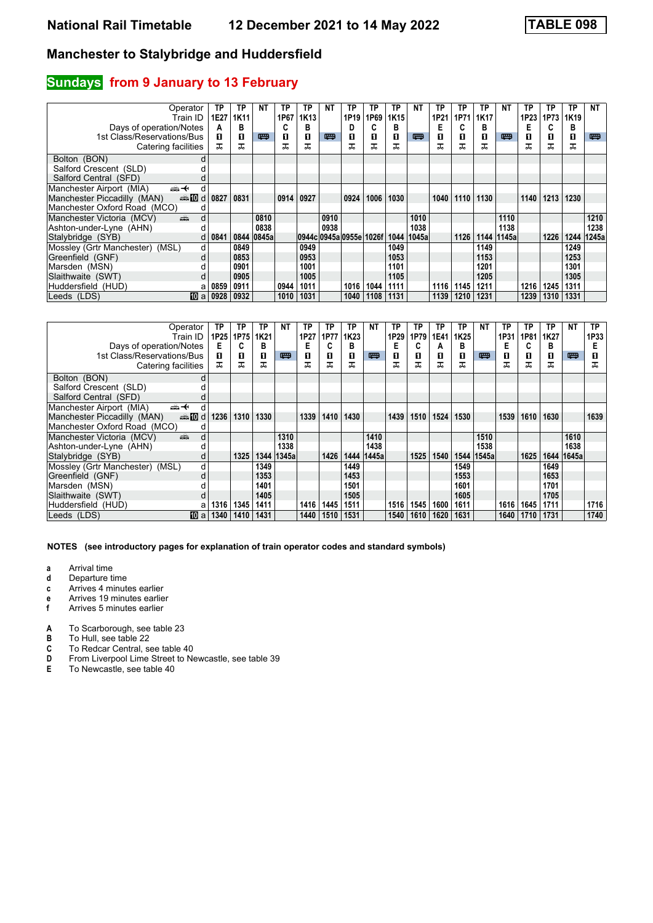### **Sundays** from 9 January to 13 February

| Operator<br>Train ID                                                                                                                                                                                                                                            | ТP<br>1E27 | ТP<br>1K11 | NΤ         | ТP<br>1P67 | ТP<br>1K <sub>13</sub>  | ΝT   | ТP<br>1P19 | ТP<br>1P69 | ТP<br>1K15 | <b>NT</b> | ТP<br>1P21 | ТP<br>1P71 | TP<br>1K17 | <b>NT</b> | ТP<br>1P23 | ТP<br>1P73 | TP<br>1K19 | NT    |
|-----------------------------------------------------------------------------------------------------------------------------------------------------------------------------------------------------------------------------------------------------------------|------------|------------|------------|------------|-------------------------|------|------------|------------|------------|-----------|------------|------------|------------|-----------|------------|------------|------------|-------|
| Days of operation/Notes                                                                                                                                                                                                                                         | А          | в          |            | C          | в                       |      |            |            | в          |           | Е          | C          | в          |           | E          | ◠          | в          |       |
| 1st Class/Reservations/Bus                                                                                                                                                                                                                                      | п          | O          | 四          | 0          | п                       | 四    | п          | 0          | П          | 四         | п          | п          | п          | 四         | O          | п          | О          | 粤     |
| Catering facilities                                                                                                                                                                                                                                             | ᠼ          | ᠼ          |            | ᅚ          | ᠼ                       |      | ᅚ          | ᅚ          |            |           |            | ᠼ          | ᠼ          |           | ᠼ          | ᠼ          | ᠼ          |       |
| Bolton (BON)<br>d                                                                                                                                                                                                                                               |            |            |            |            |                         |      |            |            |            |           |            |            |            |           |            |            |            |       |
| Salford Crescent (SLD)                                                                                                                                                                                                                                          |            |            |            |            |                         |      |            |            |            |           |            |            |            |           |            |            |            |       |
| Salford Central (SFD)                                                                                                                                                                                                                                           |            |            |            |            |                         |      |            |            |            |           |            |            |            |           |            |            |            |       |
| Manchester Airport (MIA)<br>⇜↞<br>d                                                                                                                                                                                                                             |            |            |            |            |                         |      |            |            |            |           |            |            |            |           |            |            |            |       |
| Manchester Piccadilly (MAN)<br><b>ente</b> di                                                                                                                                                                                                                   | 0827       | 0831       |            | 0914       | 0927                    |      | 0924       | 1006       | 1030       |           | 1040       | 1110       | 1130       |           | 1140       | 1213       | 1230       |       |
| Manchester Oxford Road (MCO)<br>d                                                                                                                                                                                                                               |            |            |            |            |                         |      |            |            |            |           |            |            |            |           |            |            |            |       |
| d<br>Manchester Victoria (MCV)<br>and the second second second second the second second second second second second second second second second second second second second second second second second second second second second second second second second |            |            | 0810       |            |                         | 0910 |            |            |            | 1010      |            |            |            | 1110      |            |            |            | 1210  |
| Ashton-under-Lyne (AHN)                                                                                                                                                                                                                                         |            |            | 0838       |            |                         | 0938 |            |            |            | 1038      |            |            |            | 1138      |            |            |            | 1238  |
| Stalybridge (SYB)                                                                                                                                                                                                                                               | 0841<br>d  |            | 0844 0845a |            | 0944c 0945a 0955e 1026f |      |            |            | 1044       | 1045a     |            | 1126       | 1144       | 1145a     |            | 1226       | 1244       | 1245a |
| Mossley (Grtr Manchester) (MSL)                                                                                                                                                                                                                                 | d          | 0849       |            |            | 0949                    |      |            |            | 1049       |           |            |            | 1149       |           |            |            | 1249       |       |
| Greenfield (GNF)<br>d                                                                                                                                                                                                                                           |            | 0853       |            |            | 0953                    |      |            |            | 1053       |           |            |            | 1153       |           |            |            | 1253       |       |
| Marsden (MSN)                                                                                                                                                                                                                                                   |            | 0901       |            |            | 1001                    |      |            |            | 1101       |           |            |            | 1201       |           |            |            | 1301       |       |
| Slaithwaite (SWT)                                                                                                                                                                                                                                               |            | 0905       |            |            | 1005                    |      |            |            | 1105       |           |            |            | 1205       |           |            |            | 1305       |       |
| Huddersfield (HUD)<br>а                                                                                                                                                                                                                                         | 0859       | 0911       |            | 0944       | 1011                    |      | 1016       | 1044       | 1111       |           | 1116       | 1145       | 1211       |           | 1216       | 1245       | 1311       |       |
| 100 a<br>Leeds (LDS)                                                                                                                                                                                                                                            | 0928       | 0932       |            | 1010       | 1031                    |      | 1040       | 1108       | 1131       |           | 1139       | 1210       | 1231       |           | 1239       | 1310 1331  |            |       |

| Operator<br>Train ID<br>Days of operation/Notes   | TP<br>1P25<br>E | ТP<br>1P75<br>C | ΤP<br>1K21<br>В | NT    | ТP<br>1P27 | ТP<br>1P77 | ТP<br>1K23<br>в | ΝT    | ТP<br>1P29<br>Е | ТP<br>1P79<br>C | ТP<br>1E41<br>А | ТP<br>1K <sub>25</sub><br>в | <b>NT</b>    | ТP<br>1P31 | ТP<br>1P81<br>C | TP<br>1K27<br>в | <b>NT</b>    | TP.<br>1P33 |
|---------------------------------------------------|-----------------|-----------------|-----------------|-------|------------|------------|-----------------|-------|-----------------|-----------------|-----------------|-----------------------------|--------------|------------|-----------------|-----------------|--------------|-------------|
| 1st Class/Reservations/Bus                        | п               | 0               | 0               | 粤     | п          | O          | 0               | 四     | п               | п               | п               | П                           | 四            | п          | O               | п               | 四            |             |
| Catering facilities                               | ᠼ               | ᅚ               | ᠼ               |       | ᠼ          | ᠼ          | ᅚ               |       |                 |                 | ᠼ               | ᅚ                           |              | ᠼ          | ᠼ               | ᠼ               |              | ᠼ           |
| Bolton (BON)                                      | d               |                 |                 |       |            |            |                 |       |                 |                 |                 |                             |              |            |                 |                 |              |             |
| Salford Crescent (SLD)                            |                 |                 |                 |       |            |            |                 |       |                 |                 |                 |                             |              |            |                 |                 |              |             |
| Salford Central (SFD)                             |                 |                 |                 |       |            |            |                 |       |                 |                 |                 |                             |              |            |                 |                 |              |             |
| Manchester Airport (MIA)<br><del>∰ ≮</del>        | d               |                 |                 |       |            |            |                 |       |                 |                 |                 |                             |              |            |                 |                 |              |             |
| dan <b>i</b> III d<br>Manchester Piccadilly (MAN) | 1236            | 1310            | 1330            |       | 1339       | 1410       | 1430            |       | 1439            | 1510            | 1524            | 1530                        |              | 1539       | 1610            | 1630            |              | 1639        |
| Manchester Oxford Road (MCO)                      | d               |                 |                 |       |            |            |                 |       |                 |                 |                 |                             |              |            |                 |                 |              |             |
| añ,<br>Manchester Victoria (MCV)                  | d               |                 |                 | 1310  |            |            |                 | 1410  |                 |                 |                 |                             | 1510         |            |                 |                 | 1610         |             |
| Ashton-under-Lyne (AHN)                           |                 |                 |                 | 1338  |            |            |                 | 1438  |                 |                 |                 |                             | 1538         |            |                 |                 | 1638         |             |
| Stalybridge (SYB)                                 | d               | 1325            | 1344            | 1345a |            | 1426       | 1444            | 1445a |                 | 1525            | 1540            |                             | 1544   1545a |            | 1625            |                 | 1644   1645a |             |
| Mossley (Grtr Manchester) (MSL)                   | d               |                 | 1349            |       |            |            | 1449            |       |                 |                 |                 | 1549                        |              |            |                 | 1649            |              |             |
| Greenfield (GNF)                                  | d               |                 | 1353            |       |            |            | 1453            |       |                 |                 |                 | 1553                        |              |            |                 | 1653            |              |             |
| Marsden (MSN)                                     |                 |                 | 1401            |       |            |            | 1501            |       |                 |                 |                 | 1601                        |              |            |                 | 1701            |              |             |
| Slaithwaite (SWT)                                 |                 |                 | 1405            |       |            |            | 1505            |       |                 |                 |                 | 1605                        |              |            |                 | 1705            |              |             |
| Huddersfield (HUD)                                | 1316<br>a       | 1345            | 1411            |       | 1416       | 1445       | 1511            |       | 1516            | 1545            | 1600            | 1611                        |              | 1616       | 1645            | 1711            |              | 1716        |
| Leeds (LDS)<br><b>TO</b> a                        | 1340            | 1410            | 1431            |       | 1440       | 1510       | 1531            |       | 1540            | 1610            | 1620            | 1631                        |              | 1640       | 1710            | 1731            |              | 1740        |

- **a** Arrival time<br>**d** Departure t
- **d** Departure time
- **c** Arrives 4 minutes earlier
- **e** Arrives 19 minutes earlier<br>**f** Arrives 5 minutes earlier
- **f** Arrives 5 minutes earlier
- **A** To Scarborough, see table 23<br>**B** To Hull, see table 22
- **B** To Hull, see table 22<br>**C** To Redcar Central, see
- **C** To Redcar Central, see table 40<br>**D** From Liverpool Lime Street to Ne
- **D** From Liverpool Lime Street to Newcastle, see table 39<br>**E** To Newcastle, see table 40
- To Newcastle, see table 40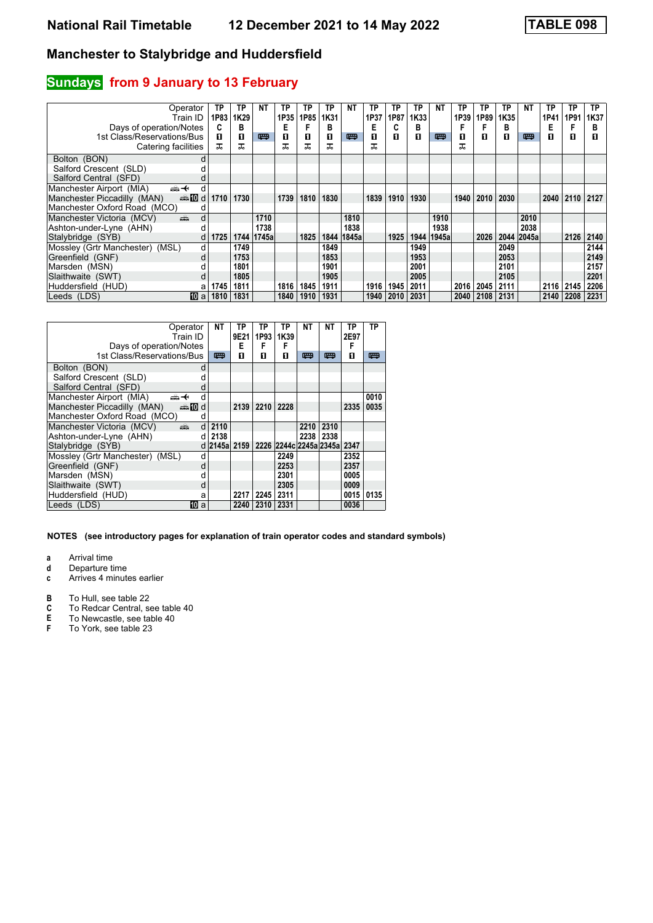### **Sundays** from 9 January to 13 February

| Operator<br>Train ID                                                                                                                                                                                                                                            | ТP<br>1P83 | ТP<br>1K29 | NΤ         | ТP<br>1P35 | ΤP<br>1P85 | ТP<br>1K31 | NΤ    | ТP<br>1P37 | ТP<br>1P87 | TP<br>1K33 | NΤ    | ТP<br>1P39 | TP<br>1P89 | ТP<br>1K35 | ΝT         | TP<br>1P41  | ТP<br>1P91 | TP.<br>1K37 |
|-----------------------------------------------------------------------------------------------------------------------------------------------------------------------------------------------------------------------------------------------------------------|------------|------------|------------|------------|------------|------------|-------|------------|------------|------------|-------|------------|------------|------------|------------|-------------|------------|-------------|
| Days of operation/Notes                                                                                                                                                                                                                                         | C          | в          |            | E          |            | в          |       | Е          |            | в          |       | F          | F          | в          |            | E           |            | в           |
| 1st Class/Reservations/Bus                                                                                                                                                                                                                                      | п          | 0          | 四          | 0          | п          | п          | 粤     | П          | п          | п          | 四     | п          | п          | п          | 四          | П           | O          | П           |
| Catering facilities                                                                                                                                                                                                                                             | ᠼ          | ᠼ          |            | ᅚ          | ᠼ          | ᅚ          |       |            |            |            |       | ᠼ          |            |            |            |             |            |             |
| Bolton (BON)<br>d                                                                                                                                                                                                                                               |            |            |            |            |            |            |       |            |            |            |       |            |            |            |            |             |            |             |
| Salford Crescent (SLD)                                                                                                                                                                                                                                          |            |            |            |            |            |            |       |            |            |            |       |            |            |            |            |             |            |             |
| Salford Central (SFD)                                                                                                                                                                                                                                           |            |            |            |            |            |            |       |            |            |            |       |            |            |            |            |             |            |             |
| Manchester Airport (MIA)<br>安<br>d                                                                                                                                                                                                                              |            |            |            |            |            |            |       |            |            |            |       |            |            |            |            |             |            |             |
| Manchester Piccadilly (MAN)<br>d <b>let</b> and                                                                                                                                                                                                                 | 1710       | 1730       |            | 1739       | 1810       | 1830       |       | 1839       | 1910       | 1930       |       | 1940       | 2010       | 2030       |            | $2040$ 2110 |            | 2127        |
| Manchester Oxford Road (MCO)<br>d                                                                                                                                                                                                                               |            |            |            |            |            |            |       |            |            |            |       |            |            |            |            |             |            |             |
| Manchester Victoria (MCV)<br>and the second second second second the second second second second second second second second second second second second second second second second second second second second second second second second second second<br>d |            |            | 1710       |            |            |            | 1810  |            |            |            | 1910  |            |            |            | 2010       |             |            |             |
| Ashton-under-Lyne (AHN)                                                                                                                                                                                                                                         |            |            | 1738       |            |            |            | 1838  |            |            |            | 1938  |            |            |            | 2038       |             |            |             |
| Stalybridge (SYB)                                                                                                                                                                                                                                               | 1725<br>d  |            | 1744 1745a |            | 1825       | 1844       | 1845a |            | 1925       | 1944       | 1945a |            | 2026       |            | 2044 2045a |             | 2126       | 2140        |
| Mossley (Grtr Manchester) (MSL)                                                                                                                                                                                                                                 | d          | 1749       |            |            |            | 1849       |       |            |            | 1949       |       |            |            | 2049       |            |             |            | 2144        |
| Greenfield (GNF)<br>d                                                                                                                                                                                                                                           |            | 1753       |            |            |            | 1853       |       |            |            | 1953       |       |            |            | 2053       |            |             |            | 2149        |
| Marsden (MSN)                                                                                                                                                                                                                                                   |            | 1801       |            |            |            | 1901       |       |            |            | 2001       |       |            |            | 2101       |            |             |            | 2157        |
| Slaithwaite (SWT)                                                                                                                                                                                                                                               |            | 1805       |            |            |            | 1905       |       |            |            | 2005       |       |            |            | 2105       |            |             |            | 2201        |
| Huddersfield (HUD)<br>а                                                                                                                                                                                                                                         | 1745       | 1811       |            | 1816       | 1845       | 1911       |       | 1916       | 1945       | 2011       |       | 2016       | 2045       | 2111       |            | 2116 2145   |            | 2206        |
| Leeds (LDS)<br>100 a                                                                                                                                                                                                                                            | 1810       | 1831       |            | 1840       | 1910       | 1931       |       | 1940       | 2010       | 2031       |       | 2040       | 2108       | 2131       |            | 2140        | 2208       | 2231        |

|                                    | Operator | NΤ           | ΤP   | TP   | TP   | NΤ   | NT                          | TP   | TP   |
|------------------------------------|----------|--------------|------|------|------|------|-----------------------------|------|------|
|                                    | Train ID |              | 9E21 | 1P93 | 1K39 |      |                             | 2E97 |      |
| Days of operation/Notes            |          |              | Е    | F    | F    |      |                             | F    |      |
| 1st Class/Reservations/Bus         |          | 四            | п    | п    | п    | 罒    | 罒                           | п    | 罒    |
| Bolton (BON)                       | d        |              |      |      |      |      |                             |      |      |
| Salford Crescent (SLD)             | d        |              |      |      |      |      |                             |      |      |
| Salford Central (SFD)              | d        |              |      |      |      |      |                             |      |      |
| Manchester Airport (MIA)<br>ക+     | d        |              |      |      |      |      |                             |      | 0010 |
| Manchester Piccadilly (MAN)        | den 10 d |              | 2139 | 2210 | 2228 |      |                             | 2335 | 0035 |
| Manchester Oxford Road (MCO)       | d        |              |      |      |      |      |                             |      |      |
| Manchester Victoria (MCV)<br>dia 1 | d        | 2110         |      |      |      | 2210 | 2310                        |      |      |
| Ashton-under-Lyne (AHN)            | d        | 2138         |      |      |      | 2238 | 2338                        |      |      |
| Stalybridge (SYB)                  |          | d 2145a 2159 |      |      |      |      | 2226 2244c 2245a 2345a 2347 |      |      |
| Mossley (Grtr Manchester) (MSL)    | d        |              |      |      | 2249 |      |                             | 2352 |      |
| Greenfield (GNF)                   | d        |              |      |      | 2253 |      |                             | 2357 |      |
| Marsden (MSN)                      | d        |              |      |      | 2301 |      |                             | 0005 |      |
| Slaithwaite (SWT)                  | d        |              |      |      | 2305 |      |                             | 0009 |      |
| Huddersfield (HUD)                 | a        |              | 2217 | 2245 | 2311 |      |                             | 0015 | 0135 |
| Leeds (LDS)                        | 10<br>a  |              | 2240 | 2310 | 2331 |      |                             | 0036 |      |

**NOTES (see introductory pages for explanation of train operator codes and standard symbols)**

**a** Arrival time<br>**d** Departure ti

**d** Departure time<br>**c** Arrives 4 minute

**c** Arrives 4 minutes earlier

**B** To Hull, see table 22<br>**C** To Redcar Central, see

- **C** To Redcar Central, see table 40<br>**E** To Newcastle, see table 40
- **E** To Newcastle, see table 40<br>**F** To York, see table 23
- To York, see table 23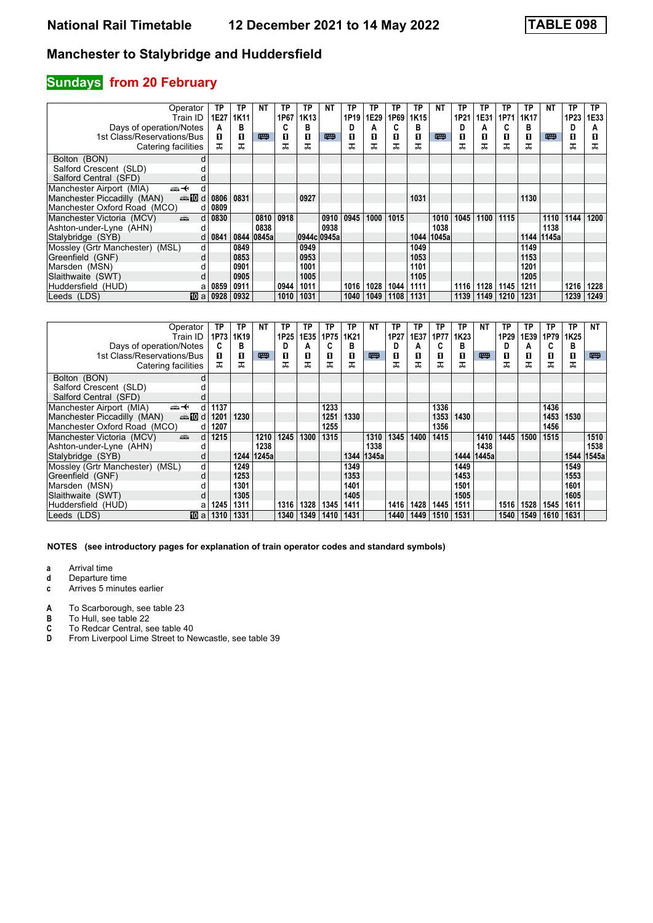# **Sundays from 20 February**

| Operator                                                                                                                                                                                                                                                        | TP   | ТP          | NΤ    | ТP   | ТP          | ΝT   | TP   | TP   | ТP   | TP   | NΤ    | ТP   | ТP   | ТP   | <b>TP</b> | NΤ    | TP   | TP.  |
|-----------------------------------------------------------------------------------------------------------------------------------------------------------------------------------------------------------------------------------------------------------------|------|-------------|-------|------|-------------|------|------|------|------|------|-------|------|------|------|-----------|-------|------|------|
| Train ID                                                                                                                                                                                                                                                        | 1E27 | <b>1K11</b> |       | 1P67 | 1K13        |      | 1P19 | 1E29 | 1P69 | 1K15 |       | 1P21 | 1E31 | 1P71 | 1K17      |       | 1P23 | 1E33 |
| Days of operation/Notes                                                                                                                                                                                                                                         | А    | в           |       | C    | в           |      |      | А    |      | в    |       | D    | A    | C    | в         |       | D    | А    |
| 1st Class/Reservations/Bus                                                                                                                                                                                                                                      | п    | 0           | 四     | 0    | п           | 四    | п    | 0    | П    | п    | 罒     | п    | 0    | п    | О         | 四     | 0    |      |
| Catering facilities                                                                                                                                                                                                                                             | ᠼ    | ᠼ           |       | ᅚ    | ᠼ           |      | ᅚ    | ᅚ    | ᅚ    | ᅚ    |       | ᠼ    | ᠼ    | ᠼ    | ᠼ         |       | ᅚ    | ᠼ    |
| Bolton (BON)<br>d                                                                                                                                                                                                                                               |      |             |       |      |             |      |      |      |      |      |       |      |      |      |           |       |      |      |
| Salford Crescent (SLD)                                                                                                                                                                                                                                          |      |             |       |      |             |      |      |      |      |      |       |      |      |      |           |       |      |      |
| Salford Central (SFD)                                                                                                                                                                                                                                           |      |             |       |      |             |      |      |      |      |      |       |      |      |      |           |       |      |      |
| Manchester Airport (MIA)<br><del>∰ ∢</del><br>d                                                                                                                                                                                                                 |      |             |       |      |             |      |      |      |      |      |       |      |      |      |           |       |      |      |
| Manchester Piccadilly (MAN)<br>dannam di                                                                                                                                                                                                                        | 0806 | 0831        |       |      | 0927        |      |      |      |      | 1031 |       |      |      |      | 1130      |       |      |      |
| Manchester Oxford Road (MCO)<br>d                                                                                                                                                                                                                               | 0809 |             |       |      |             |      |      |      |      |      |       |      |      |      |           |       |      |      |
| Manchester Victoria (MCV)<br>and the second second second second the second second second second second second second second second second second second second second second second second second second second second second second second second second<br>d | 0830 |             | 0810  | 0918 |             | 0910 | 0945 | 1000 | 1015 |      | 1010  | 1045 | 1100 | 1115 |           | 1110  | 1144 | 1200 |
| Ashton-under-Lyne (AHN)                                                                                                                                                                                                                                         |      |             | 0838  |      |             | 0938 |      |      |      |      | 1038  |      |      |      |           | 1138  |      |      |
| Stalybridge (SYB)<br>d                                                                                                                                                                                                                                          | 0841 | 0844        | 0845a |      | 0944c 0945a |      |      |      |      | 1044 | 1045a |      |      |      | 1144      | 1145a |      |      |
| Mossley (Grtr Manchester) (MSL)<br>d                                                                                                                                                                                                                            |      | 0849        |       |      | 0949        |      |      |      |      | 1049 |       |      |      |      | 1149      |       |      |      |
| Greenfield (GNF)<br>d                                                                                                                                                                                                                                           |      | 0853        |       |      | 0953        |      |      |      |      | 1053 |       |      |      |      | 1153      |       |      |      |
| Marsden (MSN)                                                                                                                                                                                                                                                   |      | 0901        |       |      | 1001        |      |      |      |      | 1101 |       |      |      |      | 1201      |       |      |      |
| Slaithwaite (SWT)                                                                                                                                                                                                                                               |      | 0905        |       |      | 1005        |      |      |      |      | 1105 |       |      |      |      | 1205      |       |      |      |
| Huddersfield (HUD)<br>а                                                                                                                                                                                                                                         | 0859 | 0911        |       | 0944 | 1011        |      | 1016 | 1028 | 1044 | 1111 |       | 1116 | 1128 | 1145 | 1211      |       | 1216 | 1228 |
| 100 a<br>Leeds (LDS)                                                                                                                                                                                                                                            | 0928 | 0932        |       | 1010 | 1031        |      | 1040 | 1049 | 1108 | 1131 |       | 1139 | 1149 | 1210 | 1231      |       | 1239 | 1249 |

| Operator                                                                                                                                                                                                                                                        | ТP   | ТP   | NΤ    | ТP   | ТP   | ΤP   | ТP   | NΤ    | ТP   | TP   | ΤP   | ТP               | NΤ           | ТP   | ΤP   | ΤP   | ТP               | NT    |
|-----------------------------------------------------------------------------------------------------------------------------------------------------------------------------------------------------------------------------------------------------------------|------|------|-------|------|------|------|------|-------|------|------|------|------------------|--------------|------|------|------|------------------|-------|
| Train ID                                                                                                                                                                                                                                                        | 1P73 | 1K19 |       | 1P25 | 1E35 | 1P75 | 1K21 |       | 1P27 | 1E37 | 1P77 | 1K <sub>23</sub> |              | 1P29 | 1E39 | 1P79 | 1K <sub>25</sub> |       |
| Days of operation/Notes                                                                                                                                                                                                                                         | C    | в    |       | D    |      |      | в    |       | D    | А    | C    | В                |              | D    | А    |      | в                |       |
| 1st Class/Reservations/Bus                                                                                                                                                                                                                                      | п    | п    | 四     | 0    | п    | п    | п    | 四     | п    | п    | п    | п                | 四            | п    | O    | п    | О                | 粤     |
| Catering facilities                                                                                                                                                                                                                                             | ᠼ    | ᠼ    |       | ᅚ    | ᠼ    | ᠼ    | ᅚ    |       |      |      | ᠼ    | ᠼ                |              | ᠼ    | ᠼ    | ᠼ    | ᠼ                |       |
| Bolton (BON)<br>d                                                                                                                                                                                                                                               |      |      |       |      |      |      |      |       |      |      |      |                  |              |      |      |      |                  |       |
| Salford Crescent (SLD)                                                                                                                                                                                                                                          |      |      |       |      |      |      |      |       |      |      |      |                  |              |      |      |      |                  |       |
| Salford Central (SFD)                                                                                                                                                                                                                                           |      |      |       |      |      |      |      |       |      |      |      |                  |              |      |      |      |                  |       |
| Manchester Airport (MIA)<br>←∰<br>d                                                                                                                                                                                                                             | 1137 |      |       |      |      | 1233 |      |       |      |      | 1336 |                  |              |      |      | 1436 |                  |       |
| Manchester Piccadilly (MAN)<br>d <b>D</b> d                                                                                                                                                                                                                     | 1201 | 1230 |       |      |      | 1251 | 1330 |       |      |      | 1353 | 1430             |              |      |      | 1453 | 1530             |       |
| Manchester Oxford Road (MCO)<br>d                                                                                                                                                                                                                               | 1207 |      |       |      |      | 1255 |      |       |      |      | 1356 |                  |              |      |      | 1456 |                  |       |
| and the second second second second the second second second second second second second second second second second second second second second second second second second second second second second second second second<br>Manchester Victoria (MCV)<br>d | 1215 |      | 1210  | 1245 | 1300 | 1315 |      | 1310  | 1345 | 1400 | 1415 |                  | 1410         | 1445 | 1500 | 1515 |                  | 1510  |
| Ashton-under-Lyne (AHN)                                                                                                                                                                                                                                         |      |      | 1238  |      |      |      |      | 1338  |      |      |      |                  | 1438         |      |      |      |                  | 1538  |
| Stalybridge (SYB)<br>d                                                                                                                                                                                                                                          |      | 1244 | 1245a |      |      |      | 1344 | 1345a |      |      |      |                  | 1444   1445a |      |      |      | 1544             | 1545a |
| Mossley (Grtr Manchester) (MSL)<br>d                                                                                                                                                                                                                            |      | 1249 |       |      |      |      | 1349 |       |      |      |      | 1449             |              |      |      |      | 1549             |       |
| Greenfield (GNF)<br>d                                                                                                                                                                                                                                           |      | 1253 |       |      |      |      | 1353 |       |      |      |      | 1453             |              |      |      |      | 1553             |       |
| Marsden (MSN)                                                                                                                                                                                                                                                   |      | 1301 |       |      |      |      | 1401 |       |      |      |      | 1501             |              |      |      |      | 1601             |       |
| Slaithwaite (SWT)                                                                                                                                                                                                                                               |      | 1305 |       |      |      |      | 1405 |       |      |      |      | 1505             |              |      |      |      | 1605             |       |
| Huddersfield (HUD)<br>a                                                                                                                                                                                                                                         | 1245 | 1311 |       | 1316 | 1328 | 1345 | 1411 |       | 1416 | 1428 | 1445 | 1511             |              | 1516 | 1528 | 1545 | 1611             |       |
| Leeds (LDS)<br><b>TO</b> a                                                                                                                                                                                                                                      | 1310 | 1331 |       | 1340 | 1349 | 1410 | 1431 |       | 1440 | 1449 | 1510 | 1531             |              | 1540 | 1549 | 1610 | 1631             |       |

- **a** Arrival time<br>**d** Departure t
- **d** Departure time
- **c** Arrives 5 minutes earlier
- **A** To Scarborough, see table 23<br>**B** To Hull, see table 22
- 
- **B** To Hull, see table 22<br>**C** To Redcar Central, s<br>**D** From Liverpool Lime To Redcar Central, see table 40
- From Liverpool Lime Street to Newcastle, see table 39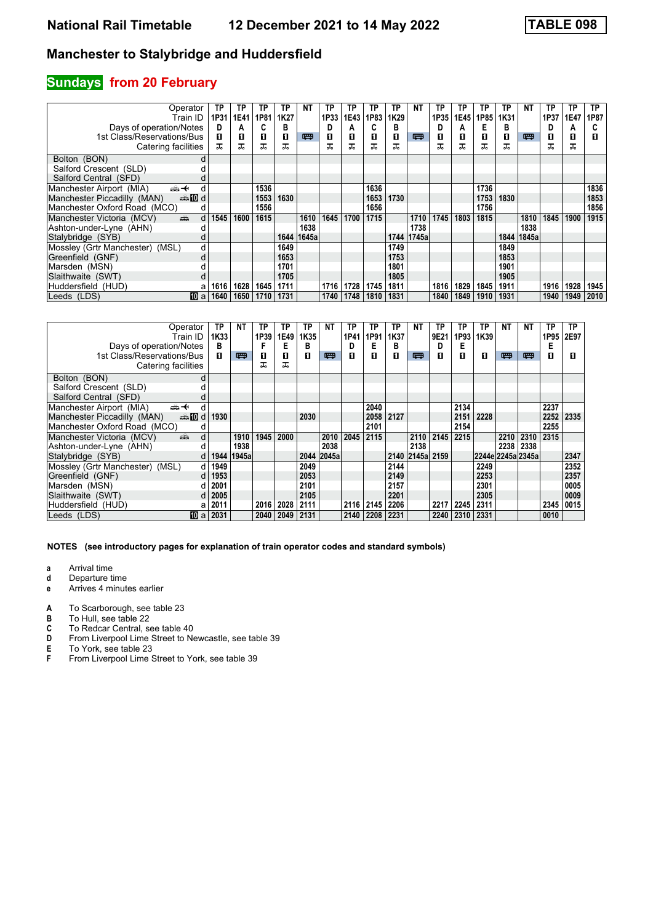### **Sundays from 20 February**

| Operator                                       | ТP                   | TP   | ΤP   | ТP   | NΤ    | ΤP   | TP        | TP   | TP   | <b>NT</b> | TP   | ТP   | ТP   | ТP   | ΝT         | TP   | ТP          | ТP   |
|------------------------------------------------|----------------------|------|------|------|-------|------|-----------|------|------|-----------|------|------|------|------|------------|------|-------------|------|
| Train ID                                       | 1P31                 | 1E41 | 1P81 | 1K27 |       | 1P33 | 1E43      | 1P83 | 1K29 |           | 1P35 | 1E45 | 1P85 | 1K31 |            | 1P37 | <b>1E47</b> | 1P87 |
| Days of operation/Notes                        | D                    | Α    | C    | в    |       |      | А         |      | в    |           | D    | А    | Е    | в    |            | D    | А           | C    |
| 1st Class/Reservations/Bus                     | п                    | 0    | п    | П    | 四     | O    | п         | П    | п    | 四         | 0    | п    | O    | п    | 四          | П    | 0           | П    |
| Catering facilities                            | ᅚ                    | ᠼ    | ᅚ    | ᅚ    |       | ᅚ    |           | ᇁ    | ᅚ    |           | ᠼ    | ᠼ    | ᅚ    | ᠼ    |            | ᅚ    | ᠼ           |      |
| Bolton (BON)                                   |                      |      |      |      |       |      |           |      |      |           |      |      |      |      |            |      |             |      |
| Salford Crescent (SLD)                         |                      |      |      |      |       |      |           |      |      |           |      |      |      |      |            |      |             |      |
| Salford Central (SFD)                          |                      |      |      |      |       |      |           |      |      |           |      |      |      |      |            |      |             |      |
| Manchester Airport (MIA)<br>←∰                 | d                    |      | 1536 |      |       |      |           | 1636 |      |           |      |      | 1736 |      |            |      |             | 1836 |
| Manchester Piccadilly (MAN)<br><b>enting</b> d |                      |      | 1553 | 1630 |       |      |           | 1653 | 1730 |           |      |      | 1753 | 1830 |            |      |             | 1853 |
| Manchester Oxford Road (MCO)                   | d                    |      | 1556 |      |       |      |           | 1656 |      |           |      |      | 1756 |      |            |      |             | 1856 |
| Manchester Victoria (MCV)<br>پیش               | 1545<br>d            | 1600 | 1615 |      | 1610  | 1645 | 1700      | 1715 |      | 1710      | 1745 | 1803 | 1815 |      | 1810       | 1845 | 1900        | 1915 |
| Ashton-under-Lyne (AHN)                        |                      |      |      |      | 1638  |      |           |      |      | 1738      |      |      |      |      | 1838       |      |             |      |
| Stalybridge (SYB)                              |                      |      |      | 1644 | 1645a |      |           |      | 1744 | 1745a     |      |      |      |      | 1844 1845a |      |             |      |
| Mossley (Grtr Manchester) (MSL)                | d                    |      |      | 1649 |       |      |           |      | 1749 |           |      |      |      | 1849 |            |      |             |      |
| Greenfield (GNF)                               | d                    |      |      | 1653 |       |      |           |      | 1753 |           |      |      |      | 1853 |            |      |             |      |
| Marsden (MSN)                                  |                      |      |      | 1701 |       |      |           |      | 1801 |           |      |      |      | 1901 |            |      |             |      |
| Slaithwaite (SWT)                              |                      |      |      | 1705 |       |      |           |      | 1805 |           |      |      |      | 1905 |            |      |             |      |
| Huddersfield (HUD)                             | 1616<br>a            | 1628 | 1645 | 1711 |       | 1716 | 1728      | 1745 | 1811 |           | 1816 | 1829 | 1845 | 1911 |            | 1916 | 1928        | 1945 |
| Leeds (LDS)                                    | <b>TO</b> al<br>1640 | 1650 | 1710 | 1731 |       |      | 1740 1748 | 1810 | 1831 |           | 1840 | 1849 | 1910 | 1931 |            | 1940 | 1949        | 2010 |

| Operator<br>Train ID                                                                                                                                                                                                                                        |                              | TP<br>1K33 | ΝT         | ТP<br>1P39 | ТP<br>1E49 | ТP<br>1K35 | ΝT         | ТP<br>1P41 | ТP<br>1P91 | ТP<br>1K37 | <b>NT</b>       | ТP<br>9E21 | ТP<br>1P93 | ТP<br>1K39        | <b>NT</b> | ΝT   | ΤP<br>1P95 | ТP<br>2E97 |
|-------------------------------------------------------------------------------------------------------------------------------------------------------------------------------------------------------------------------------------------------------------|------------------------------|------------|------------|------------|------------|------------|------------|------------|------------|------------|-----------------|------------|------------|-------------------|-----------|------|------------|------------|
| Days of operation/Notes                                                                                                                                                                                                                                     |                              | в          |            | F          | Е          | в          |            | D          | Е          | в          |                 | D          | Е          |                   |           |      | Е          |            |
| 1st Class/Reservations/Bus                                                                                                                                                                                                                                  |                              | п          | 四          | 0          | П          | п          | 四          | п          | П          | п          | 四               | п          | п          | п                 | 罒         | 四    | П          | п          |
| Catering facilities                                                                                                                                                                                                                                         |                              |            |            | ᅚ          | ᠼ          |            |            |            |            |            |                 |            |            |                   |           |      |            |            |
| Bolton (BON)                                                                                                                                                                                                                                                |                              |            |            |            |            |            |            |            |            |            |                 |            |            |                   |           |      |            |            |
| Salford Crescent (SLD)                                                                                                                                                                                                                                      |                              |            |            |            |            |            |            |            |            |            |                 |            |            |                   |           |      |            |            |
| Salford Central (SFD)                                                                                                                                                                                                                                       |                              |            |            |            |            |            |            |            |            |            |                 |            |            |                   |           |      |            |            |
| Manchester Airport (MIA)<br><del>՟</del>                                                                                                                                                                                                                    | d                            |            |            |            |            |            |            |            | 2040       |            |                 |            | 2134       |                   |           |      | 2237       |            |
| Manchester Piccadilly (MAN)                                                                                                                                                                                                                                 | annon diaman'ny diaman'ny de | 1930       |            |            |            | 2030       |            |            | 2058       | 2127       |                 |            | 2151       | 2228              |           |      | 2252       | 2335       |
| Manchester Oxford Road (MCO)                                                                                                                                                                                                                                | d                            |            |            |            |            |            |            |            | 2101       |            |                 |            | 2154       |                   |           |      | 2255       |            |
| Manchester Victoria (MCV)<br>ring of the contract of the contract of the contract of the contract of the contract of the contract of the contract of the contract of the contract of the contract of the contract of the contract of the contract of the co | d                            |            | 1910       | 1945       | 2000       |            | 2010       | 2045       | 2115       |            | 2110            | 2145       | 2215       |                   | 2210      | 2310 | 2315       |            |
| Ashton-under-Lyne (AHN)                                                                                                                                                                                                                                     |                              |            | 1938       |            |            |            | 2038       |            |            |            | 2138            |            |            |                   | 2238      | 2338 |            |            |
| Stalybridge (SYB)                                                                                                                                                                                                                                           | d                            |            | 1944 1945a |            |            |            | 2044 2045a |            |            |            | 2140 2145a 2159 |            |            | 2244e 2245a 2345a |           |      |            | 2347       |
| Mossley (Grtr Manchester) (MSL)                                                                                                                                                                                                                             | d                            | 1949       |            |            |            | 2049       |            |            |            | 2144       |                 |            |            | 2249              |           |      |            | 2352       |
| Greenfield (GNF)                                                                                                                                                                                                                                            | <sub>d</sub>                 | 1953       |            |            |            | 2053       |            |            |            | 2149       |                 |            |            | 2253              |           |      |            | 2357       |
| Marsden (MSN)                                                                                                                                                                                                                                               | <sub>d</sub>                 | 2001       |            |            |            | 2101       |            |            |            | 2157       |                 |            |            | 2301              |           |      |            | 0005       |
| Slaithwaite (SWT)                                                                                                                                                                                                                                           |                              | 2005       |            |            |            | 2105       |            |            |            | 2201       |                 |            |            | 2305              |           |      |            | 0009       |
| Huddersfield (HUD)                                                                                                                                                                                                                                          |                              | 2011       |            | 2016       | 2028       | 2111       |            | 2116       | 2145       | 2206       |                 | 2217       | 2245       | 2311              |           |      | 2345       | 0015       |
| Leeds (LDS)                                                                                                                                                                                                                                                 | [10] a                       | 2031       |            | 2040       | 2049       | 2131       |            | 2140       | 2208       | 2231       |                 | 2240       | 2310       | 2331              |           |      | 0010       |            |

- **a** Arrival time<br>**d** Departure t
- **d** Departure time
- **e** Arrives 4 minutes earlier
- **A** To Scarborough, see table 23<br>**B** To Hull, see table 22
- **B** To Hull, see table 22<br>**C** To Redcar Central, s
- **C** To Redcar Central, see table 40
- **D** From Liverpool Lime Street to Newcastle, see table 39
- **E** To York, see table 23<br>**F** From Liverpool Lime 3
- From Liverpool Lime Street to York, see table 39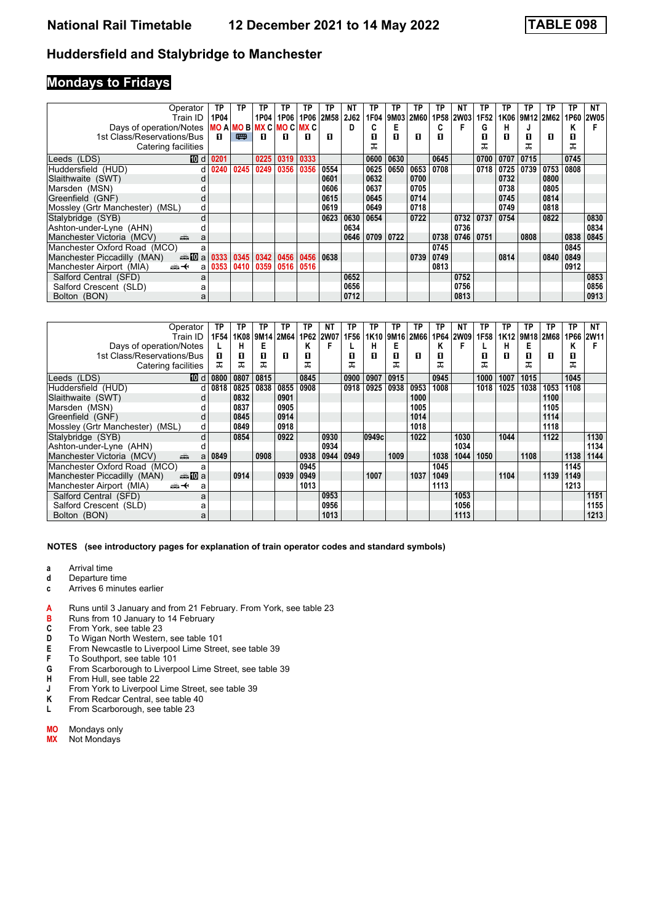### **Mondays to Fridays**

| Operator<br>Train ID                                | TP<br>1P04 | TP   | ΤР<br>1P04           | TР<br>1P06 | ТP<br>1P06 | ТP<br>2M58 | NT<br><b>2J62</b> | ТP<br>1F04 | TP.<br>9M03 | ТP<br>2M60 | ΤP   | ΝT<br>1P58 2W03 | ТP<br>1F <sub>52</sub> | ΤP<br>1K06 | ΤP<br>9M12 2M62 | TP   | TP<br>1P60 | NΤ<br><b>2W05</b> |
|-----------------------------------------------------|------------|------|----------------------|------------|------------|------------|-------------------|------------|-------------|------------|------|-----------------|------------------------|------------|-----------------|------|------------|-------------------|
|                                                     |            |      |                      |            |            |            | D                 |            | Е           |            | C    | F               |                        | н          |                 |      | Κ          |                   |
| Days of operation/Notes $ MO A MO B MX C MO C MX C$ |            |      |                      |            |            |            |                   |            |             |            |      |                 | G                      |            |                 |      |            |                   |
| 1st Class/Reservations/Bus                          | п          | 四    | п                    | п          | п          | п          |                   | п          | п           | п          | п    |                 | п                      | п          | п               | п    | 0          |                   |
| Catering facilities                                 |            |      |                      |            |            |            |                   |            |             |            |      |                 | ㅈ                      |            | ᅚ               |      | ᅚ          |                   |
| 10 d<br>Leeds (LDS)                                 | 0201       |      | 0225                 | 0319       | 0333       |            |                   | 0600       | 0630        |            | 0645 |                 | 0700                   | 0707       | 0715            |      | 0745       |                   |
| Huddersfield (HUD)<br>d                             | 0240       | 0245 | 0249                 | 0356       | 0356       | 0554       |                   | 0625       | 0650        | 0653       | 0708 |                 | 0718                   | 0725       | 0739            | 0753 | 0808       |                   |
| Slaithwaite (SWT)                                   |            |      |                      |            |            | 0601       |                   | 0632       |             | 0700       |      |                 |                        | 0732       |                 | 0800 |            |                   |
| Marsden (MSN)                                       |            |      |                      |            |            | 0606       |                   | 0637       |             | 0705       |      |                 |                        | 0738       |                 | 0805 |            |                   |
| Greenfield (GNF)<br>d                               |            |      |                      |            |            | 0615       |                   | 0645       |             | 0714       |      |                 |                        | 0745       |                 | 0814 |            |                   |
| Mossley (Grtr Manchester) (MSL)<br>d                |            |      |                      |            |            | 0619       |                   | 0649       |             | 0718       |      |                 |                        | 0749       |                 | 0818 |            |                   |
| Stalybridge (SYB)<br>d                              |            |      |                      |            |            | 0623       | 0630              | 0654       |             | 0722       |      | 0732            | 0737                   | 0754       |                 | 0822 |            | 0830              |
| Ashton-under-Lyne (AHN)                             |            |      |                      |            |            |            | 0634              |            |             |            |      | 0736            |                        |            |                 |      |            | 0834              |
| Manchester Victoria (MCV)<br>æ<br>a                 |            |      |                      |            |            |            | 0646              | 0709       | 0722        |            | 0738 | 0746            | 0751                   |            | 0808            |      | 0838       | 0845              |
| Manchester Oxford Road (MCO)<br>a                   |            |      |                      |            |            |            |                   |            |             |            | 0745 |                 |                        |            |                 |      | 0845       |                   |
| Manchester Piccadilly (MAN)                         | 0333       |      | $0345$ $0342$ $0456$ |            | 0456       | 0638       |                   |            |             | 0739       | 0749 |                 |                        | 0814       |                 | 0840 | 0849       |                   |
| Manchester Airport (MIA)<br>⇜↞<br>a                 | 0353       |      | 0410 0359            | 0516       | 0516       |            |                   |            |             |            | 0813 |                 |                        |            |                 |      | 0912       |                   |
| Salford Central (SFD)<br>a                          |            |      |                      |            |            |            | 0652              |            |             |            |      | 0752            |                        |            |                 |      |            | 0853              |
| Salford Crescent (SLD)                              |            |      |                      |            |            |            | 0656              |            |             |            |      | 0756            |                        |            |                 |      |            | 0856              |
| Bolton (BON)<br>a                                   |            |      |                      |            |            |            | 0712              |            |             |            |      | 0813            |                        |            |                 |      |            | 0913              |

| Operator                                  | TP   | ТР   | ΤР        | TP   | ΤP   | NΤ          | ТP   | TP    | ТP   | TP   | ΤP   | NΤ          | ТP   | ΤP   | ТP   | ΤP          | ТP   | NΤ   |
|-------------------------------------------|------|------|-----------|------|------|-------------|------|-------|------|------|------|-------------|------|------|------|-------------|------|------|
| Train ID                                  | 1F54 | 1K08 | 9M14 2M64 |      | 1P62 | <b>2W07</b> | 1F56 | 1K10  | 9M16 | 2M66 |      | 1P64   2W09 | 1F58 | 1K12 | 9M18 | <b>2M68</b> | 1P66 | 2W11 |
| Days of operation/Notes                   |      | н    | Е         |      | ĸ    |             |      | н     | Е    |      | Κ    | F           |      | н    | Е    |             | Κ    |      |
| 1st Class/Reservations/Bus                | п    | 0    | п         | п    | п    |             | п    | П     | п    | п    | п    |             | п    | п    | п    | п           | O    |      |
| Catering facilities                       | ᠼ    | ᠼ    | ᅚ         |      | ᠼ    |             |      |       | ᠼ    |      | ᠼ    |             | ᠼ    |      | ᅚ    |             | ᠼ    |      |
| Leeds (LDS)<br>而 d l                      | 0800 | 0807 | 0815      |      | 0845 |             | 0900 | 0907  | 0915 |      | 0945 |             | 1000 | 1007 | 1015 |             | 1045 |      |
| Huddersfield (HUD)<br>d                   | 0818 | 0825 | 0838      | 0855 | 0908 |             | 0918 | 0925  | 0938 | 0953 | 1008 |             | 1018 | 1025 | 1038 | 1053        | 1108 |      |
| Slaithwaite (SWT)                         |      | 0832 |           | 0901 |      |             |      |       |      | 1000 |      |             |      |      |      | 1100        |      |      |
| Marsden (MSN)                             |      | 0837 |           | 0905 |      |             |      |       |      | 1005 |      |             |      |      |      | 1105        |      |      |
| Greenfield (GNF)<br>d                     |      | 0845 |           | 0914 |      |             |      |       |      | 1014 |      |             |      |      |      | 1114        |      |      |
| Mossley (Grtr Manchester)<br>(MSL)<br>d   |      | 0849 |           | 0918 |      |             |      |       |      | 1018 |      |             |      |      |      | 1118        |      |      |
| Stalybridge (SYB)<br>d                    |      | 0854 |           | 0922 |      | 0930        |      | 0949c |      | 1022 |      | 1030        |      | 1044 |      | 1122        |      | 1130 |
| Ashton-under-Lyne (AHN)                   |      |      |           |      |      | 0934        |      |       |      |      |      | 1034        |      |      |      |             |      | 1134 |
| Manchester Victoria (MCV)<br>پیش<br>a     | 0849 |      | 0908      |      | 0938 | 0944        | 0949 |       | 1009 |      | 1038 | 1044        | 1050 |      | 1108 |             | 1138 | 1144 |
| Manchester Oxford Road (MCO)<br>a         |      |      |           |      | 0945 |             |      |       |      |      | 1045 |             |      |      |      |             | 1145 |      |
| anno manda<br>Manchester Piccadilly (MAN) |      | 0914 |           | 0939 | 0949 |             |      | 1007  |      | 1037 | 1049 |             |      | 1104 |      | 1139        | 1149 |      |
| Manchester Airport (MIA)<br>ക+<br>a       |      |      |           |      | 1013 |             |      |       |      |      | 1113 |             |      |      |      |             | 1213 |      |
| Salford Central (SFD)<br>a                |      |      |           |      |      | 0953        |      |       |      |      |      | 1053        |      |      |      |             |      | 1151 |
| Salford Crescent (SLD)<br>а               |      |      |           |      |      | 0956        |      |       |      |      |      | 1056        |      |      |      |             |      | 1155 |
| Bolton (BON)<br>a                         |      |      |           |      |      | 1013        |      |       |      |      |      | 1113        |      |      |      |             |      | 1213 |

**NOTES (see introductory pages for explanation of train operator codes and standard symbols)**

- 
- **a** Arrival time<br>**d** Departure t **d** Departure time
- **c** Arrives 6 minutes earlier
- **A** Runs until 3 January and from 21 February. From York, see table 23 **B** Runs from 10 January to 14 February
- **B** Runs from 10 January to 14 February<br>**C** From York, see table 23
- **C** From York, see table 23<br>**D** To Wigan North Western
- **D** To Wigan North Western, see table 101<br>**E** From Newcastle to Liverpool Lime Stree<br>**F** To Southport, see table 101
- From Newcastle to Liverpool Lime Street, see table 39
- **F** To Southport, see table 101<br>**G** From Scarborough to Liverp
- **G** From Scarborough to Liverpool Lime Street, see table 39<br>**H** From Hull, see table 22
- **H** From Hull, see table 22<br>**J** From York to Liverpool
- **J** From York to Liverpool Lime Street, see table 39<br>**K** From Redcar Central, see table 40
- From Redcar Central, see table 40
- **L** From Scarborough, see table 23

| Mondays only<br>MΟ |  |
|--------------------|--|
|--------------------|--|

**MX** Not Mondays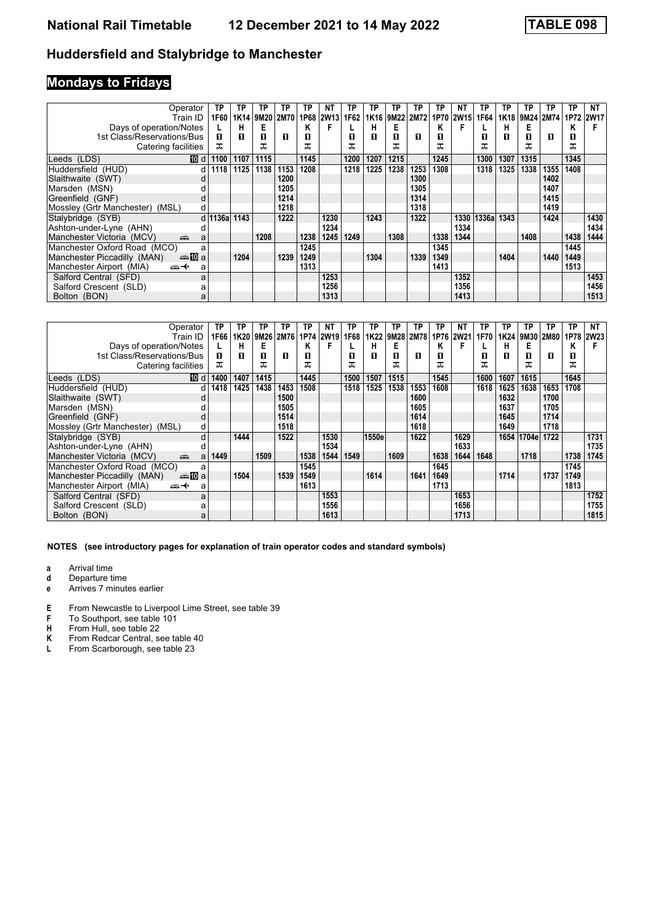# **Mondays to Fridays**

| Operator                                  | ΤP           | TP   | ГΡ          | ΤР   | TP   | ΝT          | ΤP   | TP   | ТP   | TP          | ΤP   | NΤ          | ТP          | TP   | ΤP   | TP        | TP   | NΤ          |
|-------------------------------------------|--------------|------|-------------|------|------|-------------|------|------|------|-------------|------|-------------|-------------|------|------|-----------|------|-------------|
| Train ID                                  | 1F60         |      | 1K14   9M20 | 2M70 | 1P68 | <b>2W13</b> | 1F62 | 1K16 | 9M22 | <b>2M72</b> | 1P70 | <b>2W15</b> | 1F64        | 1K18 |      | 9M24 2M74 | 1P72 | <b>2W17</b> |
| Days of operation/Notes                   |              | н    | E           |      | Κ    |             |      | н    | Е    |             | Κ    | F           |             | н    | Е    |           | Κ    |             |
| 1st Class/Reservations/Bus                | п            | п    | П           | П    | П    |             | п    | П    | П    | п           | п    |             | п           | п    | п    | п         | п    |             |
| Catering facilities                       | ᠼ            |      | ᅚ           |      | ᠼ    |             | ᠼ    |      |      |             | ᠼ    |             | ᅚ           |      | ᅚ    |           | ᅚ    |             |
| 10 d<br>Leeds (LDS)                       | 1100         | 1107 | 1115        |      | 1145 |             | 1200 | 1207 | 1215 |             | 1245 |             | 1300        | 1307 | 1315 |           | 1345 |             |
| Huddersfield (HUD)<br>d l                 | 1118         | 1125 | 1138        | 1153 | 1208 |             | 1218 | 1225 | 1238 | 1253        | 1308 |             | 1318        | 1325 | 1338 | 1355      | 1408 |             |
| Slaithwaite (SWT)                         |              |      |             | 1200 |      |             |      |      |      | 1300        |      |             |             |      |      | 1402      |      |             |
| Marsden (MSN)                             |              |      |             | 1205 |      |             |      |      |      | 1305        |      |             |             |      |      | 1407      |      |             |
| Greenfield (GNF)<br>d                     |              |      |             | 1214 |      |             |      |      |      | 1314        |      |             |             |      |      | 1415      |      |             |
| Mossley (Grtr Manchester) (MSL)<br>d      |              |      |             | 1218 |      |             |      |      |      | 1318        |      |             |             |      |      | 1419      |      |             |
| Stalybridge (SYB)                         | d 1136a 1143 |      |             | 1222 |      | 1230        |      | 1243 |      | 1322        |      |             | 1330 1336al | 1343 |      | 1424      |      | 1430        |
| Ashton-under-Lyne (AHN)                   |              |      |             |      |      | 1234        |      |      |      |             |      | 1334        |             |      |      |           |      | 1434        |
| Manchester Victoria (MCV)<br>پیش<br>a     |              |      | 1208        |      | 1238 | 1245        | 1249 |      | 1308 |             | 1338 | 1344        |             |      | 1408 |           | 1438 | 1444        |
| Manchester Oxford Road (MCO)<br>a         |              |      |             |      | 1245 |             |      |      |      |             | 1345 |             |             |      |      |           | 1445 |             |
| Manchester Piccadilly (MAN)<br>anno manda |              | 1204 |             | 1239 | 1249 |             |      | 1304 |      | 1339        | 1349 |             |             | 1404 |      | 1440      | 1449 |             |
| Manchester Airport (MIA)<br>ക+<br>a       |              |      |             |      | 1313 |             |      |      |      |             | 1413 |             |             |      |      |           | 1513 |             |
| Salford Central (SFD)<br>a                |              |      |             |      |      | 1253        |      |      |      |             |      | 1352        |             |      |      |           |      | 1453        |
| Salford Crescent (SLD)                    |              |      |             |      |      | 1256        |      |      |      |             |      | 1356        |             |      |      |           |      | 1456        |
| Bolton (BON)<br>a                         |              |      |             |      |      | 1313        |      |      |      |             |      | 1413        |             |      |      |           |      | 1513        |

| Operator                                   | TP   | ТР   | TP   | ΤP        | ΤP   | NT        | ΤР   | ТP    | ТP   | ΤP          | ΤP   | NΤ        | ТP   | TP   | ТP         | ТP          | ТP   | NT          |
|--------------------------------------------|------|------|------|-----------|------|-----------|------|-------|------|-------------|------|-----------|------|------|------------|-------------|------|-------------|
| Train ID                                   | 1F66 | 1K20 |      | 9M26 2M76 |      | 1P74 2W19 | 1F68 | 1K22  | 9M28 | <b>2M78</b> |      | 1P76 2W21 | 1F70 | 1K24 | 9M30       | <b>2M80</b> | 1P78 | <b>2W23</b> |
| Days of operation/Notes                    |      | н    | Е    |           | κ    |           |      | н     | Е    |             | κ    | F         |      | н    | Е          |             | κ    |             |
| 1st Class/Reservations/Bus                 | п    | п    | п    | п         | п    |           | п    | П     | п    | п           | п    |           | п    | п    | п          | п           | 0    |             |
| Catering facilities                        | ᠼ    |      | ᅚ    |           | ᠼ    |           | ᠼ    |       |      |             | ᠼ    |           | ᠼ    |      | ᠼ          |             | ᅚ    |             |
| Leeds (LDS)<br>100 d                       | 1400 | 1407 | 1415 |           | 1445 |           | 1500 | 1507  | 1515 |             | 1545 |           | 1600 | 1607 | 1615       |             | 1645 |             |
| Huddersfield (HUD)                         | 1418 | 1425 | 1438 | 1453      | 1508 |           | 1518 | 1525  | 1538 | 1553        | 1608 |           | 1618 | 1625 | 1638       | 1653        | 1708 |             |
| Slaithwaite (SWT)                          |      |      |      | 1500      |      |           |      |       |      | 1600        |      |           |      | 1632 |            | 1700        |      |             |
| Marsden (MSN)                              |      |      |      | 1505      |      |           |      |       |      | 1605        |      |           |      | 1637 |            | 1705        |      |             |
| Greenfield (GNF)                           |      |      |      | 1514      |      |           |      |       |      | 1614        |      |           |      | 1645 |            | 1714        |      |             |
| Mossley (Grtr Manchester)<br>(MSL)<br>d    |      |      |      | 1518      |      |           |      |       |      | 1618        |      |           |      | 1649 |            | 1718        |      |             |
| Stalybridge (SYB)<br>d                     |      | 1444 |      | 1522      |      | 1530      |      | 1550e |      | 1622        |      | 1629      |      |      | 1654 1704e | 1722        |      | 1731        |
| Ashton-under-Lyne (AHN)                    |      |      |      |           |      | 1534      |      |       |      |             |      | 1633      |      |      |            |             |      | 1735        |
| Manchester Victoria (MCV)<br>پیش<br>a      | 1449 |      | 1509 |           | 1538 | 1544      | 1549 |       | 1609 |             | 1638 | 1644      | 1648 |      | 1718       |             | 1738 | 1745        |
| Manchester Oxford Road (MCO)<br>a          |      |      |      |           | 1545 |           |      |       |      |             | 1645 |           |      |      |            |             | 1745 |             |
| <b>⊯M</b> a<br>Manchester Piccadilly (MAN) |      | 1504 |      | 1539      | 1549 |           |      | 1614  |      | 1641        | 1649 |           |      | 1714 |            | 1737        | 1749 |             |
| Manchester Airport (MIA)<br>ക+<br>a        |      |      |      |           | 1613 |           |      |       |      |             | 1713 |           |      |      |            |             | 1813 |             |
| Salford Central (SFD)<br>a                 |      |      |      |           |      | 1553      |      |       |      |             |      | 1653      |      |      |            |             |      | 1752        |
| Salford Crescent (SLD)                     |      |      |      |           |      | 1556      |      |       |      |             |      | 1656      |      |      |            |             |      | 1755        |
| Bolton (BON)<br>a                          |      |      |      |           |      | 1613      |      |       |      |             |      | 1713      |      |      |            |             |      | 1815        |

- **a** Arrival time<br>**d** Departure t
- **d** Departure time
- **e** Arrives 7 minutes earlier
- **E** From Newcastle to Liverpool Lime Street, see table 39<br>**F** To Southport, see table 101
- **F** To Southport, see table 101<br>**H** From Hull, see table 22
- **H** From Hull, see table 22<br>**K** From Redcar Central, se
- **K** From Redcar Central, see table 40<br>**L** From Scarborough, see table 23
- From Scarborough, see table 23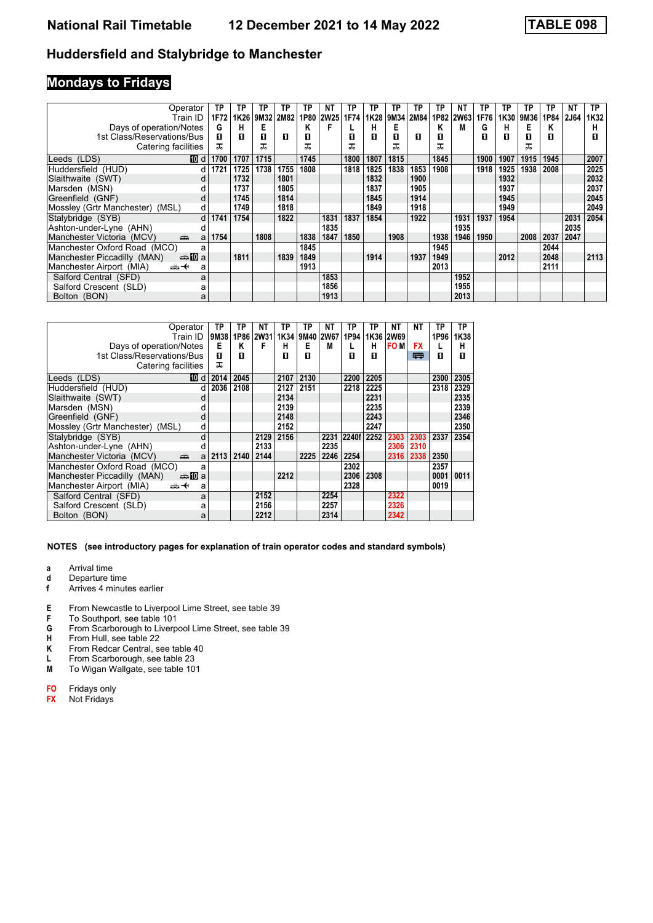### **Mondays to Fridays**

| Operator                                   | TΡ   | TP   | ΤP   | ТP   | TΡ   | NT        | ΤP   | ТP   | ТP   | TP   | ΤP   | NΤ        | ТP   | ТP   | ΤP   | TP   | NΤ          | TP.  |
|--------------------------------------------|------|------|------|------|------|-----------|------|------|------|------|------|-----------|------|------|------|------|-------------|------|
| Train ID                                   | 1F72 | 1K26 | 9M32 | 2M82 |      | 1P80 2W25 | 1F74 | 1K28 | 9M34 | 2M84 |      | 1P82 2W63 | 1F76 | 1K30 | 9M36 | 1P84 | <b>2J64</b> | 1K32 |
| Days of operation/Notes                    | G    | н    | Е    |      |      |           |      | н    | Е    |      | Κ    | M         | G    | н    | Е    | Κ    |             | н    |
| 1st Class/Reservations/Bus                 | п    | п    | п    | п    | п    |           | п    | п    | п    | п    | п    |           | п    | п    | п    | п    |             | п    |
| Catering facilities                        |      |      | ᅚ    |      | ㅈ    |           | ᅚ    |      |      |      | ᅚ    |           |      |      | ᅚ    |      |             |      |
| 10 d<br>Leeds (LDS)                        | 1700 | 1707 | 1715 |      | 1745 |           | 1800 | 1807 | 1815 |      | 1845 |           | 1900 | 1907 | 1915 | 1945 |             | 2007 |
| Huddersfield (HUD)<br>d                    | 1721 | 1725 | 1738 | 1755 | 1808 |           | 1818 | 1825 | 1838 | 1853 | 1908 |           | 1918 | 1925 | 1938 | 2008 |             | 2025 |
| Slaithwaite (SWT)                          |      | 1732 |      | 1801 |      |           |      | 1832 |      | 1900 |      |           |      | 1932 |      |      |             | 2032 |
| Marsden (MSN)                              |      | 1737 |      | 1805 |      |           |      | 1837 |      | 1905 |      |           |      | 1937 |      |      |             | 2037 |
| Greenfield (GNF)<br>d                      |      | 1745 |      | 1814 |      |           |      | 1845 |      | 1914 |      |           |      | 1945 |      |      |             | 2045 |
| Mossley (Grtr Manchester)<br>(MSL)<br>d    |      | 1749 |      | 1818 |      |           |      | 1849 |      | 1918 |      |           |      | 1949 |      |      |             | 2049 |
| Stalybridge (SYB)<br>d                     | 1741 | 1754 |      | 1822 |      | 1831      | 1837 | 1854 |      | 1922 |      | 1931      | 1937 | 1954 |      |      | 2031        | 2054 |
| Ashton-under-Lyne (AHN)                    |      |      |      |      |      | 1835      |      |      |      |      |      | 1935      |      |      |      |      | 2035        |      |
| Manchester Victoria (MCV)<br>پیش<br>a      | 1754 |      | 1808 |      | 1838 | 1847      | 1850 |      | 1908 |      | 1938 | 1946      | 1950 |      | 2008 | 2037 | 2047        |      |
| Manchester Oxford Road (MCO)<br>a          |      |      |      |      | 1845 |           |      |      |      |      | 1945 |           |      |      |      | 2044 |             |      |
| Manchester Piccadilly (MAN)<br><b>⊯M</b> a |      | 1811 |      | 1839 | 1849 |           |      | 1914 |      | 1937 | 1949 |           |      | 2012 |      | 2048 |             | 2113 |
| Manchester Airport (MIA)<br>ക+<br>а        |      |      |      |      | 1913 |           |      |      |      |      | 2013 |           |      |      |      | 2111 |             |      |
| Salford Central (SFD)<br>a                 |      |      |      |      |      | 1853      |      |      |      |      |      | 1952      |      |      |      |      |             |      |
| Salford Crescent (SLD)<br>а                |      |      |      |      |      | 1856      |      |      |      |      |      | 1955      |      |      |      |      |             |      |
| Bolton (BON)<br>a                          |      |      |      |      |      | 1913      |      |      |      |      |      | 2013      |      |      |      |      |             |      |

| Operator                                              | TP   | ΤP   | NΤ        | ТP   | ТP             | NΤ   | TP    | TP   | NΤ         | NΤ        | ΤP   | ТP   |
|-------------------------------------------------------|------|------|-----------|------|----------------|------|-------|------|------------|-----------|------|------|
| Train ID                                              | 9M38 |      | 1P86 2W31 |      | 1K34 9M40 2W67 |      | 1P94  |      | 1K36 2W69  |           | 1P96 | 1K38 |
| Days of operation/Notes                               | Е    | κ    | F         | н    | Е              | М    |       | н    | <b>FOM</b> | <b>FX</b> |      | н    |
| 1st Class/Reservations/Bus                            | п    | п    |           | п    | п              |      | п     | п    |            | 罒         | п    | п    |
| Catering facilities                                   | ᠼ    |      |           |      |                |      |       |      |            |           |      |      |
| [10] d<br>Leeds (LDS)                                 | 2014 | 2045 |           | 2107 | 2130           |      | 2200  | 2205 |            |           | 2300 | 2305 |
| Huddersfield (HUD)<br>d                               | 2036 | 2108 |           | 2127 | 2151           |      | 2218  | 2225 |            |           | 2318 | 2329 |
| Slaithwaite (SWT)<br>d                                |      |      |           | 2134 |                |      |       | 2231 |            |           |      | 2335 |
| Marsden (MSN)                                         |      |      |           | 2139 |                |      |       | 2235 |            |           |      | 2339 |
| Greenfield (GNF)<br>d                                 |      |      |           | 2148 |                |      |       | 2243 |            |           |      | 2346 |
| Mossley (Grtr Manchester) (MSL)<br>d                  |      |      |           | 2152 |                |      |       | 2247 |            |           |      | 2350 |
| Stalybridge (SYB)<br>d                                |      |      | 2129      | 2156 |                | 2231 | 2240f | 2252 | 2303       | 2303      | 2337 | 2354 |
| Ashton-under-Lyne (AHN)<br>d                          |      |      | 2133      |      |                | 2235 |       |      | 2306       | 2310      |      |      |
| Manchester Victoria (MCV)<br>پیش<br>a                 | 2113 | 2140 | 2144      |      | 2225           | 2246 | 2254  |      | 2316       | 2338      | 2350 |      |
| Manchester Oxford Road (MCO)<br>a                     |      |      |           |      |                |      | 2302  |      |            |           | 2357 |      |
| Manchester Piccadilly (MAN)<br>dana <mark>an</mark> ⊡ |      |      |           | 2212 |                |      | 2306  | 2308 |            |           | 0001 | 0011 |
| Manchester Airport (MIA)<br>⇜✦<br>a                   |      |      |           |      |                |      | 2328  |      |            |           | 0019 |      |
| Salford Central (SFD)<br>a                            |      |      | 2152      |      |                | 2254 |       |      | 2322       |           |      |      |
| Salford Crescent (SLD)<br>a                           |      |      | 2156      |      |                | 2257 |       |      | 2326       |           |      |      |
| Bolton (BON)<br>a                                     |      |      | 2212      |      |                | 2314 |       |      | 2342       |           |      |      |

- **a** Arrival time<br>**d** Departure t
- **d** Departure time<br>**f** Arrives 4 minut
- **f** Arrives 4 minutes earlier
- **E** From Newcastle to Liverpool Lime Street, see table 39<br>**F** To Southport, see table 101
- **F** To Southport, see table 101<br>**G** From Scarborough to Liverp
- **G** From Scarborough to Liverpool Lime Street, see table 39<br>**H** From Hull, see table 22
- **H** From Hull, see table 22<br>**K** From Redcar Central, se
- **K** From Redcar Central, see table 40<br>**L** From Scarborough, see table 23
- **L** From Scarborough, see table 23<br>**M** To Wigan Wallgate, see table 10
- To Wigan Wallgate, see table 101
- **FO** Fridays only<br>**FX** Not Fridays
- **);** Not Fridays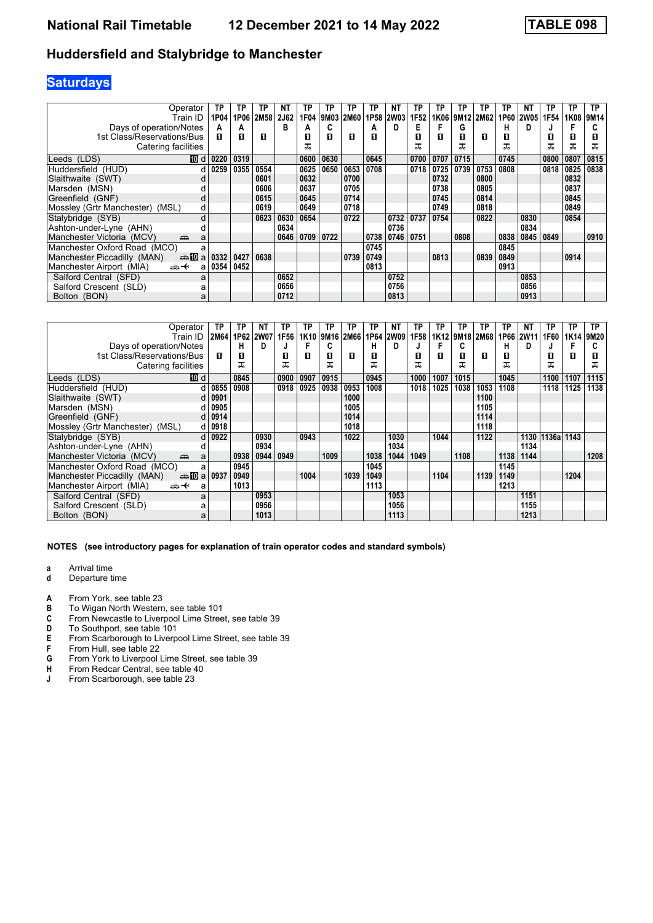### **Saturdays**

| Operator                                | ΤP         | ΤP   | ΤP   | NΤ   | TP   | ΤP   | ТP   | ТP               | NΤ          | ТP   | ΤP   | ТP   | ТP        | ТP   | NΤ          | TP        | ТP   | TP   |
|-----------------------------------------|------------|------|------|------|------|------|------|------------------|-------------|------|------|------|-----------|------|-------------|-----------|------|------|
| Train ID                                | 1P04       | 1P06 | 2M58 | 2J62 | 1F04 | 9M03 | 2M60 | 1P <sub>58</sub> | <b>2W03</b> | 1F52 | 1K06 |      | 9M12 2M62 | 1P60 | <b>2W05</b> | 1F54      | 1K08 | 9M14 |
| Days of operation/Notes                 | A          | A    |      | в    | A    |      |      | A                | D           | Е    | F    | G    |           | н    | D           |           |      |      |
| 1st Class/Reservations/Bus              | п          | п    | п    |      | п    | п    | п    | П                |             | п    | п    | п    | п         | п    |             | П         | 0    | П    |
| Catering facilities                     |            |      |      |      | ᅚ    |      |      |                  |             |      |      |      |           | ᅚ    |             |           | ᅚ    | ᅚ    |
| Leeds (LDS)                             | ID d 0220  | 0319 |      |      | 0600 | 0630 |      | 0645             |             | 0700 | 0707 | 0715 |           | 0745 |             | 0800      | 0807 | 0815 |
| Huddersfield (HUD)                      | $d$   0259 | 0355 | 0554 |      | 0625 | 0650 | 0653 | 0708             |             | 0718 | 0725 | 0739 | 0753      | 0808 |             | 0818      | 0825 | 0838 |
| Slaithwaite (SWT)                       |            |      | 0601 |      | 0632 |      | 0700 |                  |             |      | 0732 |      | 0800      |      |             |           | 0832 |      |
| Marsden (MSN)                           |            |      | 0606 |      | 0637 |      | 0705 |                  |             |      | 0738 |      | 0805      |      |             |           | 0837 |      |
| Greenfield (GNF)                        |            |      | 0615 |      | 0645 |      | 0714 |                  |             |      | 0745 |      | 0814      |      |             |           | 0845 |      |
| Mossley (Grtr Manchester)<br>(MSL)<br>d |            |      | 0619 |      | 0649 |      | 0718 |                  |             |      | 0749 |      | 0818      |      |             |           | 0849 |      |
| Stalybridge (SYB)<br>d                  |            |      | 0623 | 0630 | 0654 |      | 0722 |                  | 0732        | 0737 | 0754 |      | 0822      |      | 0830        |           | 0854 |      |
| Ashton-under-Lyne (AHN)                 |            |      |      | 0634 |      |      |      |                  | 0736        |      |      |      |           |      | 0834        |           |      |      |
| Manchester Victoria (MCV)<br>añ,<br>a   |            |      |      | 0646 | 0709 | 0722 |      | 0738             | 0746        | 0751 |      | 0808 |           | 0838 |             | 0845 0849 |      | 0910 |
| Manchester Oxford Road (MCO)<br>a       |            |      |      |      |      |      |      | 0745             |             |      |      |      |           | 0845 |             |           |      |      |
| Manchester Piccadilly (MAN)<br>anno ma  | 0332       | 0427 | 0638 |      |      |      | 0739 | 0749             |             |      | 0813 |      | 0839      | 0849 |             |           | 0914 |      |
| Manchester Airport (MIA)<br>ക+<br>a     | 0354       | 0452 |      |      |      |      |      | 0813             |             |      |      |      |           | 0913 |             |           |      |      |
| Salford Central (SFD)<br>a              |            |      |      | 0652 |      |      |      |                  | 0752        |      |      |      |           |      | 0853        |           |      |      |
| Salford Crescent (SLD)<br>а             |            |      |      | 0656 |      |      |      |                  | 0756        |      |      |      |           |      | 0856        |           |      |      |
| Bolton (BON)<br>a                       |            |      |      | 0712 |      |      |      |                  | 0813        |      |      |      |           |      | 0913        |           |      |      |

| Operator                                        | ТP            | ТР   | NΤ        | ТP   | ΤP               | ΤP   | TP   | ТP   | ΝT          | ΤP   | ΤР   | ТP   | ТP        | ΤP   | ΝT          | ΤP         | ТP   | TP   |
|-------------------------------------------------|---------------|------|-----------|------|------------------|------|------|------|-------------|------|------|------|-----------|------|-------------|------------|------|------|
| Train ID                                        | 2M64          |      | 1P62 2W07 | 1F56 | 1K <sub>10</sub> | 9M16 | 2M66 | 1P64 | <b>2W09</b> | 1F58 | 1K12 |      | 9M18 2M68 | 1P66 | <b>2W11</b> | 1F60       | 1K14 | 9M20 |
| Days of operation/Notes                         |               | н    | D         |      |                  | C    |      | н    | D           | J    |      | C    |           | н    | D           |            |      |      |
| 1st Class/Reservations/Bus                      | п             | 0    |           | П    | п                | п    | п    | П    |             | П    | п    | П    | п         | п    |             | П          | п    |      |
| Catering facilities                             |               | ᠼ    |           | ᠼ    |                  | ᠼ    |      | ᇁ    |             |      |      | ᠼ    |           | ᅚ    |             | ᠼ          |      | ᅚ    |
| [10] d<br>Leeds (LDS)                           |               | 0845 |           | 0900 | 0907             | 0915 |      | 0945 |             | 1000 | 1007 | 1015 |           | 1045 |             | 1100       | 1107 | 1115 |
| Huddersfield (HUD)<br>d l                       | 0855          | 0908 |           | 0918 | 0925             | 0938 | 0953 | 1008 |             | 1018 | 1025 | 1038 | 1053      | 1108 |             | 1118       | 1125 | 1138 |
| Slaithwaite (SWT)                               | $d$ 0901      |      |           |      |                  |      | 1000 |      |             |      |      |      | 1100      |      |             |            |      |      |
| Marsden (MSN)                                   | 0905          |      |           |      |                  |      | 1005 |      |             |      |      |      | 1105      |      |             |            |      |      |
| Greenfield (GNF)                                | $d$ 0914      |      |           |      |                  |      | 1014 |      |             |      |      |      | 1114      |      |             |            |      |      |
| Mossley (Grtr Manchester)<br>(MSL)              | $d$ 0918      |      |           |      |                  |      | 1018 |      |             |      |      |      | 1118      |      |             |            |      |      |
| Stalybridge (SYB)                               | $d \mid 0922$ |      | 0930      |      | 0943             |      | 1022 |      | 1030        |      | 1044 |      | 1122      |      | 1130        | 1136a 1143 |      |      |
| Ashton-under-Lyne (AHN)                         |               |      | 0934      |      |                  |      |      |      | 1034        |      |      |      |           |      | 1134        |            |      |      |
| پیش<br>Manchester Victoria (MCV)<br>a           |               | 0938 | 0944      | 0949 |                  | 1009 |      | 1038 | 1044        | 1049 |      | 1108 |           | 1138 | 1144        |            |      | 1208 |
| Manchester Oxford Road (MCO)<br>a               |               | 0945 |           |      |                  |      |      | 1045 |             |      |      |      |           | 1145 |             |            |      |      |
| Manchester Piccadilly (MAN)<br>dan <b>10</b> a  | 0937          | 0949 |           |      | 1004             |      | 1039 | 1049 |             |      | 1104 |      | 1139      | 1149 |             |            | 1204 |      |
| Manchester Airport (MIA)<br><del>∰ ∢</del><br>a |               | 1013 |           |      |                  |      |      | 1113 |             |      |      |      |           | 1213 |             |            |      |      |
| Salford Central (SFD)<br>a                      |               |      | 0953      |      |                  |      |      |      | 1053        |      |      |      |           |      | 1151        |            |      |      |
| Salford Crescent (SLD)<br>а                     |               |      | 0956      |      |                  |      |      |      | 1056        |      |      |      |           |      | 1155        |            |      |      |
| Bolton (BON)<br>a                               |               |      | 1013      |      |                  |      |      |      | 1113        |      |      |      |           |      | 1213        |            |      |      |

- **a** Arrival time<br>**d** Departure t
- **d** Departure time
- **A** From York, see table 23<br>**B** To Wigan North Westerr
- **B** To Wigan North Western, see table 101<br>**C** From Newcastle to Liverpool Lime Stree
- **C** From Newcastle to Liverpool Lime Street, see table 39<br>**D** To Southport, see table 101
- 
- **D** To Southport, see table 101<br>**E** From Scarborough to Liverp **E** From Scarborough to Liverpool Lime Street, see table 39<br>**F** From Hull, see table 22
- **F** From Hull, see table 22<br>**G** From York to Liverpool
- From York to Liverpool Lime Street, see table 39
- **H** From Redcar Central, see table 40<br>**J** From Scarborough, see table 23
- From Scarborough, see table 23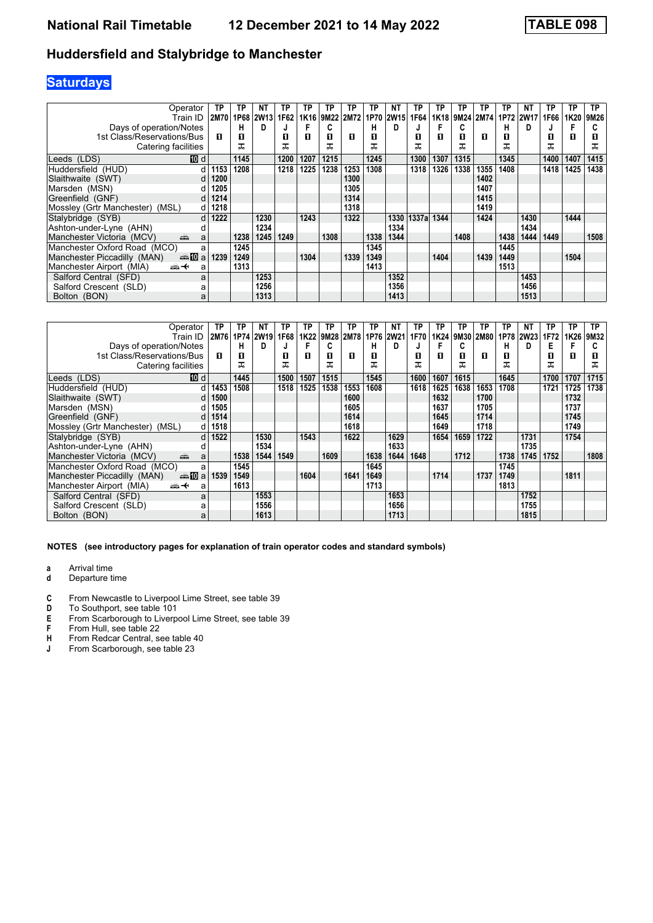### **Saturdays**

| Operator                                        | TP          | TP   | <b>NT</b>        | TP   | ΤP   | ΤP   | ΤP   | ТP   | <b>NT</b>   | ТP    | ΤP   | TP   | ТP        | ТP   | ΝT        | TP   | ТP   | TP   |
|-------------------------------------------------|-------------|------|------------------|------|------|------|------|------|-------------|-------|------|------|-----------|------|-----------|------|------|------|
| Train ID                                        | <b>2M70</b> | 1P68 | 2W <sub>13</sub> | 1F62 | 1K16 | 9M22 | 2M72 | 1P70 | <b>2W15</b> | 1F64  | 1K18 |      | 9M24 2M74 |      | 1P72 2W17 | 1F66 | 1K20 | 9M26 |
| Days of operation/Notes                         |             | н    | D                |      |      |      |      | н    | D           |       | F    | C    |           | н    | D         |      |      | G    |
| 1st Class/Reservations/Bus                      | п           | 0    |                  | П    | п    | п    | п    | П    |             | п     | п    | п    | п         | п    |           | П    | П    | П    |
| Catering facilities                             |             | ᅚ    |                  | ᅚ    |      | ᠼ    |      |      |             | ᠼ     |      | ᠼ    |           | ᠼ    |           |      |      | ᅚ    |
| 10 d<br>Leeds (LDS)                             |             | 1145 |                  | 1200 | 1207 | 1215 |      | 1245 |             | 1300  | 1307 | 1315 |           | 1345 |           | 1400 | 1407 | 1415 |
| Huddersfield (HUD)                              | 1153        | 1208 |                  | 1218 | 1225 | 1238 | 1253 | 1308 |             | 1318  | 1326 | 1338 | 1355      | 1408 |           | 1418 | 1425 | 1438 |
| Slaithwaite (SWT)                               | 1200        |      |                  |      |      |      | 1300 |      |             |       |      |      | 1402      |      |           |      |      |      |
| Marsden (MSN)                                   | 1205        |      |                  |      |      |      | 1305 |      |             |       |      |      | 1407      |      |           |      |      |      |
| Greenfield (GNF)                                | 1214        |      |                  |      |      |      | 1314 |      |             |       |      |      | 1415      |      |           |      |      |      |
| Mossley (Grtr Manchester)<br>(MSL)              | 1218        |      |                  |      |      |      | 1318 |      |             |       |      |      | 1419      |      |           |      |      |      |
| Stalybridge (SYB)<br>d                          | 1222        |      | 1230             |      | 1243 |      | 1322 |      | 1330        | 1337a | 1344 |      | 1424      |      | 1430      |      | 1444 |      |
| Ashton-under-Lyne (AHN)                         |             |      | 1234             |      |      |      |      |      | 1334        |       |      |      |           |      | 1434      |      |      |      |
| Manchester Victoria (MCV)<br>ain<br>a           |             | 1238 | 1245             | 1249 |      | 1308 |      | 1338 | 1344        |       |      | 1408 |           | 1438 | 1444      | 1449 |      | 1508 |
| Manchester Oxford Road (MCO)<br>a               |             | 1245 |                  |      |      |      |      | 1345 |             |       |      |      |           | 1445 |           |      |      |      |
| Manchester Piccadilly (MAN)                     | 1239        | 1249 |                  |      | 1304 |      | 1339 | 1349 |             |       | 1404 |      | 1439      | 1449 |           |      | 1504 |      |
| Manchester Airport (MIA)<br><del>∰ ∢</del><br>a |             | 1313 |                  |      |      |      |      | 1413 |             |       |      |      |           | 1513 |           |      |      |      |
| Salford Central (SFD)<br>a                      |             |      | 1253             |      |      |      |      |      | 1352        |       |      |      |           |      | 1453      |      |      |      |
| Salford Crescent (SLD)<br>а                     |             |      | 1256             |      |      |      |      |      | 1356        |       |      |      |           |      | 1456      |      |      |      |
| Bolton (BON)<br>a                               |             |      | 1313             |      |      |      |      |      | 1413        |       |      |      |           |      | 1513      |      |      |      |

| Operator                                          | ΤP   | TP        | NΤ          | ГР   | TP   | TP   | TP   | ТР   | NT   | TP   | TP   | ТP   | TP   | TP   | ΝT          | ΤР   | ТP   | TP.  |
|---------------------------------------------------|------|-----------|-------------|------|------|------|------|------|------|------|------|------|------|------|-------------|------|------|------|
| Train ID                                          |      | 2M76 1P74 | <b>2W19</b> | 1F68 | 1K22 | 9M28 | 2M78 | 1P76 | 2W21 | 1F70 | 1K24 | 9M30 | 2M80 | 1P78 | <b>2W23</b> | 1F72 | 1K26 | 9M32 |
| Days of operation/Notes                           |      | н         | D           |      |      |      |      | н    | D    |      |      | C    |      | н    | D           | Е    |      |      |
| 1st Class/Reservations/Bus                        | п    | 0         |             | П    | п    | п    | п    | п    |      | л    | п    | П    | п    | П    |             | П    | п    |      |
| Catering facilities                               |      | ᅚ         |             | ᠼ    |      | ᠼ    |      | ᅚ    |      |      |      |      |      | ᅚ    |             | ᠼ    |      | ᠼ    |
| Leeds (LDS)<br>100 d                              |      | 1445      |             | 1500 | 1507 | 1515 |      | 1545 |      | 1600 | 1607 | 1615 |      | 1645 |             | 1700 | 1707 | 1715 |
| Huddersfield (HUD)<br>d l                         | 1453 | 1508      |             | 1518 | 1525 | 1538 | 1553 | 1608 |      | 1618 | 1625 | 1638 | 1653 | 1708 |             | 1721 | 1725 | 1738 |
| Slaithwaite (SWT)<br>dl                           | 1500 |           |             |      |      |      | 1600 |      |      |      | 1632 |      | 1700 |      |             |      | 1732 |      |
| Marsden (MSN)                                     | 1505 |           |             |      |      |      | 1605 |      |      |      | 1637 |      | 1705 |      |             |      | 1737 |      |
| Greenfield (GNF)<br>dl                            | 1514 |           |             |      |      |      | 1614 |      |      |      | 1645 |      | 1714 |      |             |      | 1745 |      |
| Mossley (Grtr Manchester)<br>(MSL)<br>d l         | 1518 |           |             |      |      |      | 1618 |      |      |      | 1649 |      | 1718 |      |             |      | 1749 |      |
| Stalybridge (SYB)<br>$d \mid$                     | 1522 |           | 1530        |      | 1543 |      | 1622 |      | 1629 |      | 1654 | 1659 | 1722 |      | 1731        |      | 1754 |      |
| Ashton-under-Lyne (AHN)                           |      |           | 1534        |      |      |      |      |      | 1633 |      |      |      |      |      | 1735        |      |      |      |
| Manchester Victoria (MCV)<br>پیش<br>a             |      | 1538      | 1544        | 1549 |      | 1609 |      | 1638 | 1644 | 1648 |      | 1712 |      | 1738 | 1745        | 1752 |      | 1808 |
| Manchester Oxford Road (MCO)<br>a                 |      | 1545      |             |      |      |      |      | 1645 |      |      |      |      |      | 1745 |             |      |      |      |
| Manchester Piccadilly (MAN)<br>dan <b>n</b> umber | 1539 | 1549      |             |      | 1604 |      | 1641 | 1649 |      |      | 1714 |      | 1737 | 1749 |             |      | 1811 |      |
| Manchester Airport (MIA)<br><del>∰ ∢</del><br>a   |      | 1613      |             |      |      |      |      | 1713 |      |      |      |      |      | 1813 |             |      |      |      |
| Salford Central (SFD)<br>a                        |      |           | 1553        |      |      |      |      |      | 1653 |      |      |      |      |      | 1752        |      |      |      |
| Salford Crescent (SLD)<br>а                       |      |           | 1556        |      |      |      |      |      | 1656 |      |      |      |      |      | 1755        |      |      |      |
| Bolton (BON)<br>a                                 |      |           | 1613        |      |      |      |      |      | 1713 |      |      |      |      |      | 1815        |      |      |      |

**NOTES (see introductory pages for explanation of train operator codes and standard symbols)**

**a** Arrival time<br>**d** Departure t

- **d** Departure time
- **C** From Newcastle to Liverpool Lime Street, see table 39<br>**D** To Southport, see table 101
- **D** To Southport, see table 101<br>**E** From Scarborough to Liverp
- **E** From Scarborough to Liverpool Lime Street, see table 39<br>**F** From Hull, see table 22
- **F** From Hull, see table 22<br>**H** From Redcar Central, se
- **H** From Redcar Central, see table 40<br>**J** From Scarborough, see table 23
- From Scarborough, see table 23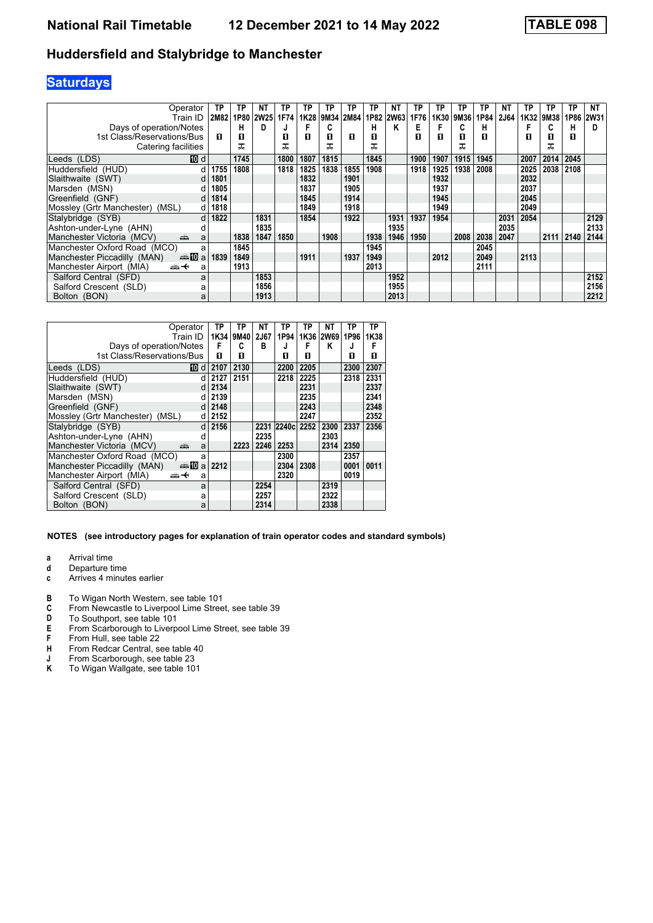## **Saturdays**

| Operator                                                                                                                                                                                                                                                         | TP   | ТP   | NΤ          | ТP   | TP   | ТP   | ΤP   | ТP   | NΤ          | TP   | ΤР   | ТP   | ТP   | <b>NT</b> | ТP   | TP   | <b>TP</b> | NΤ   |
|------------------------------------------------------------------------------------------------------------------------------------------------------------------------------------------------------------------------------------------------------------------|------|------|-------------|------|------|------|------|------|-------------|------|------|------|------|-----------|------|------|-----------|------|
| Train ID                                                                                                                                                                                                                                                         | 2M82 | 1P80 | <b>2W25</b> | 1F74 | 1K28 | 9M34 | 2M84 | 1P82 | <b>2W63</b> | 1F76 | 1K30 | 9M36 | 1P84 | 2J64      | 1K32 | 9M38 | 1P86      | 2W31 |
| Days of operation/Notes                                                                                                                                                                                                                                          |      | н    | D           |      |      | C    |      | н    | к           | Е    |      | C    | н    |           |      |      | н         | D    |
| 1st Class/Reservations/Bus                                                                                                                                                                                                                                       | п    | 0    |             | п    | п    | п    | п    | п    |             | п    | п    | П    | п    |           | п    | 0    | O         |      |
| Catering facilities                                                                                                                                                                                                                                              |      | ᅚ    |             | ᅚ    |      | ᅚ    |      |      |             |      |      | ᅚ    |      |           |      | ᅚ    |           |      |
| <b>TO</b> d<br>Leeds (LDS)                                                                                                                                                                                                                                       |      | 1745 |             | 1800 | 1807 | 1815 |      | 1845 |             | 1900 | 1907 | 1915 | 1945 |           | 2007 | 2014 | 2045      |      |
| Huddersfield (HUD)<br>d                                                                                                                                                                                                                                          | 1755 | 1808 |             | 1818 | 1825 | 1838 | 1855 | 1908 |             | 1918 | 1925 | 1938 | 2008 |           | 2025 | 2038 | 2108      |      |
| Slaithwaite (SWT)<br>d                                                                                                                                                                                                                                           | 1801 |      |             |      | 1832 |      | 1901 |      |             |      | 1932 |      |      |           | 2032 |      |           |      |
| Marsden (MSN)                                                                                                                                                                                                                                                    | 1805 |      |             |      | 1837 |      | 1905 |      |             |      | 1937 |      |      |           | 2037 |      |           |      |
| Greenfield (GNF)<br>d                                                                                                                                                                                                                                            | 1814 |      |             |      | 1845 |      | 1914 |      |             |      | 1945 |      |      |           | 2045 |      |           |      |
| Mossley (Grtr Manchester)<br>(MSL)<br>d                                                                                                                                                                                                                          | 1818 |      |             |      | 1849 |      | 1918 |      |             |      | 1949 |      |      |           | 2049 |      |           |      |
| Stalybridge (SYB)<br>d                                                                                                                                                                                                                                           | 1822 |      | 1831        |      | 1854 |      | 1922 |      | 1931        | 1937 | 1954 |      |      | 2031      | 2054 |      |           | 2129 |
| Ashton-under-Lyne (AHN)<br>d                                                                                                                                                                                                                                     |      |      | 1835        |      |      |      |      |      | 1935        |      |      |      |      | 2035      |      |      |           | 2133 |
| Manchester Victoria (MCV)<br>and the second second second second second second second second second second second second second second second second second second second second second second second second second second second second second second seco<br>a |      | 1838 | 1847        | 1850 |      | 1908 |      | 1938 | 1946        | 1950 |      | 2008 | 2038 | 2047      |      | 2111 | 2140      | 2144 |
| Manchester Oxford Road (MCO)<br>a                                                                                                                                                                                                                                |      | 1845 |             |      |      |      |      | 1945 |             |      |      |      | 2045 |           |      |      |           |      |
| Manchester Piccadilly (MAN)<br>anno ma                                                                                                                                                                                                                           | 1839 | 1849 |             |      | 1911 |      | 1937 | 1949 |             |      | 2012 |      | 2049 |           | 2113 |      |           |      |
| Manchester Airport (MIA)<br><del>∰ ∢</del><br>a                                                                                                                                                                                                                  |      | 1913 |             |      |      |      |      | 2013 |             |      |      |      | 2111 |           |      |      |           |      |
| Salford Central (SFD)<br>a                                                                                                                                                                                                                                       |      |      | 1853        |      |      |      |      |      | 1952        |      |      |      |      |           |      |      |           | 2152 |
| Salford Crescent (SLD)<br>а                                                                                                                                                                                                                                      |      |      | 1856        |      |      |      |      |      | 1955        |      |      |      |      |           |      |      |           | 2156 |
| Bolton (BON)<br>а                                                                                                                                                                                                                                                |      |      | 1913        |      |      |      |      |      | 2013        |      |      |      |      |           |      |      |           | 2212 |

| Operator                                        | ТP   | ТP   | NΤ          | TP         | TP   | ΝT        | ТP   | ΤP   |
|-------------------------------------------------|------|------|-------------|------------|------|-----------|------|------|
| Train ID                                        | 1K34 | 9M40 | <b>2J67</b> | 1P94       |      | 1K36 2W69 | 1P96 | 1K38 |
| Days of operation/Notes                         | F    | c    | B           | J          | F    | κ         |      | F    |
| 1st Class/Reservations/Bus                      | п    | п    |             | п          | п    |           | п    | п    |
| Leeds (LDS)<br>10 d                             | 2107 | 2130 |             | 2200       | 2205 |           | 2300 | 2307 |
| Huddersfield (HUD)<br>d                         | 2127 | 2151 |             | 2218       | 2225 |           | 2318 | 2331 |
| Slaithwaite (SWT)<br>d                          | 2134 |      |             |            | 2231 |           |      | 2337 |
| Marsden (MSN)<br>d                              | 2139 |      |             |            | 2235 |           |      | 2341 |
| Greenfield (GNF)<br>d                           | 2148 |      |             |            | 2243 |           |      | 2348 |
| Mossley (Grtr Manchester) (MSL)<br>d            | 2152 |      |             |            | 2247 |           |      | 2352 |
| Stalybridge (SYB)<br>d                          | 2156 |      | 2231        | 2240c 2252 |      | 2300      | 2337 | 2356 |
| Ashton-under-Lyne (AHN)<br>d                    |      |      | 2235        |            |      | 2303      |      |      |
| Manchester Victoria (MCV)<br>a<br>еñ            |      | 2223 | 2246        | 2253       |      | 2314      | 2350 |      |
| Manchester Oxford Road (MCO)<br>a               |      |      |             | 2300       |      |           | 2357 |      |
| Manchester Piccadilly (MAN)<br>dan <b>T</b> ual | 2212 |      |             | 2304       | 2308 |           | 0001 | 0011 |
| Manchester Airport (MIA)<br>ക+<br>a             |      |      |             | 2320       |      |           | 0019 |      |
| Salford Central (SFD)<br>a                      |      |      | 2254        |            |      | 2319      |      |      |
| Salford Crescent (SLD)<br>a                     |      |      | 2257        |            |      | 2322      |      |      |
| Bolton (BON)<br>a                               |      |      | 2314        |            |      | 2338      |      |      |

#### **NOTES (see introductory pages for explanation of train operator codes and standard symbols)**

**a** Arrival time<br>**d** Departure ti

- **d** Departure time<br>**c** Arrives 4 minute
- **c** Arrives 4 minutes earlier
- **B** To Wigan North Western, see table 101 **C** From Newcastle to Liverpool Lime Stree
- **C** From Newcastle to Liverpool Lime Street, see table 39<br>**D** To Southport, see table 101
- **D** To Southport, see table 101<br>**E** From Scarborough to Liverp
- From Scarborough to Liverpool Lime Street, see table 39
- **F** From Hull, see table 22<br>**H** From Redcar Central, se
- **H** From Redcar Central, see table 40<br>**J** From Scarborough, see table 23
- **J** From Scarborough, see table 23<br>**K** To Wigan Wallgate, see table 10
- To Wigan Wallgate, see table 101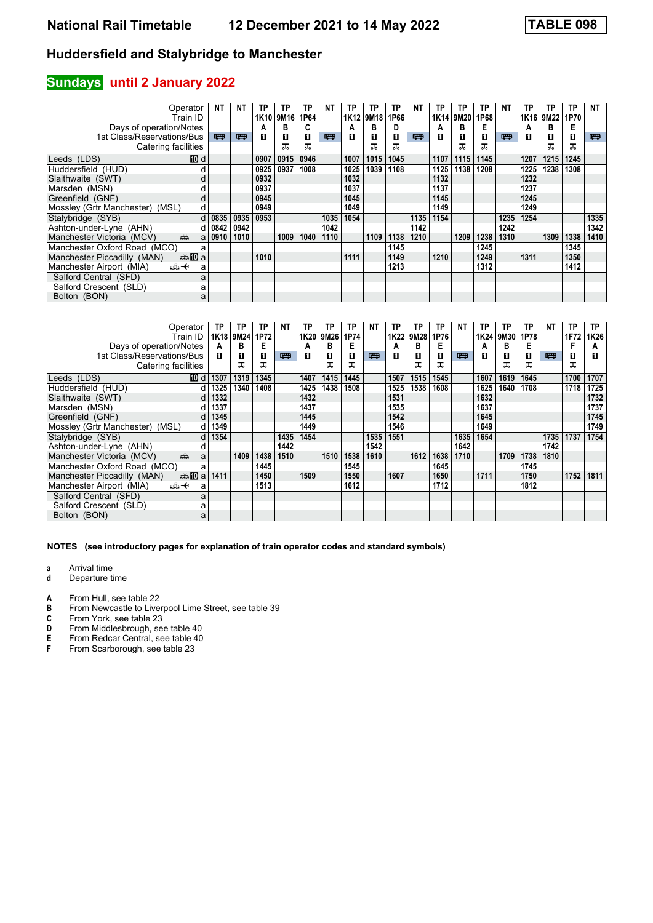### **Sundays** until 2 January 2022

| Operator                                                                                                                                                                                                                                                         | NΤ       | NΤ   | ΤР   | ТP   | ТP   | NΤ   | ТP   | TP   | ТP   | <b>NT</b> | ТP   | ТP   | TP   | <b>NT</b> | ТP   | TP   | <b>TP</b> | NΤ   |
|------------------------------------------------------------------------------------------------------------------------------------------------------------------------------------------------------------------------------------------------------------------|----------|------|------|------|------|------|------|------|------|-----------|------|------|------|-----------|------|------|-----------|------|
| Train ID                                                                                                                                                                                                                                                         |          |      | 1K10 | 9M16 | 1P64 |      | 1K12 | 9M18 | 1P66 |           | 1K14 | 9M20 | 1P68 |           | 1K16 | 9M22 | 1P70      |      |
| Days of operation/Notes                                                                                                                                                                                                                                          |          |      | А    | в    | C    |      | А    | в    | D    |           | А    | в    | Е    |           | А    | в    | Е         |      |
| 1st Class/Reservations/Bus                                                                                                                                                                                                                                       | 罒        | 罒    | п    | 0    | п    | 四    | п    | 0    | п    | 四         | п    | п    | п    | 四         | п    | п    | О         | 四    |
| Catering facilities                                                                                                                                                                                                                                              |          |      |      | ᅚ    | ᅚ    |      |      |      | ᅚ    |           |      | ᠼ    | ᠼ    |           |      | ᅚ    | ᅚ         |      |
| 10 d<br>Leeds (LDS)                                                                                                                                                                                                                                              |          |      | 0907 | 0915 | 0946 |      | 1007 | 1015 | 1045 |           | 1107 | 1115 | 1145 |           | 1207 | 1215 | 1245      |      |
| Huddersfield (HUD)                                                                                                                                                                                                                                               |          |      | 0925 | 0937 | 1008 |      | 1025 | 1039 | 1108 |           | 1125 | 1138 | 1208 |           | 1225 | 1238 | 1308      |      |
| Slaithwaite (SWT)<br>d                                                                                                                                                                                                                                           |          |      | 0932 |      |      |      | 1032 |      |      |           | 1132 |      |      |           | 1232 |      |           |      |
| Marsden (MSN)                                                                                                                                                                                                                                                    |          |      | 0937 |      |      |      | 1037 |      |      |           | 1137 |      |      |           | 1237 |      |           |      |
| Greenfield (GNF)<br>d                                                                                                                                                                                                                                            |          |      | 0945 |      |      |      | 1045 |      |      |           | 1145 |      |      |           | 1245 |      |           |      |
| Mossley (Grtr Manchester) (MSL)<br>d                                                                                                                                                                                                                             |          |      | 0949 |      |      |      | 1049 |      |      |           | 1149 |      |      |           | 1249 |      |           |      |
| Stalybridge (SYB)                                                                                                                                                                                                                                                | $d$ 0835 | 0935 | 0953 |      |      | 1035 | 1054 |      |      | 1135      | 1154 |      |      | 1235      | 1254 |      |           | 1335 |
| Ashton-under-Lyne (AHN)                                                                                                                                                                                                                                          | $d$ 0842 | 0942 |      |      |      | 1042 |      |      |      | 1142      |      |      |      | 1242      |      |      |           | 1342 |
| Manchester Victoria (MCV)<br>and the second second second second second second second second second second second second second second second second second second second second second second second second second second second second second second seco<br>a | 0910     | 1010 |      | 1009 | 1040 | 1110 |      | 1109 | 1138 | 1210      |      | 1209 | 1238 | 1310      |      | 1309 | 1338      | 1410 |
| Manchester Oxford Road (MCO)<br>a                                                                                                                                                                                                                                |          |      |      |      |      |      |      |      | 1145 |           |      |      | 1245 |           |      |      | 1345      |      |
| Manchester Piccadilly (MAN)<br><b>⊯M</b> a                                                                                                                                                                                                                       |          |      | 1010 |      |      |      | 1111 |      | 1149 |           | 1210 |      | 1249 |           | 1311 |      | 1350      |      |
| Manchester Airport (MIA)<br><del>∰ ∢</del><br>a                                                                                                                                                                                                                  |          |      |      |      |      |      |      |      | 1213 |           |      |      | 1312 |           |      |      | 1412      |      |
| Salford Central (SFD)<br>a                                                                                                                                                                                                                                       |          |      |      |      |      |      |      |      |      |           |      |      |      |           |      |      |           |      |
| Salford Crescent (SLD)<br>а                                                                                                                                                                                                                                      |          |      |      |      |      |      |      |      |      |           |      |      |      |           |      |      |           |      |
| Bolton (BON)<br>a                                                                                                                                                                                                                                                |          |      |      |      |      |      |      |      |      |           |      |      |      |           |      |      |           |      |

| Operator                                        | ΤP   | ТP        | ТP   | <b>NT</b> | ΤP   | ΤP   | ТP   | NT   | ТP   | TP   | ТP   | <b>NT</b> | ΤP   | ТP   | ТP   | NΤ   | ТP   | TP.  |
|-------------------------------------------------|------|-----------|------|-----------|------|------|------|------|------|------|------|-----------|------|------|------|------|------|------|
| Train ID                                        |      | 1K18 9M24 | 1P72 |           | 1K20 | 9M26 | 1P74 |      | 1K22 | 9M28 | 1P76 |           | 1K24 | 9M30 | 1P78 |      | 1F72 | 1K26 |
| Days of operation/Notes                         | A    | в         | Е    |           | A    | в    |      |      | A    | в    | Е    |           | А    | в    | Е    |      |      | А    |
| 1st Class/Reservations/Bus                      | п    | п         | п    | 四         | п    | п    | п    | 粤    | п    | п    | п    | 粤         | п    | п    | п    | 四    | 0    | п    |
| Catering facilities                             |      | ᅚ         | ᅚ    |           |      | ᠼ    | ᠼ    |      |      |      | ᅚ    |           |      |      | ᠼ    |      | ᅚ    |      |
| Leeds (LDS)<br>[10] di                          | 1307 | 1319      | 1345 |           | 1407 | 1415 | 1445 |      | 1507 | 1515 | 1545 |           | 1607 | 1619 | 1645 |      | 1700 | 1707 |
| Huddersfield (HUD)<br>d l                       | 1325 | 1340      | 1408 |           | 1425 | 1438 | 1508 |      | 1525 | 1538 | 1608 |           | 1625 | 1640 | 1708 |      | 1718 | 1725 |
| Slaithwaite (SWT)<br>dl                         | 1332 |           |      |           | 1432 |      |      |      | 1531 |      |      |           | 1632 |      |      |      |      | 1732 |
| Marsden (MSN)                                   | 1337 |           |      |           | 1437 |      |      |      | 1535 |      |      |           | 1637 |      |      |      |      | 1737 |
| Greenfield (GNF)<br>dl                          | 1345 |           |      |           | 1445 |      |      |      | 1542 |      |      |           | 1645 |      |      |      |      | 1745 |
| Mossley (Grtr Manchester) (MSL)<br>dl           | 1349 |           |      |           | 1449 |      |      |      | 1546 |      |      |           | 1649 |      |      |      |      | 1749 |
| Stalybridge (SYB)<br>$d \mid$                   | 1354 |           |      | 1435      | 1454 |      |      | 1535 | 1551 |      |      | 1635      | 1654 |      |      | 1735 | 1737 | 1754 |
| Ashton-under-Lyne (AHN)                         |      |           |      | 1442      |      |      |      | 1542 |      |      |      | 1642      |      |      |      | 1742 |      |      |
| Manchester Victoria (MCV)<br>پیش<br>a           |      | 1409      | 1438 | 1510      |      | 1510 | 1538 | 1610 |      | 1612 | 1638 | 1710      |      | 1709 | 1738 | 1810 |      |      |
| Manchester Oxford Road (MCO)<br>a               |      |           | 1445 |           |      |      | 1545 |      |      |      | 1645 |           |      |      | 1745 |      |      |      |
| <b>⊯M</b> a<br>Manchester Piccadilly (MAN)      | 1411 |           | 1450 |           | 1509 |      | 1550 |      | 1607 |      | 1650 |           | 1711 |      | 1750 |      | 1752 | 1811 |
| Manchester Airport (MIA)<br><del>∰ ∢</del><br>a |      |           | 1513 |           |      |      | 1612 |      |      |      | 1712 |           |      |      | 1812 |      |      |      |
| Salford Central (SFD)<br>a                      |      |           |      |           |      |      |      |      |      |      |      |           |      |      |      |      |      |      |
| Salford Crescent (SLD)                          |      |           |      |           |      |      |      |      |      |      |      |           |      |      |      |      |      |      |
| Bolton (BON)<br>a                               |      |           |      |           |      |      |      |      |      |      |      |           |      |      |      |      |      |      |

- **a** Arrival time<br>**d** Departure t
- **d** Departure time
- **A** From Hull, see table 22<br>**B** From Newcastle to Liver
- **B** From Newcastle to Liverpool Lime Street, see table 39<br>**C** From York, see table 23
- **C** From York, see table 23<br>**D** From Middlesbrough, se
- **D** From Middlesbrough, see table 40<br>**E** From Redcar Central, see table 40
- **E** From Redcar Central, see table 40<br>**F** From Scarborough, see table 23
- From Scarborough, see table 23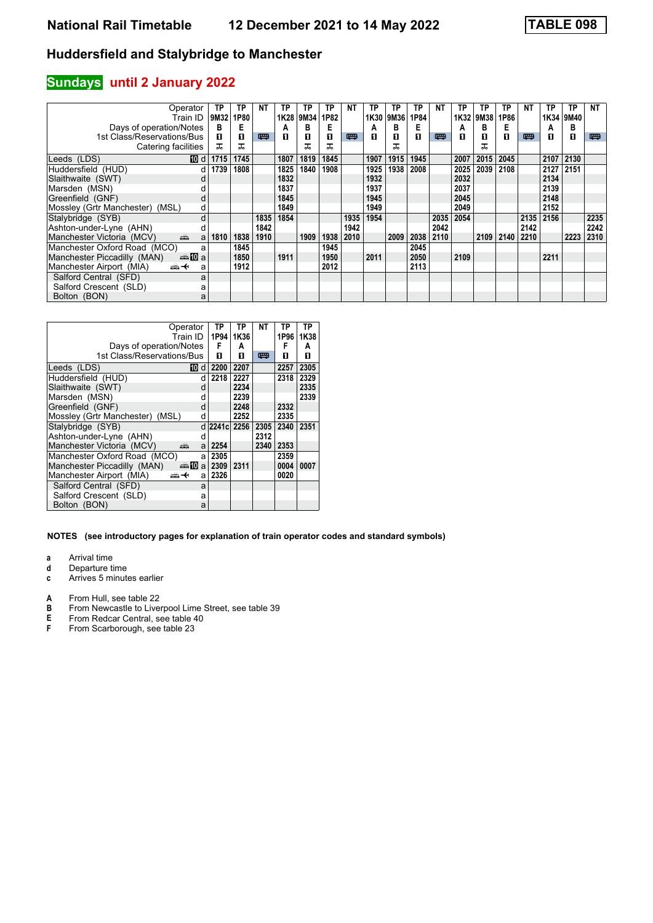### **Sundays** until 2 January 2022

| Operator                                                                                                                                                                                                                                                        | TP   | ТP   | NΤ   | ТP   | ΤP   | ТP   | NΤ   | ТP   | ТP   | TP   | ΝT   | ТP   | ТP   | TP   | ΝT   | TP   | TP   | <b>NT</b> |
|-----------------------------------------------------------------------------------------------------------------------------------------------------------------------------------------------------------------------------------------------------------------|------|------|------|------|------|------|------|------|------|------|------|------|------|------|------|------|------|-----------|
| Train ID                                                                                                                                                                                                                                                        | 9M32 | 1P80 |      | 1K28 | 9M34 | 1P82 |      | 1K30 | 9M36 | 1P84 |      | 1K32 | 9M38 | 1P86 |      | 1K34 | 9M40 |           |
| Days of operation/Notes                                                                                                                                                                                                                                         | в    | Е    |      | А    | в    | Е    |      | A    | в    | Е    |      | А    | в    | E    |      | А    | в    |           |
| 1st Class/Reservations/Bus                                                                                                                                                                                                                                      | п    | 0    | 四    | п    | п    | п    | 四    | п    | п    | п    | 四    | п    | п    | п    | 粤    | п    | 0    | 粤         |
| Catering facilities                                                                                                                                                                                                                                             | ᠼ    | ᅚ    |      |      | ᅚ    | ᅚ    |      |      |      |      |      |      | ᠼ    |      |      |      |      |           |
| <b>IDI</b> d<br>Leeds (LDS)                                                                                                                                                                                                                                     | 1715 | 1745 |      | 1807 | 1819 | 1845 |      | 1907 | 1915 | 1945 |      | 2007 | 2015 | 2045 |      | 2107 | 2130 |           |
| Huddersfield (HUD)                                                                                                                                                                                                                                              | 1739 | 1808 |      | 1825 | 1840 | 1908 |      | 1925 | 1938 | 2008 |      | 2025 | 2039 | 2108 |      | 2127 | 2151 |           |
| Slaithwaite (SWT)                                                                                                                                                                                                                                               |      |      |      | 1832 |      |      |      | 1932 |      |      |      | 2032 |      |      |      | 2134 |      |           |
| Marsden (MSN)                                                                                                                                                                                                                                                   |      |      |      | 1837 |      |      |      | 1937 |      |      |      | 2037 |      |      |      | 2139 |      |           |
| Greenfield (GNF)<br>d                                                                                                                                                                                                                                           |      |      |      | 1845 |      |      |      | 1945 |      |      |      | 2045 |      |      |      | 2148 |      |           |
| Mossley (Grtr Manchester)<br>(MSL)<br>d                                                                                                                                                                                                                         |      |      |      | 1849 |      |      |      | 1949 |      |      |      | 2049 |      |      |      | 2152 |      |           |
| Stalybridge (SYB)<br>d                                                                                                                                                                                                                                          |      |      | 1835 | 1854 |      |      | 1935 | 1954 |      |      | 2035 | 2054 |      |      | 2135 | 2156 |      | 2235      |
| Ashton-under-Lyne (AHN)                                                                                                                                                                                                                                         |      |      | 1842 |      |      |      | 1942 |      |      |      | 2042 |      |      |      | 2142 |      |      | 2242      |
| Manchester Victoria (MCV)<br>and the second second second second the second second second second second second second second second second second second second second second second second second second second second second second second second second<br>a | 1810 | 1838 | 1910 |      | 1909 | 1938 | 2010 |      | 2009 | 2038 | 2110 |      | 2109 | 2140 | 2210 |      | 2223 | 2310      |
| Manchester Oxford Road (MCO)<br>a                                                                                                                                                                                                                               |      | 1845 |      |      |      | 1945 |      |      |      | 2045 |      |      |      |      |      |      |      |           |
| Manchester Piccadilly (MAN)<br>anno ma                                                                                                                                                                                                                          |      | 1850 |      | 1911 |      | 1950 |      | 2011 |      | 2050 |      | 2109 |      |      |      | 2211 |      |           |
| Manchester Airport (MIA)<br><del>∰ ∢</del><br>a                                                                                                                                                                                                                 |      | 1912 |      |      |      | 2012 |      |      |      | 2113 |      |      |      |      |      |      |      |           |
| Salford Central (SFD)<br>a                                                                                                                                                                                                                                      |      |      |      |      |      |      |      |      |      |      |      |      |      |      |      |      |      |           |
| Salford Crescent (SLD)<br>а                                                                                                                                                                                                                                     |      |      |      |      |      |      |      |      |      |      |      |      |      |      |      |      |      |           |
| Bolton (BON)<br>a                                                                                                                                                                                                                                               |      |      |      |      |      |      |      |      |      |      |      |      |      |      |      |      |      |           |

| Operator                           | Train ID               | TP<br>1P94   | TP<br>1K36 | NΤ   | TP<br>1P96 | TP<br>1K38 |
|------------------------------------|------------------------|--------------|------------|------|------------|------------|
| Days of operation/Notes            |                        | F            | А          |      | F          | А          |
| 1st Class/Reservations/Bus         |                        | п            | п          | 罒    | п          | п          |
| Leeds (LDS)                        | 10<br>d                | 2200         | 2207       |      | 2257       | 2305       |
| Huddersfield (HUD)                 | d                      | 2218         | 2227       |      | 2318       | 2329       |
| Slaithwaite (SWT)                  | d                      |              | 2234       |      |            | 2335       |
| Marsden (MSN)                      | d                      |              | 2239       |      |            | 2339       |
| Greenfield (GNF)                   | d                      |              | 2248       |      | 2332       |            |
| Mossley (Grtr Manchester)<br>(MSL) | d                      |              | 2252       |      | 2335       |            |
| Stalybridge (SYB)                  |                        | d 2241c 2256 |            | 2305 | 2340       | 2351       |
| Ashton-under-Lyne (AHN)            | d                      |              |            | 2312 |            |            |
| Manchester Victoria (MCV)<br>æ     | a                      | 2254         |            | 2340 | 2353       |            |
| Manchester Oxford Road (MCO)       | a                      | 2305         |            |      | 2359       |            |
| Manchester Piccadilly (MAN)        | dan <mark>n</mark> 0 a | 2309         | 2311       |      | 0004       | 0007       |
| Manchester Airport (MIA)<br>ക+     | a                      | 2326         |            |      | 0020       |            |
| Salford Central (SFD)              | a                      |              |            |      |            |            |
| Salford Crescent (SLD)             | a                      |              |            |      |            |            |
| Bolton (BON)                       | a                      |              |            |      |            |            |

#### **NOTES (see introductory pages for explanation of train operator codes and standard symbols)**

**a** Arrival time<br>**d** Departure ti

- **d** Departure time<br>**c** Arrives 5 minute
- **c** Arrives 5 minutes earlier
- **A** From Hull, see table 22<br>**B** From Newcastle to Liver
- **B** From Newcastle to Liverpool Lime Street, see table 39<br>**E** From Redcar Central, see table 40
- **E** From Redcar Central, see table 40<br>**F** From Scarborough, see table 23
- From Scarborough, see table 23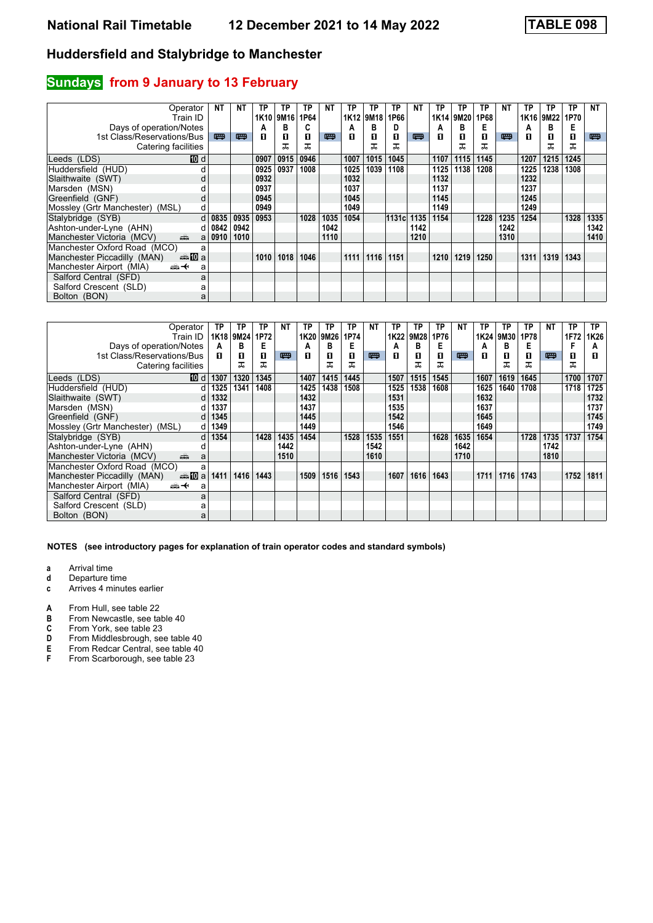# **Sundays** from 9 January to 13 February

| Operator<br>Train ID                                  | NΤ       | NΤ   | TP<br>1K <sub>10</sub> | TP<br>9M <sub>16</sub> | ТP<br>1P64 | NΤ   | ТP<br>1K12 | ТP<br>9M18 | ТP<br>1P66 | <b>NT</b> | ТP<br>1K14 | ТP<br>9M20 | TP<br>1P68 | <b>NT</b> | ТP<br>1K16 | TP<br>9M22 | TP<br>1P70 | NΤ   |
|-------------------------------------------------------|----------|------|------------------------|------------------------|------------|------|------------|------------|------------|-----------|------------|------------|------------|-----------|------------|------------|------------|------|
| Days of operation/Notes                               |          |      | А                      | в                      | C          |      | A          | в          | D          |           | А          | в          | Е          |           | Α          | в          | Е          |      |
| 1st Class/Reservations/Bus                            | 四        | 粤    | п                      | 0                      | п          | 四    | п          | 0          | п          | 嘌         | п          | п          | О          | 四         | п          | п          | О          | 粤    |
| Catering facilities                                   |          |      |                        | ᅚ                      | ᅚ          |      |            |            | ᅚ          |           |            | ᠼ          | ᠼ          |           |            | ᅚ          | ᠼ          |      |
| 10 d<br>Leeds (LDS)                                   |          |      | 0907                   | 0915                   | 0946       |      | 1007       | 1015       | 1045       |           | 1107       | 1115       | 1145       |           | 1207       | 1215       | 1245       |      |
| Huddersfield (HUD)                                    |          |      | 0925                   | 0937                   | 1008       |      | 1025       | 1039       | 1108       |           | 1125       | 1138       | 1208       |           | 1225       | 1238       | 1308       |      |
| Slaithwaite (SWT)<br>d                                |          |      | 0932                   |                        |            |      | 1032       |            |            |           | 1132       |            |            |           | 1232       |            |            |      |
| Marsden (MSN)                                         |          |      | 0937                   |                        |            |      | 1037       |            |            |           | 1137       |            |            |           | 1237       |            |            |      |
| Greenfield (GNF)<br>d                                 |          |      | 0945                   |                        |            |      | 1045       |            |            |           | 1145       |            |            |           | 1245       |            |            |      |
| Mossley (Grtr Manchester) (MSL)<br>d                  |          |      | 0949                   |                        |            |      | 1049       |            |            |           | 1149       |            |            |           | 1249       |            |            |      |
| Stalybridge (SYB)                                     | $d$ 0835 | 0935 | 0953                   |                        | 1028       | 1035 | 1054       |            | 1131cl     | 1135      | 1154       |            | 1228       | 1235      | 1254       |            | 1328       | 1335 |
| Ashton-under-Lyne (AHN)                               | $d$ 0842 | 0942 |                        |                        |            | 1042 |            |            |            | 1142      |            |            |            | 1242      |            |            |            | 1342 |
| Manchester Victoria (MCV)<br>dia 1                    | a 0910   | 1010 |                        |                        |            | 1110 |            |            |            | 1210      |            |            |            | 1310      |            |            |            | 1410 |
| Manchester Oxford Road (MCO)<br>a                     |          |      |                        |                        |            |      |            |            |            |           |            |            |            |           |            |            |            |      |
| Manchester Piccadilly (MAN)<br>dannan mann ann ann an |          |      | 1010                   | 1018                   | 1046       |      | 1111       | 1116       | 1151       |           | 1210       | 1219       | 1250       |           | 1311       | 1319       | 1343       |      |
| Manchester Airport (MIA)<br><del>∰ ∢</del><br>a       |          |      |                        |                        |            |      |            |            |            |           |            |            |            |           |            |            |            |      |
| Salford Central (SFD)<br>a                            |          |      |                        |                        |            |      |            |            |            |           |            |            |            |           |            |            |            |      |
| Salford Crescent (SLD)<br>a                           |          |      |                        |                        |            |      |            |            |            |           |            |            |            |           |            |            |            |      |
| Bolton (BON)<br>a                                     |          |      |                        |                        |            |      |            |            |            |           |            |            |            |           |            |            |            |      |

| Operator                                          | ΤP         | ТP        | ТP   | <b>NT</b> | ΤP   | ΤP   | TP   | NT   | ТP   | ΤP   | ТP   | <b>NT</b> | ΤP   | ТP   | ТP   | NΤ   | ТP   | TP.  |
|---------------------------------------------------|------------|-----------|------|-----------|------|------|------|------|------|------|------|-----------|------|------|------|------|------|------|
| Train ID                                          |            | 1K18 9M24 | 1P72 |           | 1K20 | 9M26 | 1P74 |      | 1K22 | 9M28 | 1P76 |           | 1K24 | 9M30 | 1P78 |      | 1F72 | 1K26 |
| Days of operation/Notes                           | A          | в         | Е    |           | A    | в    | Е    |      | A    | в    | Е    |           | A    | в    | Е    |      |      | А    |
| 1st Class/Reservations/Bus                        | п          | п         | п    | 四         | п    | п    | п    | 粤    | п    | п    | п    | 粤         | п    | П    | п    | 四    | 0    | п    |
| Catering facilities                               |            | ᅚ         | ᅚ    |           |      | ᠼ    | ᠼ    |      |      |      | ᅚ    |           |      |      | ᠼ    |      | ᅚ    |      |
| Leeds (LDS)<br>[10] di                            | 1307       | 1320      | 1345 |           | 1407 | 1415 | 1445 |      | 1507 | 1515 | 1545 |           | 1607 | 1619 | 1645 |      | 1700 | 1707 |
| Huddersfield (HUD)<br>d l                         | 1325       | 1341      | 1408 |           | 1425 | 1438 | 1508 |      | 1525 | 1538 | 1608 |           | 1625 | 1640 | 1708 |      | 1718 | 1725 |
| Slaithwaite (SWT)                                 | 1332<br>dl |           |      |           | 1432 |      |      |      | 1531 |      |      |           | 1632 |      |      |      |      | 1732 |
| Marsden (MSN)                                     | 1337       |           |      |           | 1437 |      |      |      | 1535 |      |      |           | 1637 |      |      |      |      | 1737 |
| Greenfield (GNF)                                  | 1345<br>dl |           |      |           | 1445 |      |      |      | 1542 |      |      |           | 1645 |      |      |      |      | 1745 |
| Mossley (Grtr Manchester) (MSL)                   | 1349<br>dl |           |      |           | 1449 |      |      |      | 1546 |      |      |           | 1649 |      |      |      |      | 1749 |
| Stalybridge (SYB)                                 | $d$ 1354   |           | 1428 | 1435      | 1454 |      | 1528 | 1535 | 1551 |      | 1628 | 1635      | 1654 |      | 1728 | 1735 | 1737 | 1754 |
| Ashton-under-Lyne (AHN)                           |            |           |      | 1442      |      |      |      | 1542 |      |      |      | 1642      |      |      |      | 1742 |      |      |
| پیش<br>Manchester Victoria (MCV)<br>a             |            |           |      | 1510      |      |      |      | 1610 |      |      |      | 1710      |      |      |      | 1810 |      |      |
| Manchester Oxford Road (MCO)<br>a                 |            |           |      |           |      |      |      |      |      |      |      |           |      |      |      |      |      |      |
| Manchester Piccadilly (MAN)<br>dan <b>n</b> umber | 1411       | 1416      | 1443 |           | 1509 | 1516 | 1543 |      | 1607 | 1616 | 1643 |           | 1711 | 1716 | 1743 |      | 1752 | 1811 |
| Manchester Airport (MIA)<br><del>∰ ∢</del><br>a   |            |           |      |           |      |      |      |      |      |      |      |           |      |      |      |      |      |      |
| Salford Central (SFD)<br>a                        |            |           |      |           |      |      |      |      |      |      |      |           |      |      |      |      |      |      |
| Salford Crescent (SLD)<br>а                       |            |           |      |           |      |      |      |      |      |      |      |           |      |      |      |      |      |      |
| Bolton (BON)<br>a                                 |            |           |      |           |      |      |      |      |      |      |      |           |      |      |      |      |      |      |

- **a** Arrival time<br>**d** Departure t
- **d** Departure time
- **c** Arrives 4 minutes earlier
- 
- **A** From Hull, see table 22<br>**B** From Newcastle, see tal **B** From Newcastle, see table 40<br>**C** From York, see table 23
- **C** From York, see table 23<br>**D** From Middlesbrough, se
- **D** From Middlesbrough, see table 40<br>**E** From Redcar Central, see table 40<br>**F** From Scarborough, see table 23
- From Redcar Central, see table 40
- From Scarborough, see table 23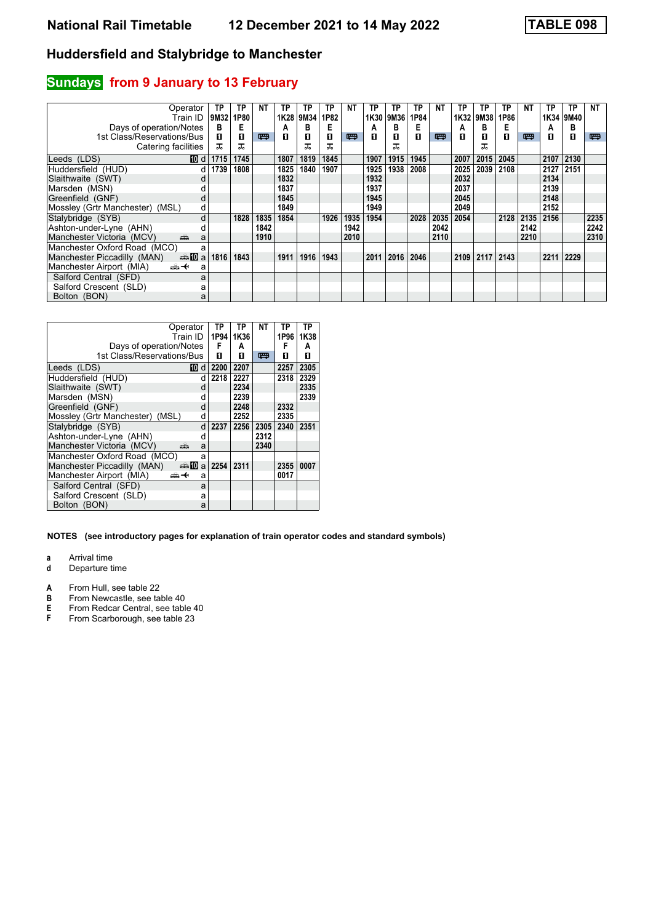# **Sundays** from 9 January to 13 February

| Operator                                        | ТP   | ТP   | NΤ   | ТP   | ТP   | ΤP   | NΤ   | ТP   | TP   | <b>TP</b> | NΤ   | ТP   | ТP   | TP   | ΝT   | TP   | TP   | NΤ   |
|-------------------------------------------------|------|------|------|------|------|------|------|------|------|-----------|------|------|------|------|------|------|------|------|
| Train ID                                        | 9M32 | 1P80 |      | 1K28 | 9M34 | 1P82 |      | 1K30 | 9M36 | 1P84      |      | 1K32 | 9M38 | 1P86 |      | 1K34 | 9M40 |      |
| Days of operation/Notes                         | в    | Е    |      | А    | в    | Е    |      | A    | в    | Е         |      | А    | в    | Е    |      | А    | в    |      |
| 1st Class/Reservations/Bus                      | п    | 0    | 四    | П    | п    | п    | 四    | П    | п    | п         | 四    | п    | п    | п    | 嘌    | п    | 0    | 粤    |
| Catering facilities                             | ᠼ    | ᠼ    |      |      | ᠼ    | ᠼ    |      |      |      |           |      |      | ᠼ    |      |      |      |      |      |
| 10 dl<br>Leeds (LDS)                            | 1715 | 1745 |      | 1807 | 1819 | 1845 |      | 1907 | 1915 | 1945      |      | 2007 | 2015 | 2045 |      | 2107 | 2130 |      |
| Huddersfield (HUD)<br>d                         | 1739 | 1808 |      | 1825 | 1840 | 1907 |      | 1925 | 1938 | 2008      |      | 2025 | 2039 | 2108 |      | 2127 | 2151 |      |
| Slaithwaite (SWT)                               |      |      |      | 1832 |      |      |      | 1932 |      |           |      | 2032 |      |      |      | 2134 |      |      |
| Marsden (MSN)                                   |      |      |      | 1837 |      |      |      | 1937 |      |           |      | 2037 |      |      |      | 2139 |      |      |
| Greenfield (GNF)<br>d                           |      |      |      | 1845 |      |      |      | 1945 |      |           |      | 2045 |      |      |      | 2148 |      |      |
| Mossley (Grtr Manchester)<br>(MSL)<br>d         |      |      |      | 1849 |      |      |      | 1949 |      |           |      | 2049 |      |      |      | 2152 |      |      |
| Stalybridge (SYB)<br>d                          |      | 1828 | 1835 | 1854 |      | 1926 | 1935 | 1954 |      | 2028      | 2035 | 2054 |      | 2128 | 2135 | 2156 |      | 2235 |
| Ashton-under-Lyne (AHN)                         |      |      | 1842 |      |      |      | 1942 |      |      |           | 2042 |      |      |      | 2142 |      |      | 2242 |
| Manchester Victoria (MCV)<br>añ,<br>a           |      |      | 1910 |      |      |      | 2010 |      |      |           | 2110 |      |      |      | 2210 |      |      | 2310 |
| Manchester Oxford Road (MCO)<br>a               |      |      |      |      |      |      |      |      |      |           |      |      |      |      |      |      |      |      |
| Manchester Piccadilly (MAN)<br>dan <b>10</b> a  | 1816 | 1843 |      | 1911 | 1916 | 1943 |      | 2011 | 2016 | 2046      |      | 2109 | 2117 | 2143 |      | 2211 | 2229 |      |
| Manchester Airport (MIA)<br><del>∰ ∢</del><br>a |      |      |      |      |      |      |      |      |      |           |      |      |      |      |      |      |      |      |
| Salford Central (SFD)<br>a                      |      |      |      |      |      |      |      |      |      |           |      |      |      |      |      |      |      |      |
| Salford Crescent (SLD)<br>а                     |      |      |      |      |      |      |      |      |      |           |      |      |      |      |      |      |      |      |
| Bolton (BON)<br>a                               |      |      |      |      |      |      |      |      |      |           |      |      |      |      |      |      |      |      |

| Operator                                              | Train ID         | ΤP<br>1P94 | TP<br>1K36 | NΤ   | TP<br>1P96 | ТP<br>1K38 |
|-------------------------------------------------------|------------------|------------|------------|------|------------|------------|
| Days of operation/Notes<br>1st Class/Reservations/Bus |                  | F<br>п     | A<br>п     | 四    | F<br>п     | А<br>п     |
|                                                       |                  |            |            |      |            |            |
| Leeds (LDS)                                           | 10.<br>d         | 2200       | 2207       |      | 2257       | 2305       |
| Huddersfield (HUD)                                    | d                | 2218       | 2227       |      | 2318       | 2329       |
| Slaithwaite (SWT)                                     | d                |            | 2234       |      |            | 2335       |
| Marsden (MSN)                                         | d                |            | 2239       |      |            | 2339       |
| Greenfield (GNF)                                      | d                |            | 2248       |      | 2332       |            |
| Mossley (Grtr Manchester)<br>(MSL)                    | d                |            | 2252       |      | 2335       |            |
| Stalybridge (SYB)                                     | d                | 2237       | 2256       | 2305 | 2340       | 2351       |
| Ashton-under-Lyne (AHN)                               | d                |            |            | 2312 |            |            |
| Manchester Victoria (MCV)<br>æ                        | a                |            |            | 2340 |            |            |
| Manchester Oxford Road (MCO)                          | a                |            |            |      |            |            |
| Manchester Piccadilly (MAN)                           | $\oplus 10$<br>a | 2254       | 2311       |      | 2355       | 0007       |
| Manchester Airport (MIA)<br>ക+                        | a                |            |            |      | 0017       |            |
| Salford Central (SFD)                                 | a                |            |            |      |            |            |
| Salford Crescent (SLD)                                | a                |            |            |      |            |            |
| Bolton (BON)                                          | a                |            |            |      |            |            |

#### **NOTES (see introductory pages for explanation of train operator codes and standard symbols)**

**a** Arrival time<br>**d** Departure t

**d** Departure time

- **A** From Hull, see table 22<br>**B** From Newcastle, see tal
- **B** From Newcastle, see table 40<br>**E** From Redcar Central, see table
- **E** From Redcar Central, see table 40<br>**F** From Scarborough, see table 23
- From Scarborough, see table 23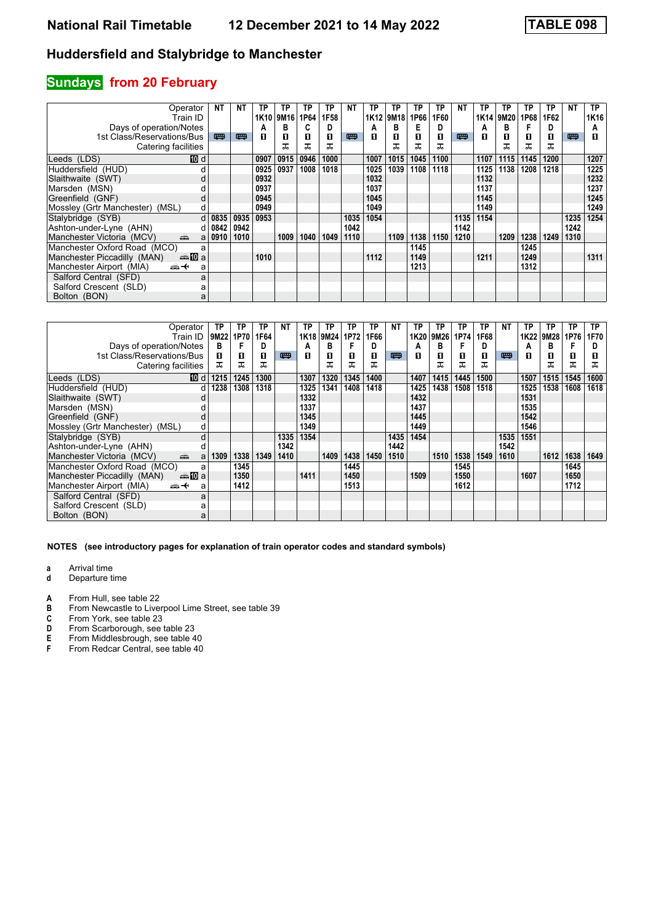# **Sundays from 20 February**

| Operator<br>Train ID                            | NΤ       | <b>NT</b> | ΤР<br>1K <sub>10</sub> | ТP<br> 9M16 | ТP<br>1P64 | ΤP<br>1F58 | NT   | ТP<br>1K <sub>12</sub> | ТP<br>9M18 | TP<br>1P66 | ТP<br>1F60 | NT   | ТP<br>1K14 | ТP<br>9M20 | ТP<br>1P68 | TP<br>1F62 | <b>NT</b> | TP.<br>1K16 |
|-------------------------------------------------|----------|-----------|------------------------|-------------|------------|------------|------|------------------------|------------|------------|------------|------|------------|------------|------------|------------|-----------|-------------|
| Days of operation/Notes                         |          |           | А                      | в           | C          | D          |      | A                      | в          | Е          | D          |      | А          | в          |            | D          |           | A           |
| 1st Class/Reservations/Bus                      | 罒        | 四         | п                      | 0           | п          | п          | 四    | п                      | п          | п          | п          | 四    | п          | п          | п          | п          | 四         | п           |
|                                                 |          |           |                        | ᠼ           | ᅚ          | ᅚ          |      |                        |            |            | ᠼ          |      |            | ᅚ          | ᠼ          | ᅚ          |           |             |
| Catering facilities                             |          |           |                        |             |            |            |      |                        |            |            |            |      |            |            |            |            |           |             |
| 10 d<br>Leeds (LDS)                             |          |           | 0907                   | 0915        | 0946       | 1000       |      | 1007                   | 1015       | 1045       | 1100       |      | 1107       | 1115       | 1145       | 1200       |           | 1207        |
| Huddersfield (HUD)                              |          |           | 0925                   | 0937        | 1008       | 1018       |      | 1025                   | 1039       | 1108       | 1118       |      | 1125       | 1138       | 1208       | 1218       |           | 1225        |
| Slaithwaite (SWT)<br>d                          |          |           | 0932                   |             |            |            |      | 1032                   |            |            |            |      | 1132       |            |            |            |           | 1232        |
| Marsden (MSN)                                   |          |           | 0937                   |             |            |            |      | 1037                   |            |            |            |      | 1137       |            |            |            |           | 1237        |
| Greenfield (GNF)<br>d                           |          |           | 0945                   |             |            |            |      | 1045                   |            |            |            |      | 1145       |            |            |            |           | 1245        |
| Mossley (Grtr Manchester)<br>(MSL)<br>d         |          |           | 0949                   |             |            |            |      | 1049                   |            |            |            |      | 1149       |            |            |            |           | 1249        |
| Stalybridge (SYB)                               | $d$ 0835 | 0935      | 0953                   |             |            |            | 1035 | 1054                   |            |            |            | 1135 | 1154       |            |            |            | 1235      | 1254        |
| Ashton-under-Lyne (AHN)                         | $d$ 0842 | 0942      |                        |             |            |            | 1042 |                        |            |            |            | 1142 |            |            |            |            | 1242      |             |
| Manchester Victoria (MCV)<br>dia 1<br>a         | 0910     | 1010      |                        | 1009        | 1040       | 1049       | 1110 |                        | 1109       | 1138       | 1150       | 1210 |            | 1209       | 1238       | 1249       | 1310      |             |
| Manchester Oxford Road (MCO)<br>a               |          |           |                        |             |            |            |      |                        |            | 1145       |            |      |            |            | 1245       |            |           |             |
| Manchester Piccadilly (MAN)<br><b>⊯M</b> a      |          |           | 1010                   |             |            |            |      | 1112                   |            | 1149       |            |      | 1211       |            | 1249       |            |           | 1311        |
| Manchester Airport (MIA)<br><del>∰ ∢</del><br>a |          |           |                        |             |            |            |      |                        |            | 1213       |            |      |            |            | 1312       |            |           |             |
| Salford Central (SFD)<br>a                      |          |           |                        |             |            |            |      |                        |            |            |            |      |            |            |            |            |           |             |
| Salford Crescent (SLD)<br>а                     |          |           |                        |             |            |            |      |                        |            |            |            |      |            |            |            |            |           |             |
| Bolton (BON)<br>а                               |          |           |                        |             |            |            |      |                        |            |            |            |      |            |            |            |            |           |             |

|                                    | Operator                                                                                                                                                                                                                           | ТP   | ТP   | TP   | <b>NT</b> | ТP   | ТP        | TP   | ТP   | <b>NT</b> | <b>TP</b> | ТP   | ΤP   | ТP   | <b>NT</b> | ТP   | ΤP   | ТP   | <b>TP</b> |
|------------------------------------|------------------------------------------------------------------------------------------------------------------------------------------------------------------------------------------------------------------------------------|------|------|------|-----------|------|-----------|------|------|-----------|-----------|------|------|------|-----------|------|------|------|-----------|
|                                    | Train ID                                                                                                                                                                                                                           | 9M22 | 1P70 | 1F64 |           |      | 1K18 9M24 | 1P72 | 1F66 |           | 1K20      | 9M26 | 1P74 | 1F68 |           | 1K22 | 9M28 | 1P76 | 1F70      |
| Days of operation/Notes            |                                                                                                                                                                                                                                    | в    |      | D    |           | А    | в         |      |      |           | А         | в    |      | D    |           | Α    | в    |      | D         |
| 1st Class/Reservations/Bus         |                                                                                                                                                                                                                                    | п    | 0    | 0    | 粤         | п    | 0         | п    | п    | 四         | п         | п    | П    | О    | 四         | п    | п    | O    |           |
| Catering facilities                |                                                                                                                                                                                                                                    | ᠼ    | ᅚ    | ᠼ    |           |      | ᠼ         | ᠼ    | ᠼ    |           |           |      | ᠼ    | ᅚ    |           |      | ᠼ    | ᠼ    | ᠼ         |
| Leeds (LDS)                        | [10] d                                                                                                                                                                                                                             | 1215 | 1245 | 1300 |           | 1307 | 1320      | 1345 | 1400 |           | 1407      | 1415 | 1445 | 1500 |           | 1507 | 1515 | 1545 | 1600      |
| Huddersfield (HUD)                 | d                                                                                                                                                                                                                                  | 1238 | 1308 | 1318 |           | 1325 | 1341      | 1408 | 1418 |           | 1425      | 1438 | 1508 | 1518 |           | 1525 | 1538 | 1608 | 1618      |
| Slaithwaite (SWT)                  |                                                                                                                                                                                                                                    |      |      |      |           | 1332 |           |      |      |           | 1432      |      |      |      |           | 1531 |      |      |           |
| Marsden (MSN)                      |                                                                                                                                                                                                                                    |      |      |      |           | 1337 |           |      |      |           | 1437      |      |      |      |           | 1535 |      |      |           |
| Greenfield (GNF)                   | d                                                                                                                                                                                                                                  |      |      |      |           | 1345 |           |      |      |           | 1445      |      |      |      |           | 1542 |      |      |           |
| Mossley (Grtr Manchester)<br>(MSL) | d                                                                                                                                                                                                                                  |      |      |      |           | 1349 |           |      |      |           | 1449      |      |      |      |           | 1546 |      |      |           |
| Stalybridge (SYB)                  | d                                                                                                                                                                                                                                  |      |      |      | 1335      | 1354 |           |      |      | 1435      | 1454      |      |      |      | 1535      | 1551 |      |      |           |
| Ashton-under-Lyne (AHN)            |                                                                                                                                                                                                                                    |      |      |      | 1342      |      |           |      |      | 1442      |           |      |      |      | 1542      |      |      |      |           |
| Manchester Victoria (MCV)          | and the second second second second the second second second second second second second second second second second second second second second second second second second second second second second second second second<br>a | 1309 | 1338 | 1349 | 1410      |      | 1409      | 1438 | 1450 | 1510      |           | 1510 | 1538 | 1549 | 1610      |      | 1612 | 1638 | 1649      |
| Manchester Oxford Road (MCO)       | a                                                                                                                                                                                                                                  |      | 1345 |      |           |      |           | 1445 |      |           |           |      | 1545 |      |           |      |      | 1645 |           |
| Manchester Piccadilly (MAN)        | anna ma                                                                                                                                                                                                                            |      | 1350 |      |           | 1411 |           | 1450 |      |           | 1509      |      | 1550 |      |           | 1607 |      | 1650 |           |
| Manchester Airport (MIA)           | <del>∰ ∢</del><br>a                                                                                                                                                                                                                |      | 1412 |      |           |      |           | 1513 |      |           |           |      | 1612 |      |           |      |      | 1712 |           |
| Salford Central (SFD)              | a                                                                                                                                                                                                                                  |      |      |      |           |      |           |      |      |           |           |      |      |      |           |      |      |      |           |
| Salford Crescent (SLD)             | а                                                                                                                                                                                                                                  |      |      |      |           |      |           |      |      |           |           |      |      |      |           |      |      |      |           |
| Bolton (BON)                       | a                                                                                                                                                                                                                                  |      |      |      |           |      |           |      |      |           |           |      |      |      |           |      |      |      |           |

- **a** Arrival time<br>**d** Departure t
- **d** Departure time
- **A** From Hull, see table 22<br>**B** From Newcastle to Liver
- **B** From Newcastle to Liverpool Lime Street, see table 39<br>**C** From York, see table 23
- **C** From York, see table 23<br>**D** From Scarborough, see
- 
- **D** From Scarborough, see table 23<br>**E** From Middlesbrough, see table 4 **E** From Middlesbrough, see table 40<br>**F** From Redcar Central, see table 40
- From Redcar Central, see table 40